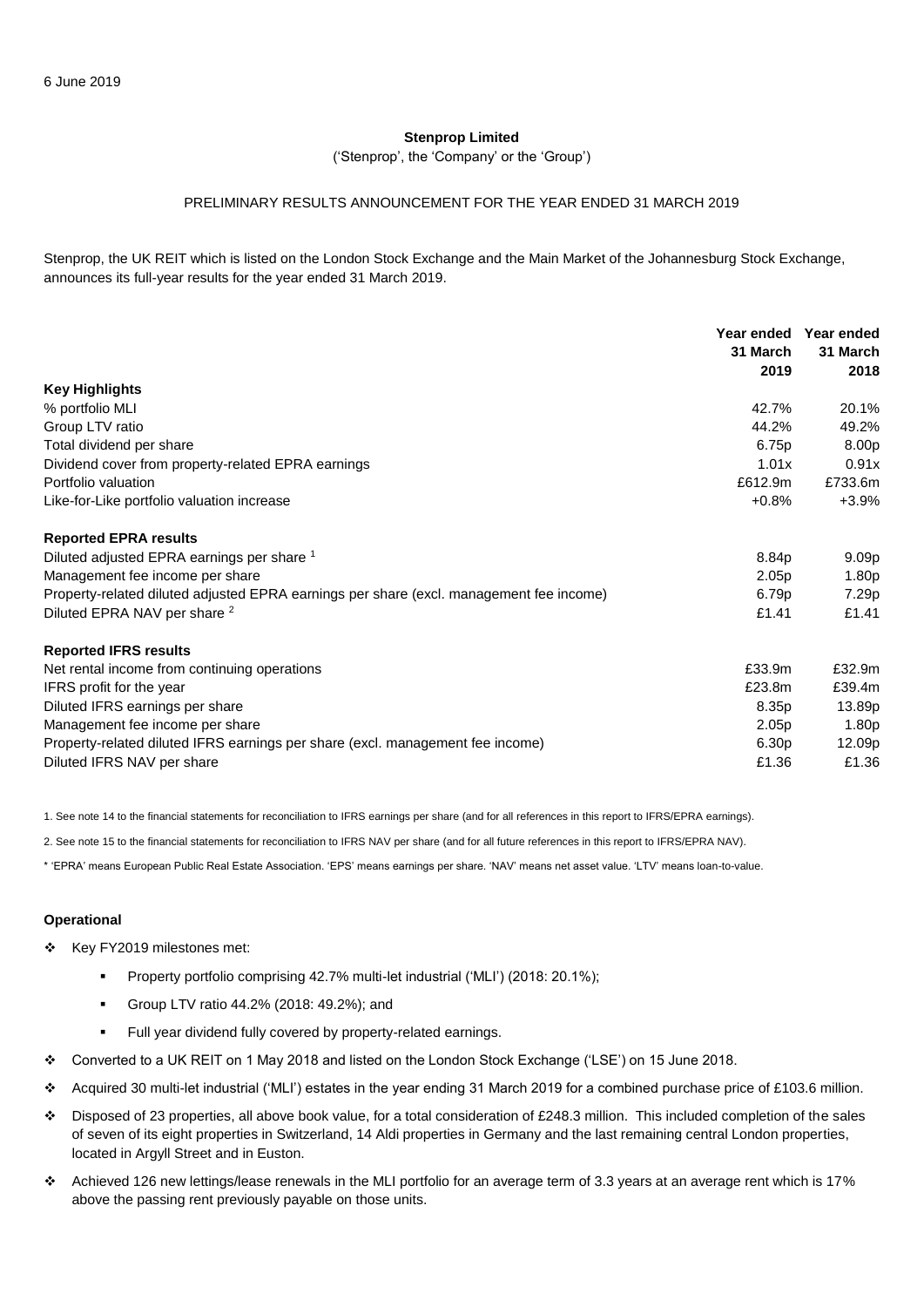#### **Stenprop Limited**

('Stenprop', the 'Company' or the 'Group')

### PRELIMINARY RESULTS ANNOUNCEMENT FOR THE YEAR ENDED 31 MARCH 2019

Stenprop, the UK REIT which is listed on the London Stock Exchange and the Main Market of the Johannesburg Stock Exchange, announces its full-year results for the year ended 31 March 2019.

|                                                                                         | Year ended        | Year ended        |
|-----------------------------------------------------------------------------------------|-------------------|-------------------|
|                                                                                         | 31 March          | 31 March          |
|                                                                                         | 2019              | 2018              |
| <b>Key Highlights</b>                                                                   |                   |                   |
| % portfolio MLI                                                                         | 42.7%             | 20.1%             |
| Group LTV ratio                                                                         | 44.2%             | 49.2%             |
| Total dividend per share                                                                | 6.75p             | 8.00p             |
| Dividend cover from property-related EPRA earnings                                      | 1.01x             | 0.91x             |
| Portfolio valuation                                                                     | £612.9m           | £733.6m           |
| Like-for-Like portfolio valuation increase                                              | $+0.8%$           | $+3.9%$           |
| <b>Reported EPRA results</b>                                                            |                   |                   |
| Diluted adjusted EPRA earnings per share 1                                              | 8.84p             | 9.09 <sub>p</sub> |
| Management fee income per share                                                         | 2.05p             | 1.80p             |
| Property-related diluted adjusted EPRA earnings per share (excl. management fee income) | 6.79p             | 7.29p             |
| Diluted EPRA NAV per share <sup>2</sup>                                                 | £1.41             | £1.41             |
| <b>Reported IFRS results</b>                                                            |                   |                   |
| Net rental income from continuing operations                                            | £33.9m            | £32.9m            |
| IFRS profit for the year                                                                | £23.8m            | £39.4m            |
| Diluted IFRS earnings per share                                                         | 8.35 <sub>p</sub> | 13.89p            |
| Management fee income per share                                                         | 2.05p             | 1.80p             |
| Property-related diluted IFRS earnings per share (excl. management fee income)          | 6.30p             | 12.09p            |
| Diluted IFRS NAV per share                                                              | £1.36             | £1.36             |

1. See note 14 to the financial statements for reconciliation to IFRS earnings per share (and for all references in this report to IFRS/EPRA earnings).

2. See note 15 to the financial statements for reconciliation to IFRS NAV per share (and for all future references in this report to IFRS/EPRA NAV).

\* 'EPRA' means European Public Real Estate Association. 'EPS' means earnings per share. 'NAV' means net asset value. 'LTV' means loan-to-value.

#### **Operational**

#### ❖ Key FY2019 milestones met:

- Property portfolio comprising 42.7% multi-let industrial ('MLI') (2018: 20.1%);
- Group LTV ratio 44.2% (2018: 49.2%); and
- **EXECT:** Full year dividend fully covered by property-related earnings.
- ❖ Converted to a UK REIT on 1 May 2018 and listed on the London Stock Exchange ('LSE') on 15 June 2018.
- ❖ Acquired 30 multi-let industrial ('MLI') estates in the year ending 31 March 2019 for a combined purchase price of £103.6 million.
- ❖ Disposed of 23 properties, all above book value, for a total consideration of £248.3 million. This included completion of the sales of seven of its eight properties in Switzerland, 14 Aldi properties in Germany and the last remaining central London properties, located in Argyll Street and in Euston.
- ❖ Achieved 126 new lettings/lease renewals in the MLI portfolio for an average term of 3.3 years at an average rent which is 17% above the passing rent previously payable on those units.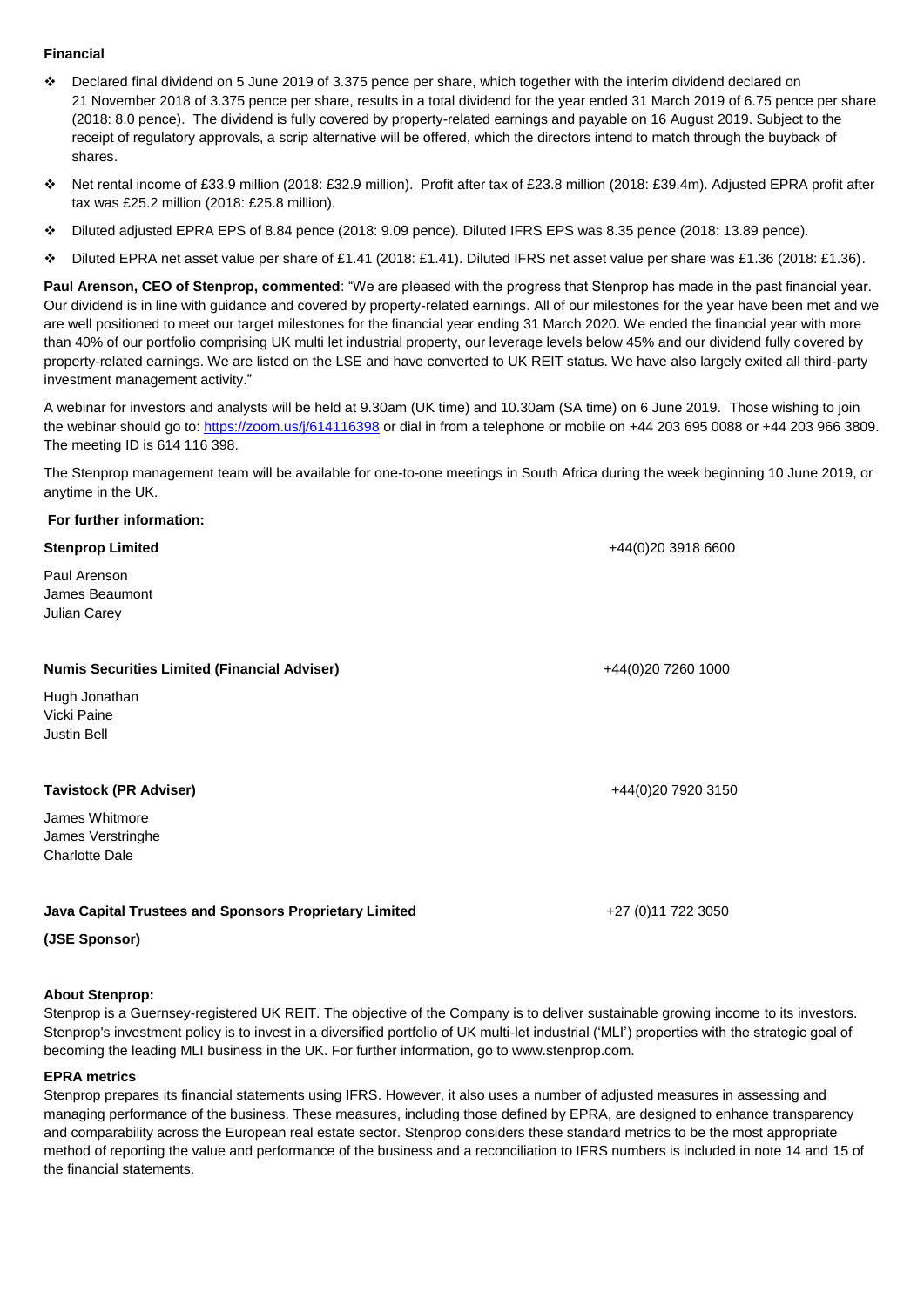### **Financial**

- ❖ Declared final dividend on 5 June 2019 of 3.375 pence per share, which together with the interim dividend declared on 21 November 2018 of 3.375 pence per share, results in a total dividend for the year ended 31 March 2019 of 6.75 pence per share (2018: 8.0 pence). The dividend is fully covered by property-related earnings and payable on 16 August 2019. Subject to the receipt of regulatory approvals, a scrip alternative will be offered, which the directors intend to match through the buyback of shares.
- ❖ Net rental income of £33.9 million (2018: £32.9 million). Profit after tax of £23.8 million (2018: £39.4m). Adjusted EPRA profit after tax was £25.2 million (2018: £25.8 million).
- ❖ Diluted adjusted EPRA EPS of 8.84 pence (2018: 9.09 pence). Diluted IFRS EPS was 8.35 pence (2018: 13.89 pence).
- ❖ Diluted EPRA net asset value per share of £1.41 (2018: £1.41). Diluted IFRS net asset value per share was £1.36 (2018: £1.36).

**Paul Arenson, CEO of Stenprop, commented**: "We are pleased with the progress that Stenprop has made in the past financial year. Our dividend is in line with guidance and covered by property-related earnings. All of our milestones for the year have been met and we are well positioned to meet our target milestones for the financial year ending 31 March 2020. We ended the financial year with more than 40% of our portfolio comprising UK multi let industrial property, our leverage levels below 45% and our dividend fully covered by property-related earnings. We are listed on the LSE and have converted to UK REIT status. We have also largely exited all third-party investment management activity."

A webinar for investors and analysts will be held at 9.30am (UK time) and 10.30am (SA time) on 6 June 2019. Those wishing to join the webinar should go to:<https://zoom.us/j/614116398> or dial in from a telephone or mobile on +44 203 695 0088 or +44 203 966 3809. The meeting ID is 614 116 398.

The Stenprop management team will be available for one-to-one meetings in South Africa during the week beginning 10 June 2019, or anytime in the UK.

#### **For further information:**

### **Stenprop Limited** +44(0)20 3918 6600

Paul Arenson James Beaumont Julian Carey

#### **Numis Securities Limited (Financial Adviser)** +44(0)20 7260 1000

Hugh Jonathan Vicki Paine Justin Bell

### **Tavistock (PR Adviser)** +44(0)20 7920 3150

James Whitmore James Verstringhe Charlotte Dale

#### **Java Capital Trustees and Sponsors Proprietary Limited** +27 (0)11 722 3050

**(JSE Sponsor)**

#### **About Stenprop:**

Stenprop is a Guernsey-registered UK REIT. The objective of the Company is to deliver sustainable growing income to its investors. Stenprop's investment policy is to invest in a diversified portfolio of UK multi-let industrial ('MLI') properties with the strategic goal of becoming the leading MLI business in the UK. For further information, go to www.stenprop.com.

#### **EPRA metrics**

Stenprop prepares its financial statements using IFRS. However, it also uses a number of adjusted measures in assessing and managing performance of the business. These measures, including those defined by EPRA, are designed to enhance transparency and comparability across the European real estate sector. Stenprop considers these standard metrics to be the most appropriate method of reporting the value and performance of the business and a reconciliation to IFRS numbers is included in note 14 and 15 of the financial statements.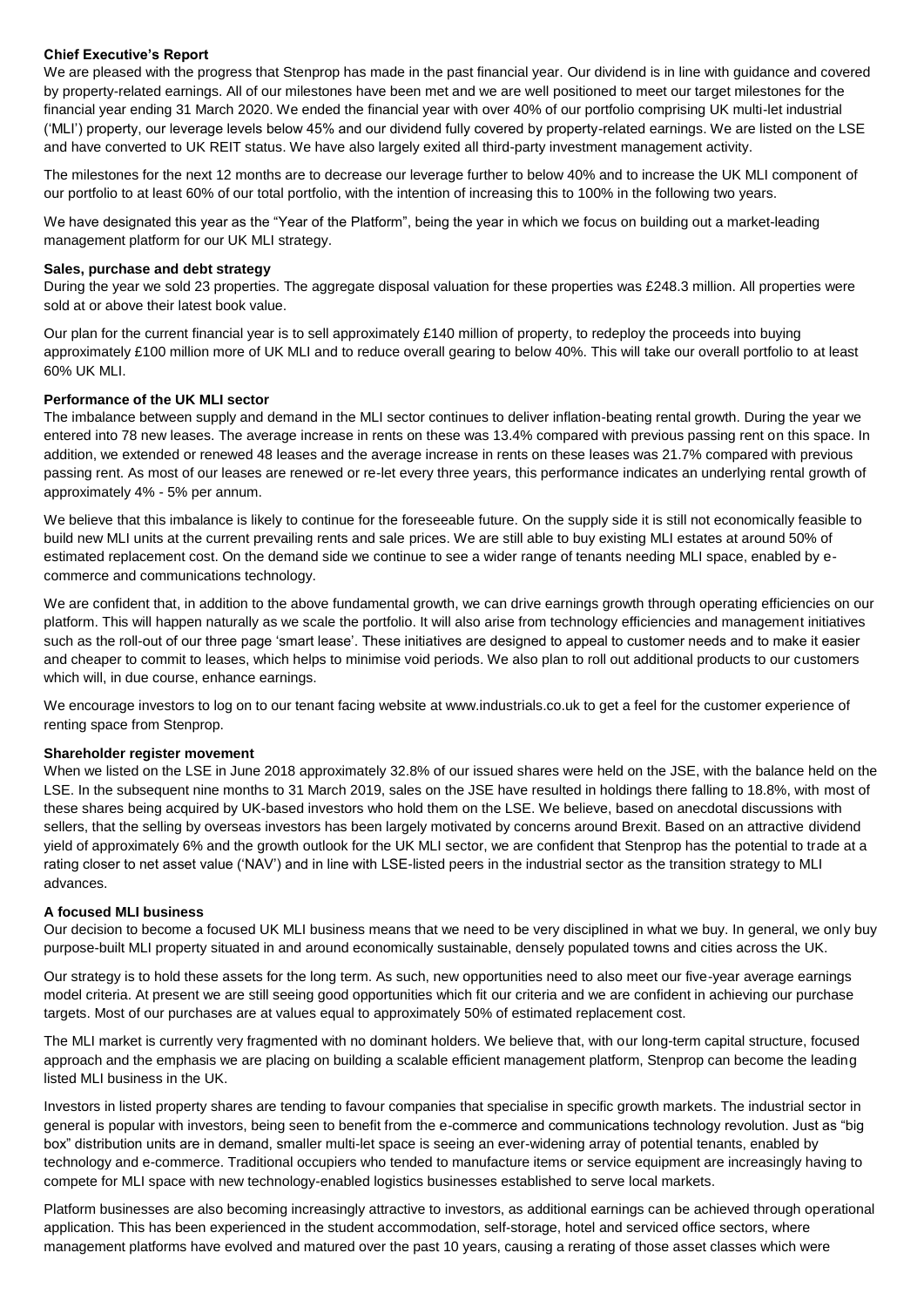### **Chief Executive's Report**

We are pleased with the progress that Stenprop has made in the past financial year. Our dividend is in line with guidance and covered by property-related earnings. All of our milestones have been met and we are well positioned to meet our target milestones for the financial year ending 31 March 2020. We ended the financial year with over 40% of our portfolio comprising UK multi-let industrial ('MLI') property, our leverage levels below 45% and our dividend fully covered by property-related earnings. We are listed on the LSE and have converted to UK REIT status. We have also largely exited all third-party investment management activity.

The milestones for the next 12 months are to decrease our leverage further to below 40% and to increase the UK MLI component of our portfolio to at least 60% of our total portfolio, with the intention of increasing this to 100% in the following two years.

We have designated this year as the "Year of the Platform", being the year in which we focus on building out a market-leading management platform for our UK MLI strategy.

### **Sales, purchase and debt strategy**

During the year we sold 23 properties. The aggregate disposal valuation for these properties was £248.3 million. All properties were sold at or above their latest book value.

Our plan for the current financial year is to sell approximately £140 million of property, to redeploy the proceeds into buying approximately £100 million more of UK MLI and to reduce overall gearing to below 40%. This will take our overall portfolio to at least 60% UK MLI.

### **Performance of the UK MLI sector**

The imbalance between supply and demand in the MLI sector continues to deliver inflation-beating rental growth. During the year we entered into 78 new leases. The average increase in rents on these was 13.4% compared with previous passing rent on this space. In addition, we extended or renewed 48 leases and the average increase in rents on these leases was 21.7% compared with previous passing rent. As most of our leases are renewed or re-let every three years, this performance indicates an underlying rental growth of approximately 4% - 5% per annum.

We believe that this imbalance is likely to continue for the foreseeable future. On the supply side it is still not economically feasible to build new MLI units at the current prevailing rents and sale prices. We are still able to buy existing MLI estates at around 50% of estimated replacement cost. On the demand side we continue to see a wider range of tenants needing MLI space, enabled by ecommerce and communications technology.

We are confident that, in addition to the above fundamental growth, we can drive earnings growth through operating efficiencies on our platform. This will happen naturally as we scale the portfolio. It will also arise from technology efficiencies and management initiatives such as the roll-out of our three page 'smart lease'. These initiatives are designed to appeal to customer needs and to make it easier and cheaper to commit to leases, which helps to minimise void periods. We also plan to roll out additional products to our customers which will, in due course, enhance earnings.

We encourage investors to log on to our tenant facing website at www.industrials.co.uk to get a feel for the customer experience of renting space from Stenprop.

### **Shareholder register movement**

When we listed on the LSE in June 2018 approximately 32.8% of our issued shares were held on the JSE, with the balance held on the LSE. In the subsequent nine months to 31 March 2019, sales on the JSE have resulted in holdings there falling to 18.8%, with most of these shares being acquired by UK-based investors who hold them on the LSE. We believe, based on anecdotal discussions with sellers, that the selling by overseas investors has been largely motivated by concerns around Brexit. Based on an attractive dividend yield of approximately 6% and the growth outlook for the UK MLI sector, we are confident that Stenprop has the potential to trade at a rating closer to net asset value ('NAV') and in line with LSE-listed peers in the industrial sector as the transition strategy to MLI advances.

#### **A focused MLI business**

Our decision to become a focused UK MLI business means that we need to be very disciplined in what we buy. In general, we only buy purpose-built MLI property situated in and around economically sustainable, densely populated towns and cities across the UK.

Our strategy is to hold these assets for the long term. As such, new opportunities need to also meet our five-year average earnings model criteria. At present we are still seeing good opportunities which fit our criteria and we are confident in achieving our purchase targets. Most of our purchases are at values equal to approximately 50% of estimated replacement cost.

The MLI market is currently very fragmented with no dominant holders. We believe that, with our long-term capital structure, focused approach and the emphasis we are placing on building a scalable efficient management platform, Stenprop can become the leading listed MLI business in the UK.

Investors in listed property shares are tending to favour companies that specialise in specific growth markets. The industrial sector in general is popular with investors, being seen to benefit from the e-commerce and communications technology revolution. Just as "big box" distribution units are in demand, smaller multi-let space is seeing an ever-widening array of potential tenants, enabled by technology and e-commerce. Traditional occupiers who tended to manufacture items or service equipment are increasingly having to compete for MLI space with new technology-enabled logistics businesses established to serve local markets.

Platform businesses are also becoming increasingly attractive to investors, as additional earnings can be achieved through operational application. This has been experienced in the student accommodation, self-storage, hotel and serviced office sectors, where management platforms have evolved and matured over the past 10 years, causing a rerating of those asset classes which were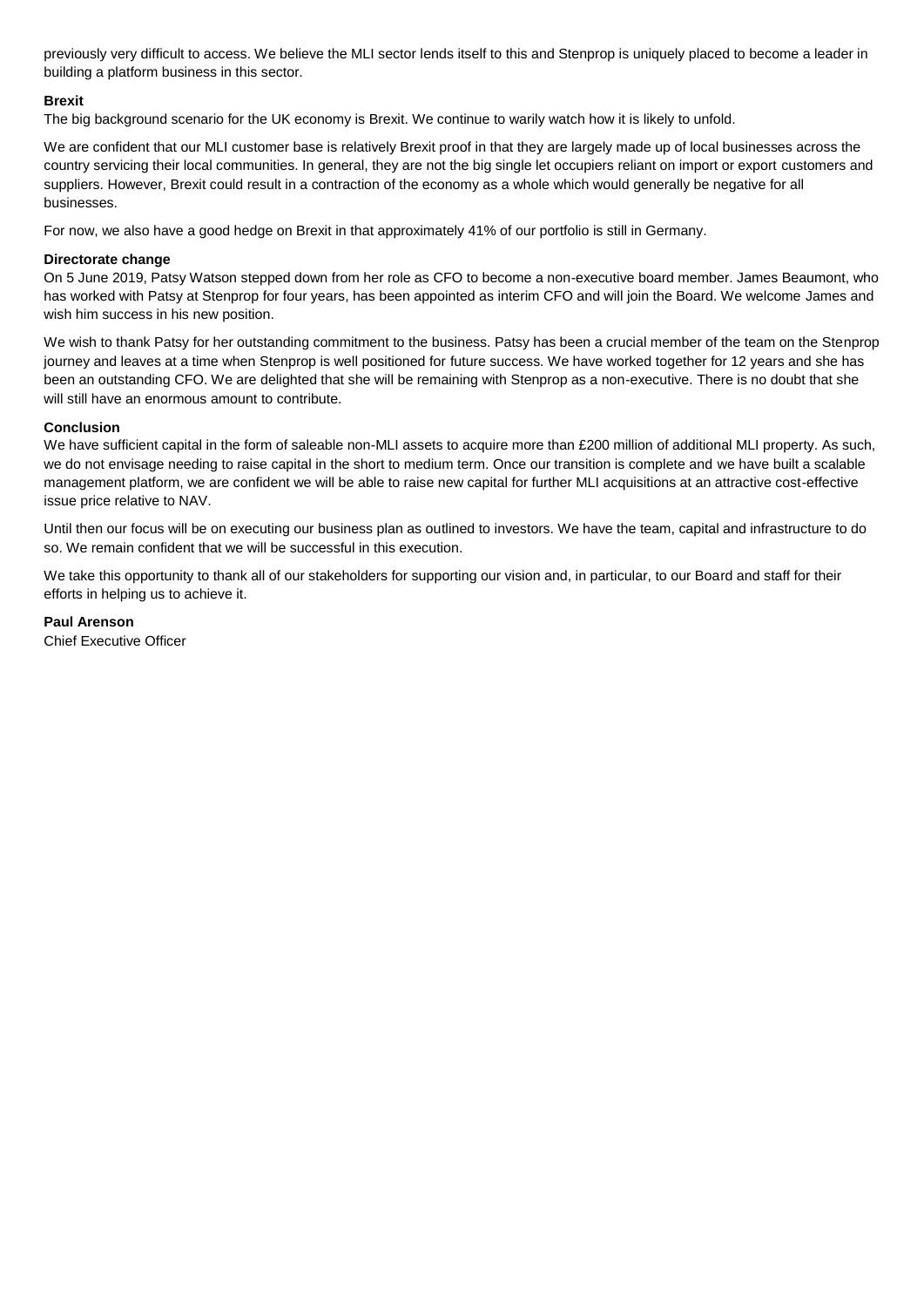previously very difficult to access. We believe the MLI sector lends itself to this and Stenprop is uniquely placed to become a leader in building a platform business in this sector.

### **Brexit**

The big background scenario for the UK economy is Brexit. We continue to warily watch how it is likely to unfold.

We are confident that our MLI customer base is relatively Brexit proof in that they are largely made up of local businesses across the country servicing their local communities. In general, they are not the big single let occupiers reliant on import or export customers and suppliers. However, Brexit could result in a contraction of the economy as a whole which would generally be negative for all businesses.

For now, we also have a good hedge on Brexit in that approximately 41% of our portfolio is still in Germany.

### **Directorate change**

On 5 June 2019, Patsy Watson stepped down from her role as CFO to become a non-executive board member. James Beaumont, who has worked with Patsy at Stenprop for four years, has been appointed as interim CFO and will join the Board. We welcome James and wish him success in his new position.

We wish to thank Patsy for her outstanding commitment to the business. Patsy has been a crucial member of the team on the Stenprop journey and leaves at a time when Stenprop is well positioned for future success. We have worked together for 12 years and she has been an outstanding CFO. We are delighted that she will be remaining with Stenprop as a non-executive. There is no doubt that she will still have an enormous amount to contribute.

### **Conclusion**

We have sufficient capital in the form of saleable non-MLI assets to acquire more than £200 million of additional MLI property. As such, we do not envisage needing to raise capital in the short to medium term. Once our transition is complete and we have built a scalable management platform, we are confident we will be able to raise new capital for further MLI acquisitions at an attractive cost-effective issue price relative to NAV.

Until then our focus will be on executing our business plan as outlined to investors. We have the team, capital and infrastructure to do so. We remain confident that we will be successful in this execution.

We take this opportunity to thank all of our stakeholders for supporting our vision and, in particular, to our Board and staff for their efforts in helping us to achieve it.

### **Paul Arenson**

Chief Executive Officer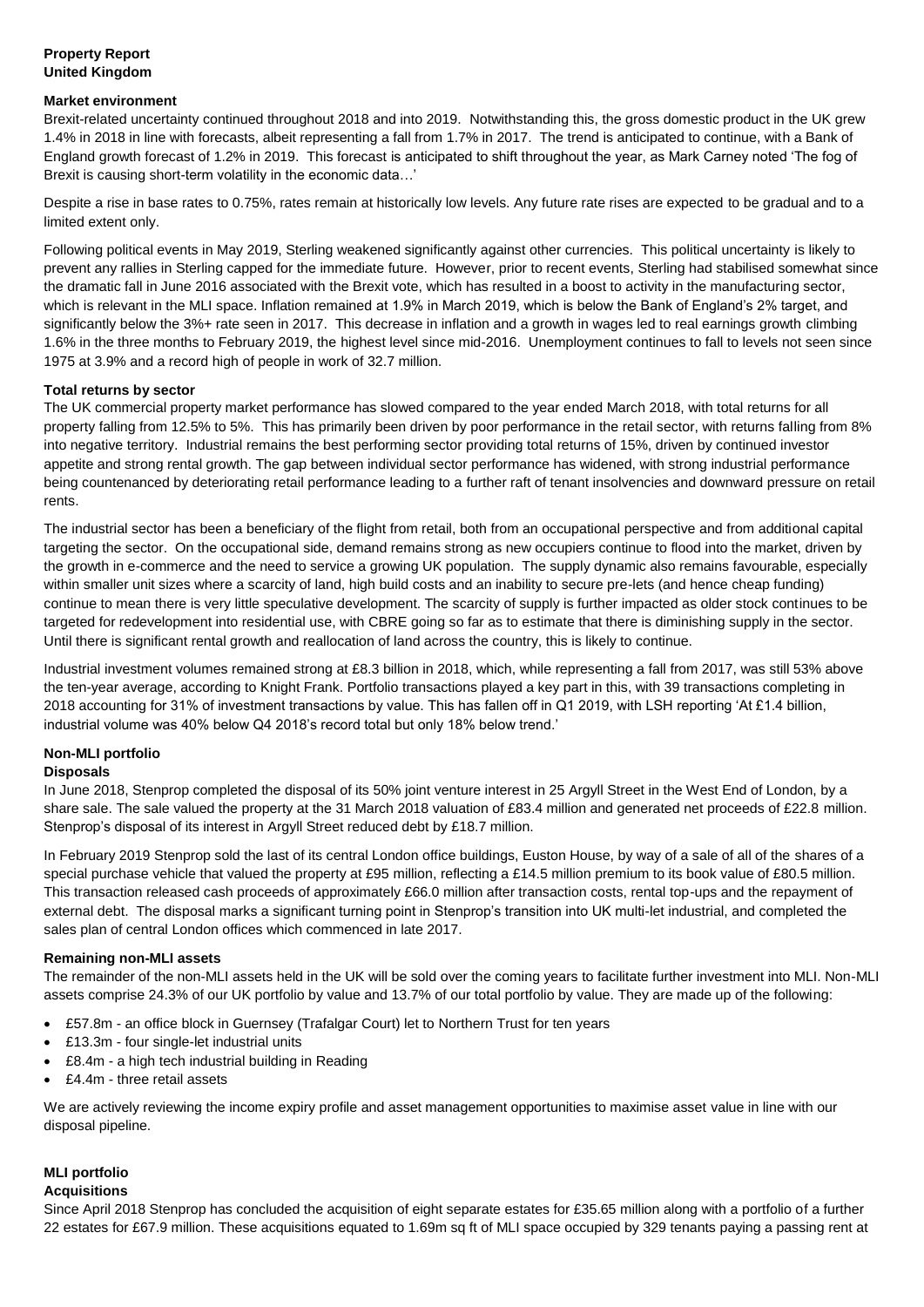## **Property Report United Kingdom**

### **Market environment**

Brexit-related uncertainty continued throughout 2018 and into 2019. Notwithstanding this, the gross domestic product in the UK grew 1.4% in 2018 in line with forecasts, albeit representing a fall from 1.7% in 2017. The trend is anticipated to continue, with a Bank of England growth forecast of 1.2% in 2019. This forecast is anticipated to shift throughout the year, as Mark Carney noted 'The fog of Brexit is causing short-term volatility in the economic data…'

Despite a rise in base rates to 0.75%, rates remain at historically low levels. Any future rate rises are expected to be gradual and to a limited extent only.

Following political events in May 2019, Sterling weakened significantly against other currencies. This political uncertainty is likely to prevent any rallies in Sterling capped for the immediate future. However, prior to recent events, Sterling had stabilised somewhat since the dramatic fall in June 2016 associated with the Brexit vote, which has resulted in a boost to activity in the manufacturing sector, which is relevant in the MLI space. Inflation remained at 1.9% in March 2019, which is below the Bank of England's 2% target, and significantly below the 3%+ rate seen in 2017. This decrease in inflation and a growth in wages led to real earnings growth climbing 1.6% in the three months to February 2019, the highest level since mid-2016. Unemployment continues to fall to levels not seen since 1975 at 3.9% and a record high of people in work of 32.7 million.

## **Total returns by sector**

The UK commercial property market performance has slowed compared to the year ended March 2018, with total returns for all property falling from 12.5% to 5%. This has primarily been driven by poor performance in the retail sector, with returns falling from 8% into negative territory. Industrial remains the best performing sector providing total returns of 15%, driven by continued investor appetite and strong rental growth. The gap between individual sector performance has widened, with strong industrial performance being countenanced by deteriorating retail performance leading to a further raft of tenant insolvencies and downward pressure on retail rents.

The industrial sector has been a beneficiary of the flight from retail, both from an occupational perspective and from additional capital targeting the sector. On the occupational side, demand remains strong as new occupiers continue to flood into the market, driven by the growth in e-commerce and the need to service a growing UK population. The supply dynamic also remains favourable, especially within smaller unit sizes where a scarcity of land, high build costs and an inability to secure pre-lets (and hence cheap funding) continue to mean there is very little speculative development. The scarcity of supply is further impacted as older stock continues to be targeted for redevelopment into residential use, with CBRE going so far as to estimate that there is diminishing supply in the sector. Until there is significant rental growth and reallocation of land across the country, this is likely to continue.

Industrial investment volumes remained strong at £8.3 billion in 2018, which, while representing a fall from 2017, was still 53% above the ten-year average, according to Knight Frank. Portfolio transactions played a key part in this, with 39 transactions completing in 2018 accounting for 31% of investment transactions by value. This has fallen off in Q1 2019, with LSH reporting 'At £1.4 billion, industrial volume was 40% below Q4 2018's record total but only 18% below trend.'

## **Non-MLI portfolio**

## **Disposals**

In June 2018, Stenprop completed the disposal of its 50% joint venture interest in 25 Argyll Street in the West End of London, by a share sale. The sale valued the property at the 31 March 2018 valuation of £83.4 million and generated net proceeds of £22.8 million. Stenprop's disposal of its interest in Argyll Street reduced debt by £18.7 million.

In February 2019 Stenprop sold the last of its central London office buildings, Euston House, by way of a sale of all of the shares of a special purchase vehicle that valued the property at £95 million, reflecting a £14.5 million premium to its book value of £80.5 million. This transaction released cash proceeds of approximately £66.0 million after transaction costs, rental top-ups and the repayment of external debt. The disposal marks a significant turning point in Stenprop's transition into UK multi-let industrial, and completed the sales plan of central London offices which commenced in late 2017.

### **Remaining non-MLI assets**

The remainder of the non-MLI assets held in the UK will be sold over the coming years to facilitate further investment into MLI. Non-MLI assets comprise 24.3% of our UK portfolio by value and 13.7% of our total portfolio by value. They are made up of the following:

- £57.8m an office block in Guernsey (Trafalgar Court) let to Northern Trust for ten years
- £13.3m four single-let industrial units
- £8.4m a high tech industrial building in Reading
- £4.4m three retail assets

We are actively reviewing the income expiry profile and asset management opportunities to maximise asset value in line with our disposal pipeline.

## **MLI portfolio**

### **Acquisitions**

Since April 2018 Stenprop has concluded the acquisition of eight separate estates for £35.65 million along with a portfolio of a further 22 estates for £67.9 million. These acquisitions equated to 1.69m sq ft of MLI space occupied by 329 tenants paying a passing rent at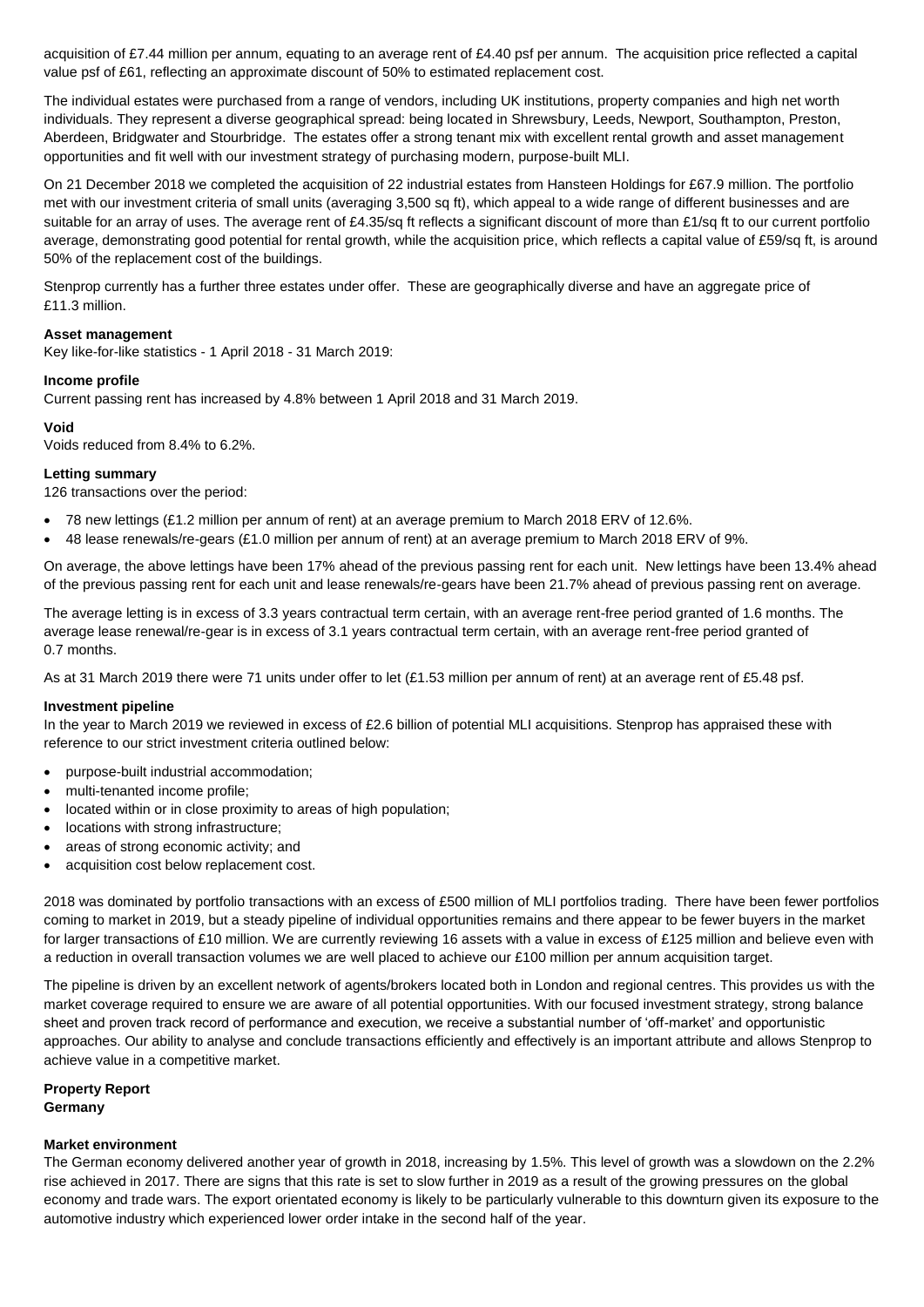acquisition of £7.44 million per annum, equating to an average rent of £4.40 psf per annum. The acquisition price reflected a capital value psf of £61, reflecting an approximate discount of 50% to estimated replacement cost.

The individual estates were purchased from a range of vendors, including UK institutions, property companies and high net worth individuals. They represent a diverse geographical spread: being located in Shrewsbury, Leeds, Newport, Southampton, Preston, Aberdeen, Bridgwater and Stourbridge. The estates offer a strong tenant mix with excellent rental growth and asset management opportunities and fit well with our investment strategy of purchasing modern, purpose-built MLI.

On 21 December 2018 we completed the acquisition of 22 industrial estates from Hansteen Holdings for £67.9 million. The portfolio met with our investment criteria of small units (averaging 3,500 sq ft), which appeal to a wide range of different businesses and are suitable for an array of uses. The average rent of £4.35/sq ft reflects a significant discount of more than £1/sq ft to our current portfolio average, demonstrating good potential for rental growth, while the acquisition price, which reflects a capital value of £59/sq ft, is around 50% of the replacement cost of the buildings.

Stenprop currently has a further three estates under offer. These are geographically diverse and have an aggregate price of £11.3 million.

### **Asset management**

Key like-for-like statistics - 1 April 2018 - 31 March 2019:

### **Income profile**

Current passing rent has increased by 4.8% between 1 April 2018 and 31 March 2019.

### **Void**

Voids reduced from 8.4% to 6.2%.

### **Letting summary**

126 transactions over the period:

- 78 new lettings (£1.2 million per annum of rent) at an average premium to March 2018 ERV of 12.6%.
- 48 lease renewals/re-gears (£1.0 million per annum of rent) at an average premium to March 2018 ERV of 9%.

On average, the above lettings have been 17% ahead of the previous passing rent for each unit. New lettings have been 13.4% ahead of the previous passing rent for each unit and lease renewals/re-gears have been 21.7% ahead of previous passing rent on average.

The average letting is in excess of 3.3 years contractual term certain, with an average rent-free period granted of 1.6 months. The average lease renewal/re-gear is in excess of 3.1 years contractual term certain, with an average rent-free period granted of 0.7 months.

As at 31 March 2019 there were 71 units under offer to let (£1.53 million per annum of rent) at an average rent of £5.48 psf.

#### **Investment pipeline**

In the year to March 2019 we reviewed in excess of £2.6 billion of potential MLI acquisitions. Stenprop has appraised these with reference to our strict investment criteria outlined below:

- purpose-built industrial accommodation;
- multi-tenanted income profile;
- located within or in close proximity to areas of high population;
- locations with strong infrastructure;
- areas of strong economic activity; and
- acquisition cost below replacement cost.

2018 was dominated by portfolio transactions with an excess of £500 million of MLI portfolios trading. There have been fewer portfolios coming to market in 2019, but a steady pipeline of individual opportunities remains and there appear to be fewer buyers in the market for larger transactions of £10 million. We are currently reviewing 16 assets with a value in excess of £125 million and believe even with a reduction in overall transaction volumes we are well placed to achieve our £100 million per annum acquisition target.

The pipeline is driven by an excellent network of agents/brokers located both in London and regional centres. This provides us with the market coverage required to ensure we are aware of all potential opportunities. With our focused investment strategy, strong balance sheet and proven track record of performance and execution, we receive a substantial number of 'off-market' and opportunistic approaches. Our ability to analyse and conclude transactions efficiently and effectively is an important attribute and allows Stenprop to achieve value in a competitive market.

## **Property Report Germany**

#### **Market environment**

The German economy delivered another year of growth in 2018, increasing by 1.5%. This level of growth was a slowdown on the 2.2% rise achieved in 2017. There are signs that this rate is set to slow further in 2019 as a result of the growing pressures on the global economy and trade wars. The export orientated economy is likely to be particularly vulnerable to this downturn given its exposure to the automotive industry which experienced lower order intake in the second half of the year.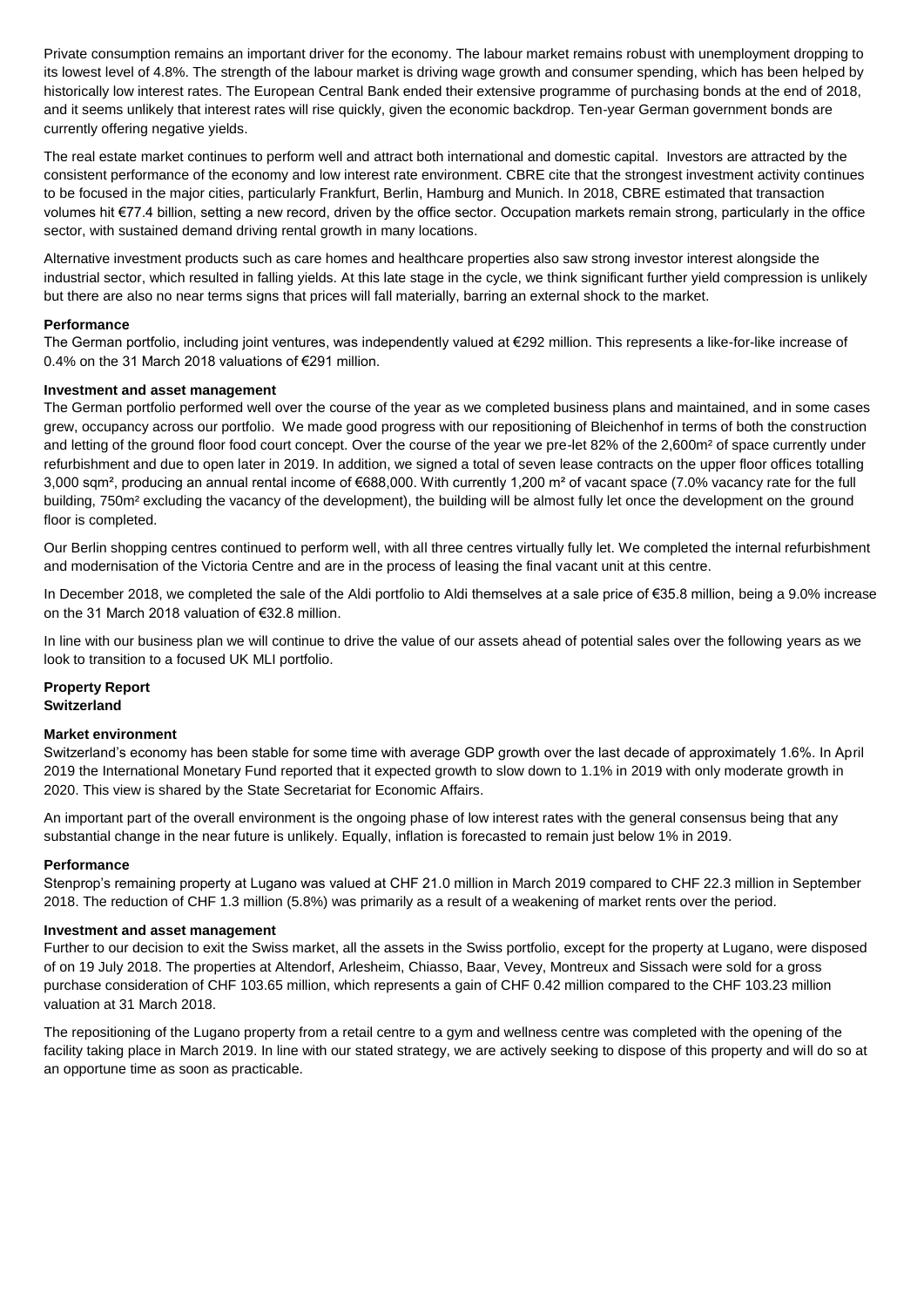Private consumption remains an important driver for the economy. The labour market remains robust with unemployment dropping to its lowest level of 4.8%. The strength of the labour market is driving wage growth and consumer spending, which has been helped by historically low interest rates. The European Central Bank ended their extensive programme of purchasing bonds at the end of 2018, and it seems unlikely that interest rates will rise quickly, given the economic backdrop. Ten-year German government bonds are currently offering negative yields.

The real estate market continues to perform well and attract both international and domestic capital. Investors are attracted by the consistent performance of the economy and low interest rate environment. CBRE cite that the strongest investment activity continues to be focused in the major cities, particularly Frankfurt, Berlin, Hamburg and Munich. In 2018, CBRE estimated that transaction volumes hit €77.4 billion, setting a new record, driven by the office sector. Occupation markets remain strong, particularly in the office sector, with sustained demand driving rental growth in many locations.

Alternative investment products such as care homes and healthcare properties also saw strong investor interest alongside the industrial sector, which resulted in falling yields. At this late stage in the cycle, we think significant further yield compression is unlikely but there are also no near terms signs that prices will fall materially, barring an external shock to the market.

### **Performance**

The German portfolio, including joint ventures, was independently valued at €292 million. This represents a like-for-like increase of 0.4% on the 31 March 2018 valuations of €291 million.

### **Investment and asset management**

The German portfolio performed well over the course of the year as we completed business plans and maintained, and in some cases grew, occupancy across our portfolio. We made good progress with our repositioning of Bleichenhof in terms of both the construction and letting of the ground floor food court concept. Over the course of the year we pre-let 82% of the 2,600m² of space currently under refurbishment and due to open later in 2019. In addition, we signed a total of seven lease contracts on the upper floor offices totalling 3,000 sqm², producing an annual rental income of €688,000. With currently 1,200 m² of vacant space (7.0% vacancy rate for the full building, 750m² excluding the vacancy of the development), the building will be almost fully let once the development on the ground floor is completed.

Our Berlin shopping centres continued to perform well, with all three centres virtually fully let. We completed the internal refurbishment and modernisation of the Victoria Centre and are in the process of leasing the final vacant unit at this centre.

In December 2018, we completed the sale of the Aldi portfolio to Aldi themselves at a sale price of €35.8 million, being a 9.0% increase on the 31 March 2018 valuation of €32.8 million.

In line with our business plan we will continue to drive the value of our assets ahead of potential sales over the following years as we look to transition to a focused UK MLI portfolio.

### **Property Report Switzerland**

#### **Market environment**

Switzerland's economy has been stable for some time with average GDP growth over the last decade of approximately 1.6%. In April 2019 the International Monetary Fund reported that it expected growth to slow down to 1.1% in 2019 with only moderate growth in 2020. This view is shared by the State Secretariat for Economic Affairs.

An important part of the overall environment is the ongoing phase of low interest rates with the general consensus being that any substantial change in the near future is unlikely. Equally, inflation is forecasted to remain just below 1% in 2019.

### **Performance**

Stenprop's remaining property at Lugano was valued at CHF 21.0 million in March 2019 compared to CHF 22.3 million in September 2018. The reduction of CHF 1.3 million (5.8%) was primarily as a result of a weakening of market rents over the period.

#### **Investment and asset management**

Further to our decision to exit the Swiss market, all the assets in the Swiss portfolio, except for the property at Lugano, were disposed of on 19 July 2018. The properties at Altendorf, Arlesheim, Chiasso, Baar, Vevey, Montreux and Sissach were sold for a gross purchase consideration of CHF 103.65 million, which represents a gain of CHF 0.42 million compared to the CHF 103.23 million valuation at 31 March 2018.

The repositioning of the Lugano property from a retail centre to a gym and wellness centre was completed with the opening of the facility taking place in March 2019. In line with our stated strategy, we are actively seeking to dispose of this property and will do so at an opportune time as soon as practicable.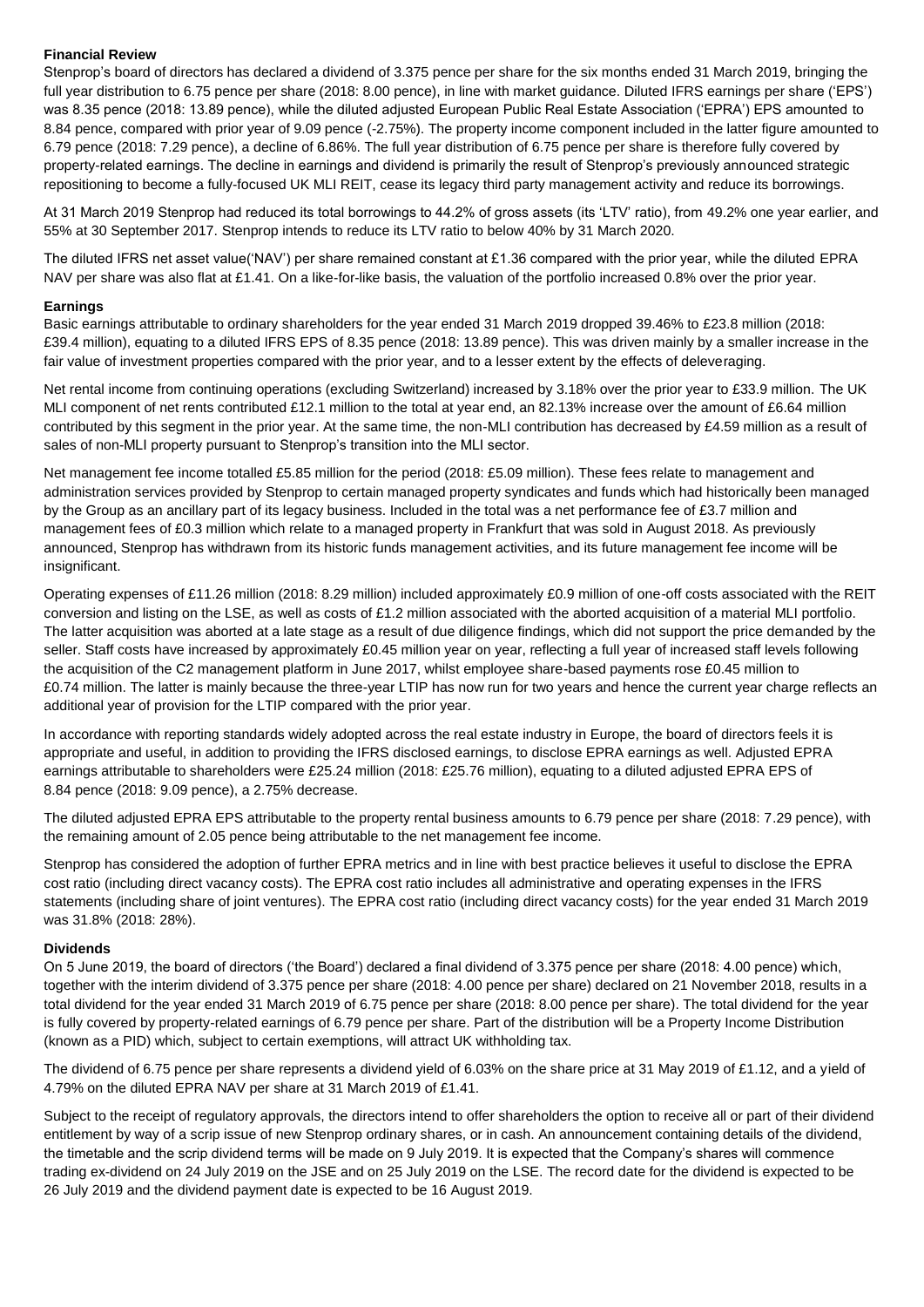## **Financial Review**

Stenprop's board of directors has declared a dividend of 3.375 pence per share for the six months ended 31 March 2019, bringing the full year distribution to 6.75 pence per share (2018: 8.00 pence), in line with market guidance. Diluted IFRS earnings per share ('EPS') was 8.35 pence (2018: 13.89 pence), while the diluted adjusted European Public Real Estate Association ('EPRA') EPS amounted to 8.84 pence, compared with prior year of 9.09 pence (-2.75%). The property income component included in the latter figure amounted to 6.79 pence (2018: 7.29 pence), a decline of 6.86%. The full year distribution of 6.75 pence per share is therefore fully covered by property-related earnings. The decline in earnings and dividend is primarily the result of Stenprop's previously announced strategic repositioning to become a fully-focused UK MLI REIT, cease its legacy third party management activity and reduce its borrowings.

At 31 March 2019 Stenprop had reduced its total borrowings to 44.2% of gross assets (its 'LTV' ratio), from 49.2% one year earlier, and 55% at 30 September 2017. Stenprop intends to reduce its LTV ratio to below 40% by 31 March 2020.

The diluted IFRS net asset value('NAV') per share remained constant at £1.36 compared with the prior year, while the diluted EPRA NAV per share was also flat at £1.41. On a like-for-like basis, the valuation of the portfolio increased 0.8% over the prior year.

### **Earnings**

Basic earnings attributable to ordinary shareholders for the year ended 31 March 2019 dropped 39.46% to £23.8 million (2018: £39.4 million), equating to a diluted IFRS EPS of 8.35 pence (2018: 13.89 pence). This was driven mainly by a smaller increase in the fair value of investment properties compared with the prior year, and to a lesser extent by the effects of deleveraging.

Net rental income from continuing operations (excluding Switzerland) increased by 3.18% over the prior year to £33.9 million. The UK MLI component of net rents contributed £12.1 million to the total at year end, an 82.13% increase over the amount of £6.64 million contributed by this segment in the prior year. At the same time, the non-MLI contribution has decreased by £4.59 million as a result of sales of non-MLI property pursuant to Stenprop's transition into the MLI sector.

Net management fee income totalled £5.85 million for the period (2018: £5.09 million). These fees relate to management and administration services provided by Stenprop to certain managed property syndicates and funds which had historically been managed by the Group as an ancillary part of its legacy business. Included in the total was a net performance fee of £3.7 million and management fees of £0.3 million which relate to a managed property in Frankfurt that was sold in August 2018. As previously announced, Stenprop has withdrawn from its historic funds management activities, and its future management fee income will be insignificant.

Operating expenses of £11.26 million (2018: 8.29 million) included approximately £0.9 million of one-off costs associated with the REIT conversion and listing on the LSE, as well as costs of £1.2 million associated with the aborted acquisition of a material MLI portfolio. The latter acquisition was aborted at a late stage as a result of due diligence findings, which did not support the price demanded by the seller. Staff costs have increased by approximately £0.45 million year on year, reflecting a full year of increased staff levels following the acquisition of the C2 management platform in June 2017, whilst employee share-based payments rose £0.45 million to £0.74 million. The latter is mainly because the three-year LTIP has now run for two years and hence the current year charge reflects an additional year of provision for the LTIP compared with the prior year.

In accordance with reporting standards widely adopted across the real estate industry in Europe, the board of directors feels it is appropriate and useful, in addition to providing the IFRS disclosed earnings, to disclose EPRA earnings as well. Adjusted EPRA earnings attributable to shareholders were £25.24 million (2018: £25.76 million), equating to a diluted adjusted EPRA EPS of 8.84 pence (2018: 9.09 pence), a 2.75% decrease.

The diluted adjusted EPRA EPS attributable to the property rental business amounts to 6.79 pence per share (2018: 7.29 pence), with the remaining amount of 2.05 pence being attributable to the net management fee income.

Stenprop has considered the adoption of further EPRA metrics and in line with best practice believes it useful to disclose the EPRA cost ratio (including direct vacancy costs). The EPRA cost ratio includes all administrative and operating expenses in the IFRS statements (including share of joint ventures). The EPRA cost ratio (including direct vacancy costs) for the year ended 31 March 2019 was 31.8% (2018: 28%).

#### **Dividends**

On 5 June 2019, the board of directors ('the Board') declared a final dividend of 3.375 pence per share (2018: 4.00 pence) which, together with the interim dividend of 3.375 pence per share (2018: 4.00 pence per share) declared on 21 November 2018, results in a total dividend for the year ended 31 March 2019 of 6.75 pence per share (2018: 8.00 pence per share). The total dividend for the year is fully covered by property-related earnings of 6.79 pence per share. Part of the distribution will be a Property Income Distribution (known as a PID) which, subject to certain exemptions, will attract UK withholding tax.

The dividend of 6.75 pence per share represents a dividend yield of 6.03% on the share price at 31 May 2019 of £1.12, and a yield of 4.79% on the diluted EPRA NAV per share at 31 March 2019 of £1.41.

Subject to the receipt of regulatory approvals, the directors intend to offer shareholders the option to receive all or part of their dividend entitlement by way of a scrip issue of new Stenprop ordinary shares, or in cash. An announcement containing details of the dividend, the timetable and the scrip dividend terms will be made on 9 July 2019. It is expected that the Company's shares will commence trading ex-dividend on 24 July 2019 on the JSE and on 25 July 2019 on the LSE. The record date for the dividend is expected to be 26 July 2019 and the dividend payment date is expected to be 16 August 2019.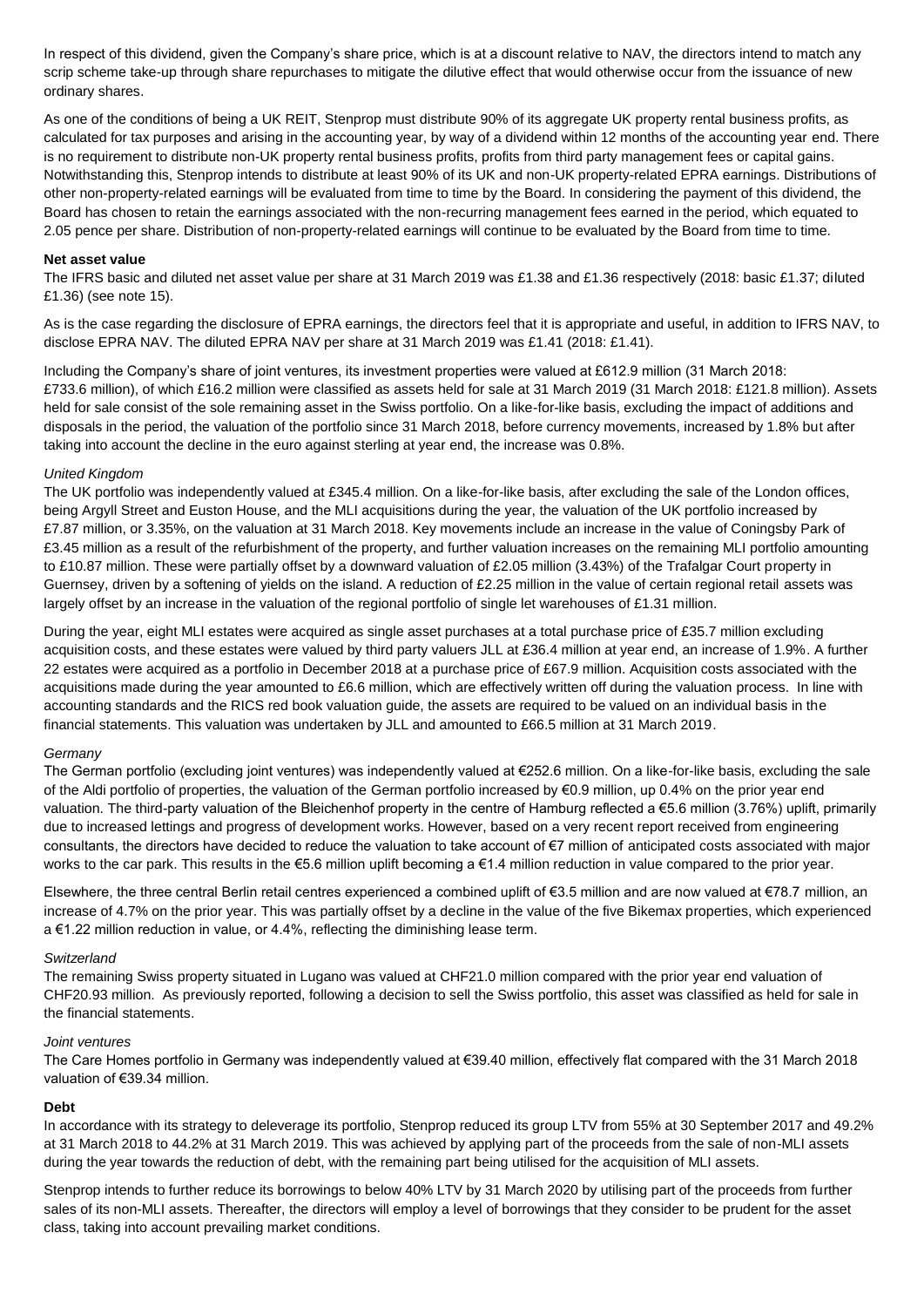In respect of this dividend, given the Company's share price, which is at a discount relative to NAV, the directors intend to match any scrip scheme take-up through share repurchases to mitigate the dilutive effect that would otherwise occur from the issuance of new ordinary shares.

As one of the conditions of being a UK REIT, Stenprop must distribute 90% of its aggregate UK property rental business profits, as calculated for tax purposes and arising in the accounting year, by way of a dividend within 12 months of the accounting year end. There is no requirement to distribute non-UK property rental business profits, profits from third party management fees or capital gains. Notwithstanding this, Stenprop intends to distribute at least 90% of its UK and non-UK property-related EPRA earnings. Distributions of other non-property-related earnings will be evaluated from time to time by the Board. In considering the payment of this dividend, the Board has chosen to retain the earnings associated with the non-recurring management fees earned in the period, which equated to 2.05 pence per share. Distribution of non-property-related earnings will continue to be evaluated by the Board from time to time.

#### **Net asset value**

The IFRS basic and diluted net asset value per share at 31 March 2019 was £1.38 and £1.36 respectively (2018: basic £1.37; diluted £1.36) (see note 15).

As is the case regarding the disclosure of EPRA earnings, the directors feel that it is appropriate and useful, in addition to IFRS NAV, to disclose EPRA NAV. The diluted EPRA NAV per share at 31 March 2019 was £1.41 (2018: £1.41).

Including the Company's share of joint ventures, its investment properties were valued at £612.9 million (31 March 2018: £733.6 million), of which £16.2 million were classified as assets held for sale at 31 March 2019 (31 March 2018: £121.8 million). Assets held for sale consist of the sole remaining asset in the Swiss portfolio. On a like-for-like basis, excluding the impact of additions and disposals in the period, the valuation of the portfolio since 31 March 2018, before currency movements, increased by 1.8% but after taking into account the decline in the euro against sterling at year end, the increase was 0.8%.

### *United Kingdom*

The UK portfolio was independently valued at £345.4 million. On a like-for-like basis, after excluding the sale of the London offices, being Argyll Street and Euston House, and the MLI acquisitions during the year, the valuation of the UK portfolio increased by £7.87 million, or 3.35%, on the valuation at 31 March 2018. Key movements include an increase in the value of Coningsby Park of £3.45 million as a result of the refurbishment of the property, and further valuation increases on the remaining MLI portfolio amounting to £10.87 million. These were partially offset by a downward valuation of £2.05 million (3.43%) of the Trafalgar Court property in Guernsey, driven by a softening of yields on the island. A reduction of £2.25 million in the value of certain regional retail assets was largely offset by an increase in the valuation of the regional portfolio of single let warehouses of £1.31 million.

During the year, eight MLI estates were acquired as single asset purchases at a total purchase price of £35.7 million excluding acquisition costs, and these estates were valued by third party valuers JLL at £36.4 million at year end, an increase of 1.9%. A further 22 estates were acquired as a portfolio in December 2018 at a purchase price of £67.9 million. Acquisition costs associated with the acquisitions made during the year amounted to £6.6 million, which are effectively written off during the valuation process. In line with accounting standards and the RICS red book valuation guide, the assets are required to be valued on an individual basis in the financial statements. This valuation was undertaken by JLL and amounted to £66.5 million at 31 March 2019.

### *Germany*

The German portfolio (excluding joint ventures) was independently valued at €252.6 million. On a like-for-like basis, excluding the sale of the Aldi portfolio of properties, the valuation of the German portfolio increased by  $\epsilon$ 0.9 million, up 0.4% on the prior year end valuation. The third-party valuation of the Bleichenhof property in the centre of Hamburg reflected a €5.6 million (3.76%) uplift, primarily due to increased lettings and progress of development works. However, based on a very recent report received from engineering consultants, the directors have decided to reduce the valuation to take account of €7 million of anticipated costs associated with major works to the car park. This results in the €5.6 million uplift becoming a €1.4 million reduction in value compared to the prior year.

Elsewhere, the three central Berlin retail centres experienced a combined uplift of €3.5 million and are now valued at €78.7 million, an increase of 4.7% on the prior year. This was partially offset by a decline in the value of the five Bikemax properties, which experienced a €1.22 million reduction in value, or 4.4%, reflecting the diminishing lease term.

#### *Switzerland*

The remaining Swiss property situated in Lugano was valued at CHF21.0 million compared with the prior year end valuation of CHF20.93 million. As previously reported, following a decision to sell the Swiss portfolio, this asset was classified as held for sale in the financial statements.

#### *Joint ventures*

The Care Homes portfolio in Germany was independently valued at €39.40 million, effectively flat compared with the 31 March 2018 valuation of €39.34 million.

#### **Debt**

In accordance with its strategy to deleverage its portfolio, Stenprop reduced its group LTV from 55% at 30 September 2017 and 49.2% at 31 March 2018 to 44.2% at 31 March 2019. This was achieved by applying part of the proceeds from the sale of non-MLI assets during the year towards the reduction of debt, with the remaining part being utilised for the acquisition of MLI assets.

Stenprop intends to further reduce its borrowings to below 40% LTV by 31 March 2020 by utilising part of the proceeds from further sales of its non-MLI assets. Thereafter, the directors will employ a level of borrowings that they consider to be prudent for the asset class, taking into account prevailing market conditions.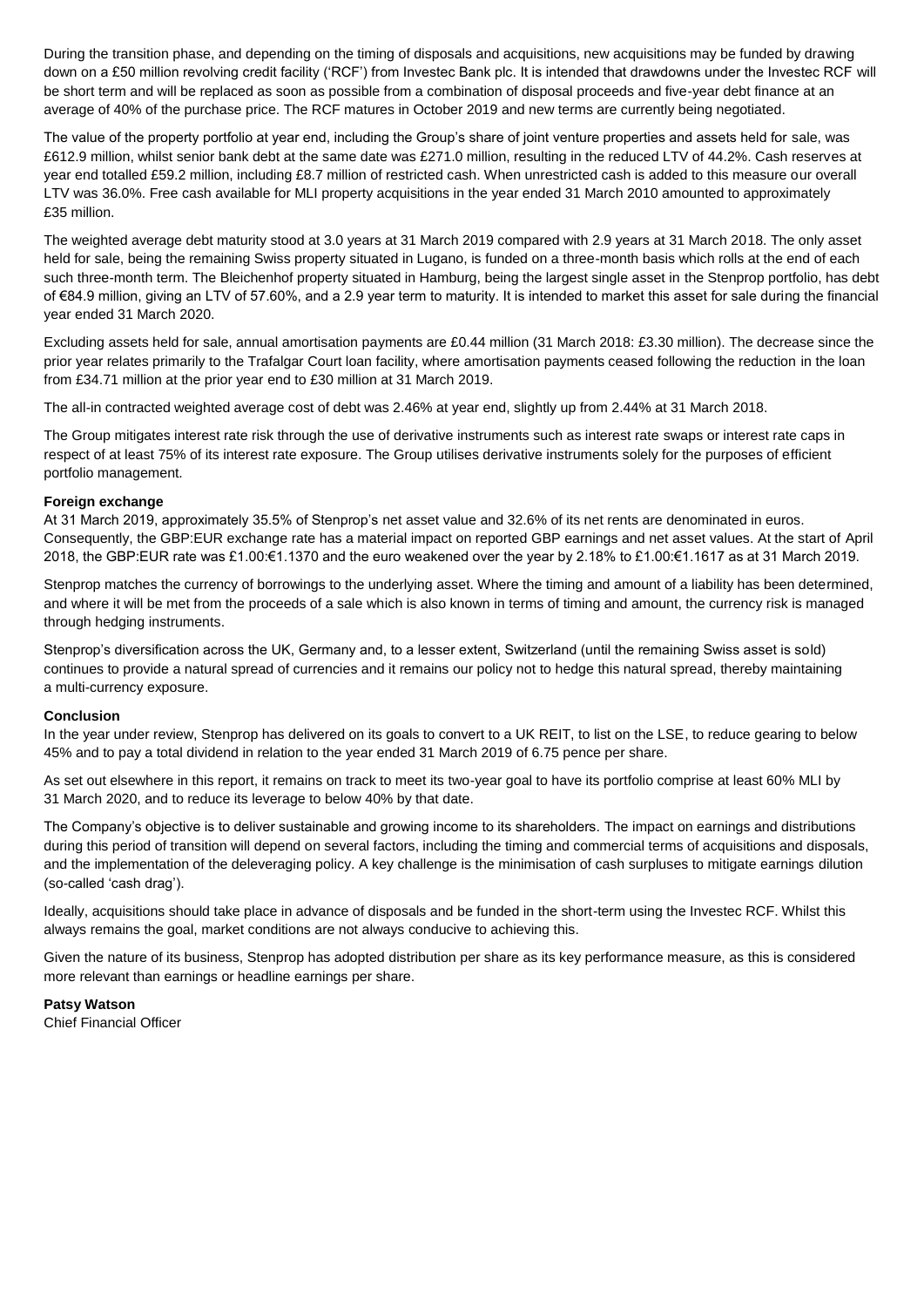During the transition phase, and depending on the timing of disposals and acquisitions, new acquisitions may be funded by drawing down on a £50 million revolving credit facility ('RCF') from Investec Bank plc. It is intended that drawdowns under the Investec RCF will be short term and will be replaced as soon as possible from a combination of disposal proceeds and five-year debt finance at an average of 40% of the purchase price. The RCF matures in October 2019 and new terms are currently being negotiated.

The value of the property portfolio at year end, including the Group's share of joint venture properties and assets held for sale, was £612.9 million, whilst senior bank debt at the same date was £271.0 million, resulting in the reduced LTV of 44.2%. Cash reserves at year end totalled £59.2 million, including £8.7 million of restricted cash. When unrestricted cash is added to this measure our overall LTV was 36.0%. Free cash available for MLI property acquisitions in the year ended 31 March 2010 amounted to approximately £35 million.

The weighted average debt maturity stood at 3.0 years at 31 March 2019 compared with 2.9 years at 31 March 2018. The only asset held for sale, being the remaining Swiss property situated in Lugano, is funded on a three-month basis which rolls at the end of each such three-month term. The Bleichenhof property situated in Hamburg, being the largest single asset in the Stenprop portfolio, has debt of €84.9 million, giving an LTV of 57.60%, and a 2.9 year term to maturity. It is intended to market this asset for sale during the financial year ended 31 March 2020.

Excluding assets held for sale, annual amortisation payments are £0.44 million (31 March 2018: £3.30 million). The decrease since the prior year relates primarily to the Trafalgar Court loan facility, where amortisation payments ceased following the reduction in the loan from £34.71 million at the prior year end to £30 million at 31 March 2019.

The all-in contracted weighted average cost of debt was 2.46% at year end, slightly up from 2.44% at 31 March 2018.

The Group mitigates interest rate risk through the use of derivative instruments such as interest rate swaps or interest rate caps in respect of at least 75% of its interest rate exposure. The Group utilises derivative instruments solely for the purposes of efficient portfolio management.

### **Foreign exchange**

At 31 March 2019, approximately 35.5% of Stenprop's net asset value and 32.6% of its net rents are denominated in euros. Consequently, the GBP:EUR exchange rate has a material impact on reported GBP earnings and net asset values. At the start of April 2018, the GBP:EUR rate was £1.00:€1.1370 and the euro weakened over the year by 2.18% to £1.00:€1.1617 as at 31 March 2019.

Stenprop matches the currency of borrowings to the underlying asset. Where the timing and amount of a liability has been determined, and where it will be met from the proceeds of a sale which is also known in terms of timing and amount, the currency risk is managed through hedging instruments.

Stenprop's diversification across the UK, Germany and, to a lesser extent, Switzerland (until the remaining Swiss asset is sold) continues to provide a natural spread of currencies and it remains our policy not to hedge this natural spread, thereby maintaining a multi-currency exposure.

#### **Conclusion**

In the year under review, Stenprop has delivered on its goals to convert to a UK REIT, to list on the LSE, to reduce gearing to below 45% and to pay a total dividend in relation to the year ended 31 March 2019 of 6.75 pence per share.

As set out elsewhere in this report, it remains on track to meet its two-year goal to have its portfolio comprise at least 60% MLI by 31 March 2020, and to reduce its leverage to below 40% by that date.

The Company's objective is to deliver sustainable and growing income to its shareholders. The impact on earnings and distributions during this period of transition will depend on several factors, including the timing and commercial terms of acquisitions and disposals, and the implementation of the deleveraging policy. A key challenge is the minimisation of cash surpluses to mitigate earnings dilution (so-called 'cash drag').

Ideally, acquisitions should take place in advance of disposals and be funded in the short-term using the Investec RCF. Whilst this always remains the goal, market conditions are not always conducive to achieving this.

Given the nature of its business, Stenprop has adopted distribution per share as its key performance measure, as this is considered more relevant than earnings or headline earnings per share.

**Patsy Watson** Chief Financial Officer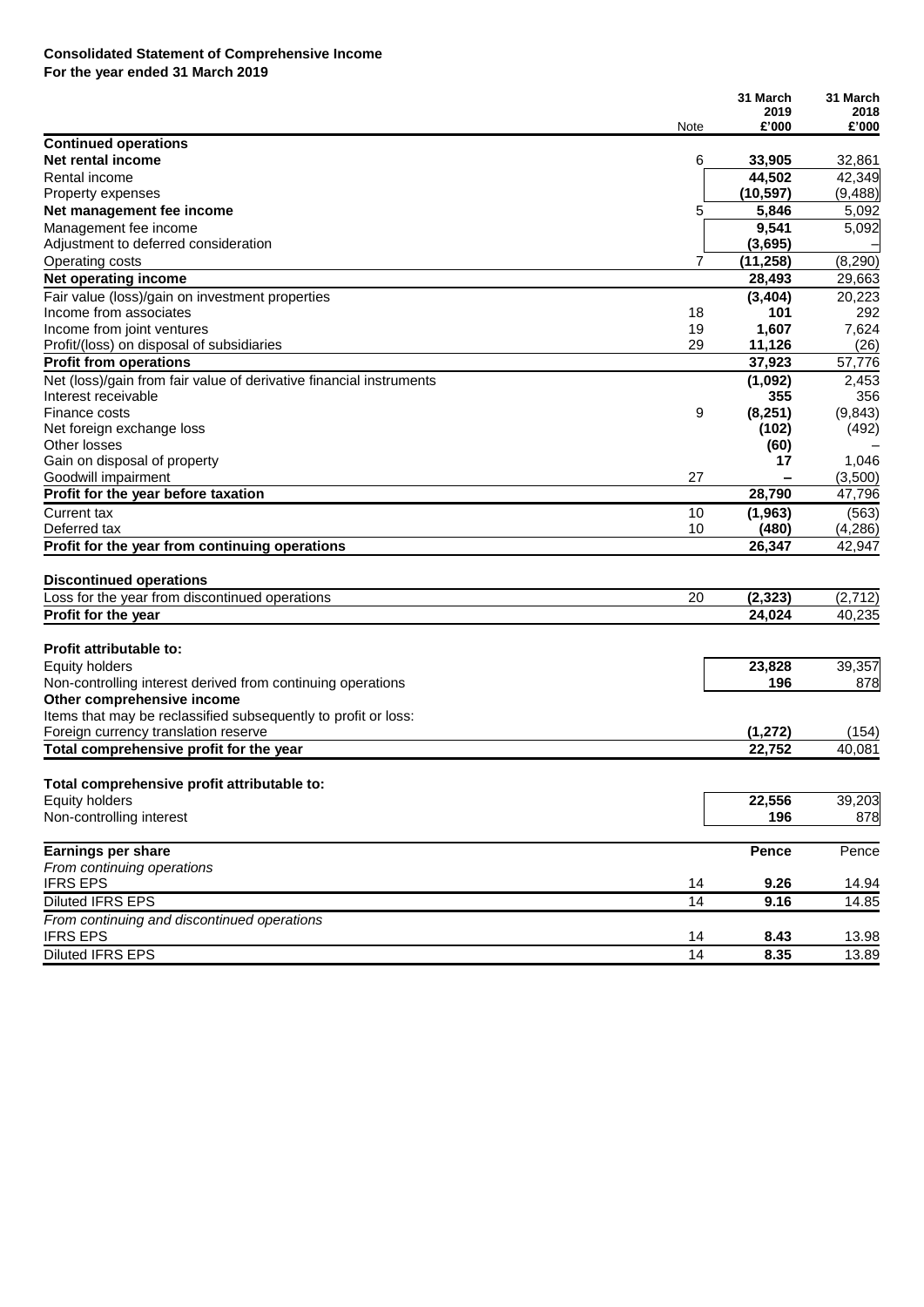## **Consolidated Statement of Comprehensive Income For the year ended 31 March 2019**

|                                                                     | Note | 31 March<br>2019<br>£'000 | 31 March<br>2018<br>£'000 |
|---------------------------------------------------------------------|------|---------------------------|---------------------------|
| <b>Continued operations</b>                                         |      |                           |                           |
| <b>Net rental income</b>                                            | 6    | 33,905                    | 32,861                    |
| Rental income                                                       |      | 44,502                    | 42,349                    |
| <b>Property expenses</b>                                            |      | (10, 597)                 | (9, 488)                  |
| Net management fee income                                           | 5    | 5,846                     | 5,092                     |
| Management fee income                                               |      | 9,541                     | 5,092                     |
| Adjustment to deferred consideration                                |      | (3,695)                   |                           |
| Operating costs                                                     | 7    | (11, 258)                 | (8, 290)                  |
| Net operating income                                                |      | 28,493                    | 29,663                    |
| Fair value (loss)/gain on investment properties                     |      | (3, 404)                  | 20,223                    |
| Income from associates                                              | 18   | 101                       | 292                       |
| Income from joint ventures                                          | 19   | 1,607                     | 7,624                     |
| Profit/(loss) on disposal of subsidiaries                           | 29   | 11,126                    | (26)                      |
| <b>Profit from operations</b>                                       |      | 37,923                    | 57,776                    |
| Net (loss)/gain from fair value of derivative financial instruments |      | (1,092)                   | 2,453                     |
| Interest receivable                                                 |      | 355                       | 356                       |
| Finance costs                                                       | 9    | (8, 251)                  | (9,843)                   |
| Net foreign exchange loss                                           |      | (102)                     | (492)                     |
| Other losses                                                        |      | (60)                      |                           |
| Gain on disposal of property                                        |      | 17                        | 1,046                     |
| Goodwill impairment                                                 | 27   | -                         | (3,500)                   |
| Profit for the year before taxation                                 |      | 28,790                    | 47,796                    |
| Current tax                                                         | 10   | (1, 963)                  | (563)                     |
| Deferred tax                                                        | 10   | (480)                     | (4,286)                   |
| Profit for the year from continuing operations                      |      | 26,347                    | 42,947                    |
| <b>Discontinued operations</b>                                      |      |                           |                           |
| Loss for the year from discontinued operations                      | 20   | (2, 323)                  | (2,712)                   |
| Profit for the year                                                 |      | 24,024                    | 40,235                    |
| <b>Profit attributable to:</b>                                      |      |                           |                           |
| <b>Equity holders</b>                                               |      | 23,828                    | 39,357                    |
| Non-controlling interest derived from continuing operations         |      | 196                       | 878                       |
| Other comprehensive income                                          |      |                           |                           |
| Items that may be reclassified subsequently to profit or loss:      |      |                           |                           |
| Foreign currency translation reserve                                |      | (1, 272)                  | (154)                     |
| Total comprehensive profit for the year                             |      | 22,752                    | 40,081                    |
| Total comprehensive profit attributable to:                         |      |                           |                           |
| <b>Equity holders</b>                                               |      | 22,556                    | 39,203                    |
| Non-controlling interest                                            |      | 196                       | 878                       |
| Earnings per share                                                  |      | Pence                     | Pence                     |
| From continuing operations<br><b>IFRS EPS</b>                       | 14   | 9.26                      | 14.94                     |
| <b>Diluted IFRS EPS</b>                                             | 14   | 9.16                      | 14.85                     |
| From continuing and discontinued operations                         |      |                           |                           |
| <b>IFRS EPS</b>                                                     | 14   | 8.43                      | 13.98                     |
| <b>Diluted IFRS EPS</b>                                             | 14   | 8.35                      | 13.89                     |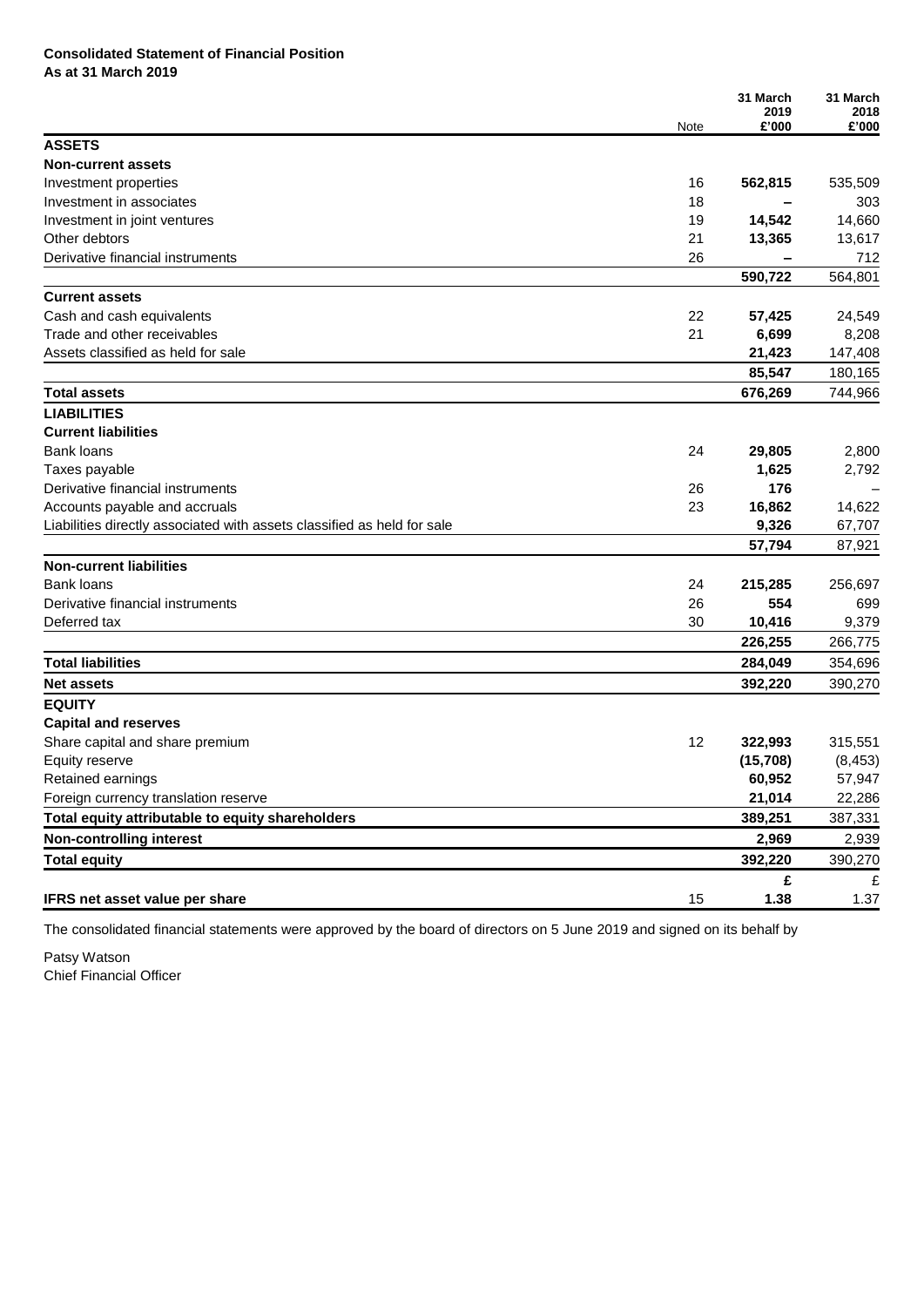### **Consolidated Statement of Financial Position As at 31 March 2019**

|                                                                         | Note | 31 March<br>2019<br>£'000 | 31 March<br>2018<br>£'000 |
|-------------------------------------------------------------------------|------|---------------------------|---------------------------|
| <b>ASSETS</b>                                                           |      |                           |                           |
| <b>Non-current assets</b>                                               |      |                           |                           |
| Investment properties                                                   | 16   | 562,815                   | 535,509                   |
| Investment in associates                                                | 18   |                           | 303                       |
| Investment in joint ventures                                            | 19   | 14,542                    | 14,660                    |
| Other debtors                                                           | 21   | 13,365                    | 13,617                    |
| Derivative financial instruments                                        | 26   |                           | 712                       |
|                                                                         |      | 590,722                   | 564,801                   |
| <b>Current assets</b>                                                   |      |                           |                           |
| Cash and cash equivalents                                               | 22   | 57,425                    | 24,549                    |
| Trade and other receivables                                             | 21   | 6,699                     | 8,208                     |
| Assets classified as held for sale                                      |      | 21,423                    | 147,408                   |
|                                                                         |      | 85,547                    | 180,165                   |
| <b>Total assets</b>                                                     |      | 676,269                   | 744,966                   |
| <b>LIABILITIES</b>                                                      |      |                           |                           |
| <b>Current liabilities</b>                                              |      |                           |                           |
| Bank loans                                                              | 24   | 29,805                    | 2,800                     |
| Taxes payable                                                           |      | 1,625                     | 2,792                     |
| Derivative financial instruments                                        | 26   | 176                       |                           |
| Accounts payable and accruals                                           | 23   | 16,862                    | 14,622                    |
| Liabilities directly associated with assets classified as held for sale |      | 9,326                     | 67,707                    |
|                                                                         |      | 57,794                    | 87,921                    |
| <b>Non-current liabilities</b>                                          |      |                           |                           |
| <b>Bank loans</b>                                                       | 24   | 215,285                   | 256,697                   |
| Derivative financial instruments                                        | 26   | 554                       | 699                       |
| Deferred tax                                                            | 30   | 10,416                    | 9,379                     |
|                                                                         |      | 226,255                   | 266,775                   |
| <b>Total liabilities</b>                                                |      | 284,049                   | 354,696                   |
| <b>Net assets</b>                                                       |      | 392,220                   | 390,270                   |
| <b>EQUITY</b>                                                           |      |                           |                           |
| <b>Capital and reserves</b>                                             |      |                           |                           |
| Share capital and share premium                                         | 12   | 322,993                   | 315,551                   |
| Equity reserve                                                          |      | (15, 708)                 | (8, 453)                  |
| Retained earnings                                                       |      | 60,952                    | 57,947                    |
| Foreign currency translation reserve                                    |      | 21,014                    | 22,286                    |
| Total equity attributable to equity shareholders                        |      | 389,251                   | 387,331                   |
| <b>Non-controlling interest</b>                                         |      | 2,969                     | 2,939                     |
| <b>Total equity</b>                                                     |      | 392,220                   | 390,270                   |
|                                                                         |      | £                         | £                         |
| IFRS net asset value per share                                          | 15   | 1.38                      | 1.37                      |

The consolidated financial statements were approved by the board of directors on 5 June 2019 and signed on its behalf by

Patsy Watson Chief Financial Officer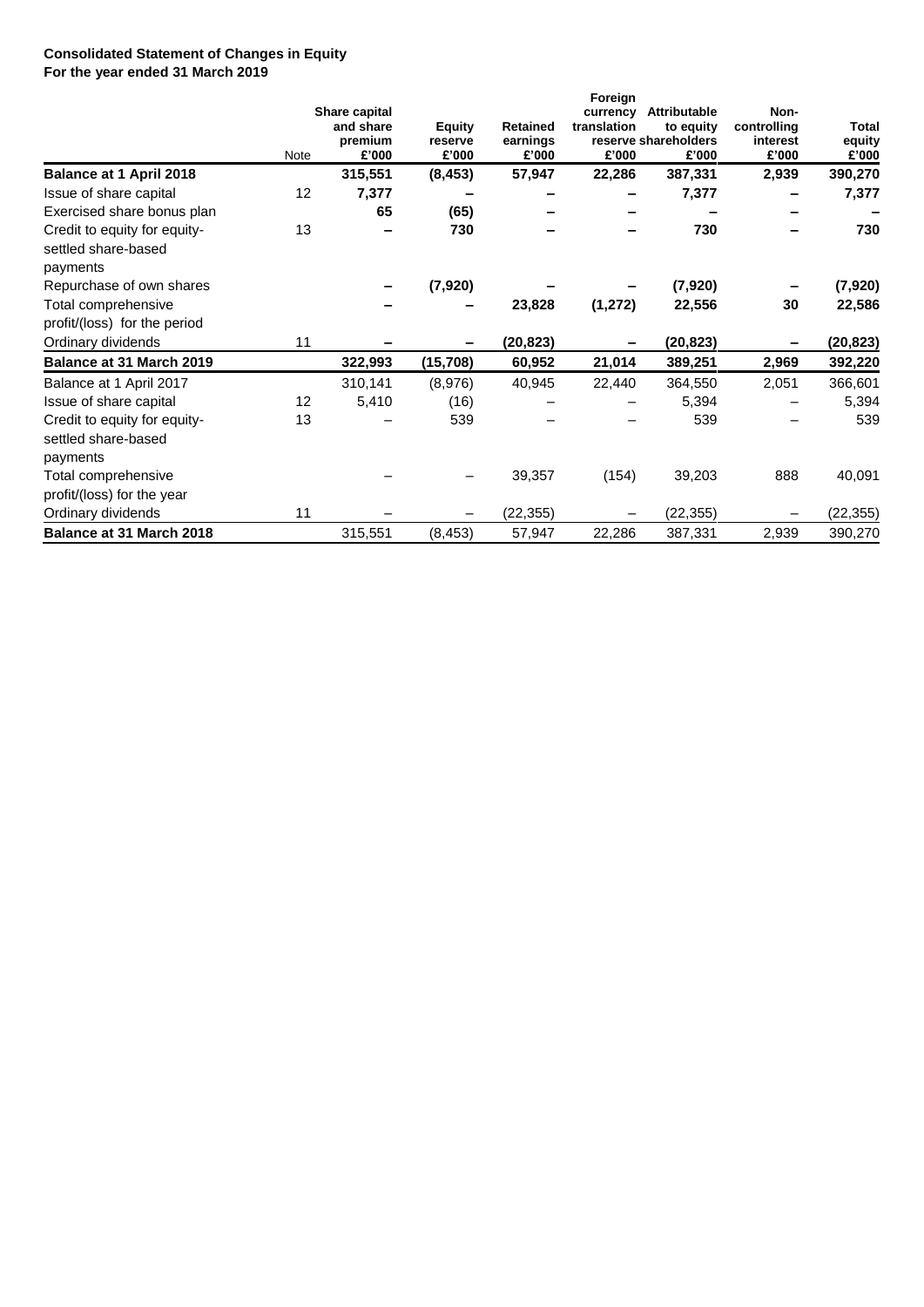## **Consolidated Statement of Changes in Equity For the year ended 31 March 2019**

|                                                                 | Note | Share capital<br>and share<br>premium<br>£'000 | <b>Equity</b><br>reserve<br>£'000 | <b>Retained</b><br>earnings<br>£'000 | Foreign<br>currency<br>translation<br>£'000 | <b>Attributable</b><br>to equity<br>reserve shareholders<br>£'000 | Non-<br>controlling<br>interest<br>£'000 | Total<br>equity<br>£'000 |
|-----------------------------------------------------------------|------|------------------------------------------------|-----------------------------------|--------------------------------------|---------------------------------------------|-------------------------------------------------------------------|------------------------------------------|--------------------------|
| <b>Balance at 1 April 2018</b>                                  |      | 315,551                                        | (8, 453)                          | 57,947                               | 22,286                                      | 387,331                                                           | 2,939                                    | 390,270                  |
| Issue of share capital                                          | 12   | 7,377                                          |                                   |                                      |                                             | 7,377                                                             |                                          | 7,377                    |
| Exercised share bonus plan                                      |      | 65                                             | (65)                              |                                      |                                             |                                                                   |                                          |                          |
| Credit to equity for equity-<br>settled share-based<br>payments | 13   |                                                | 730                               |                                      |                                             | 730                                                               |                                          | 730                      |
| Repurchase of own shares                                        |      |                                                | (7, 920)                          |                                      |                                             | (7,920)                                                           |                                          | (7,920)                  |
| Total comprehensive<br>profit/(loss) for the period             |      |                                                |                                   | 23,828                               | (1, 272)                                    | 22,556                                                            | 30                                       | 22,586                   |
| Ordinary dividends                                              | 11   |                                                |                                   | (20, 823)                            |                                             | (20, 823)                                                         |                                          | (20, 823)                |
| Balance at 31 March 2019                                        |      | 322,993                                        | (15, 708)                         | 60,952                               | 21,014                                      | 389,251                                                           | 2,969                                    | 392,220                  |
| Balance at 1 April 2017                                         |      | 310,141                                        | (8,976)                           | 40,945                               | 22,440                                      | 364,550                                                           | 2,051                                    | 366,601                  |
| Issue of share capital                                          | 12   | 5,410                                          | (16)                              |                                      |                                             | 5,394                                                             |                                          | 5,394                    |
| Credit to equity for equity-<br>settled share-based<br>payments | 13   |                                                | 539                               |                                      |                                             | 539                                                               |                                          | 539                      |
| Total comprehensive<br>profit/(loss) for the year               |      |                                                |                                   | 39,357                               | (154)                                       | 39,203                                                            | 888                                      | 40,091                   |
| Ordinary dividends                                              | 11   |                                                |                                   | (22, 355)                            |                                             | (22, 355)                                                         |                                          | (22, 355)                |
| Balance at 31 March 2018                                        |      | 315,551                                        | (8, 453)                          | 57,947                               | 22,286                                      | 387,331                                                           | 2,939                                    | 390,270                  |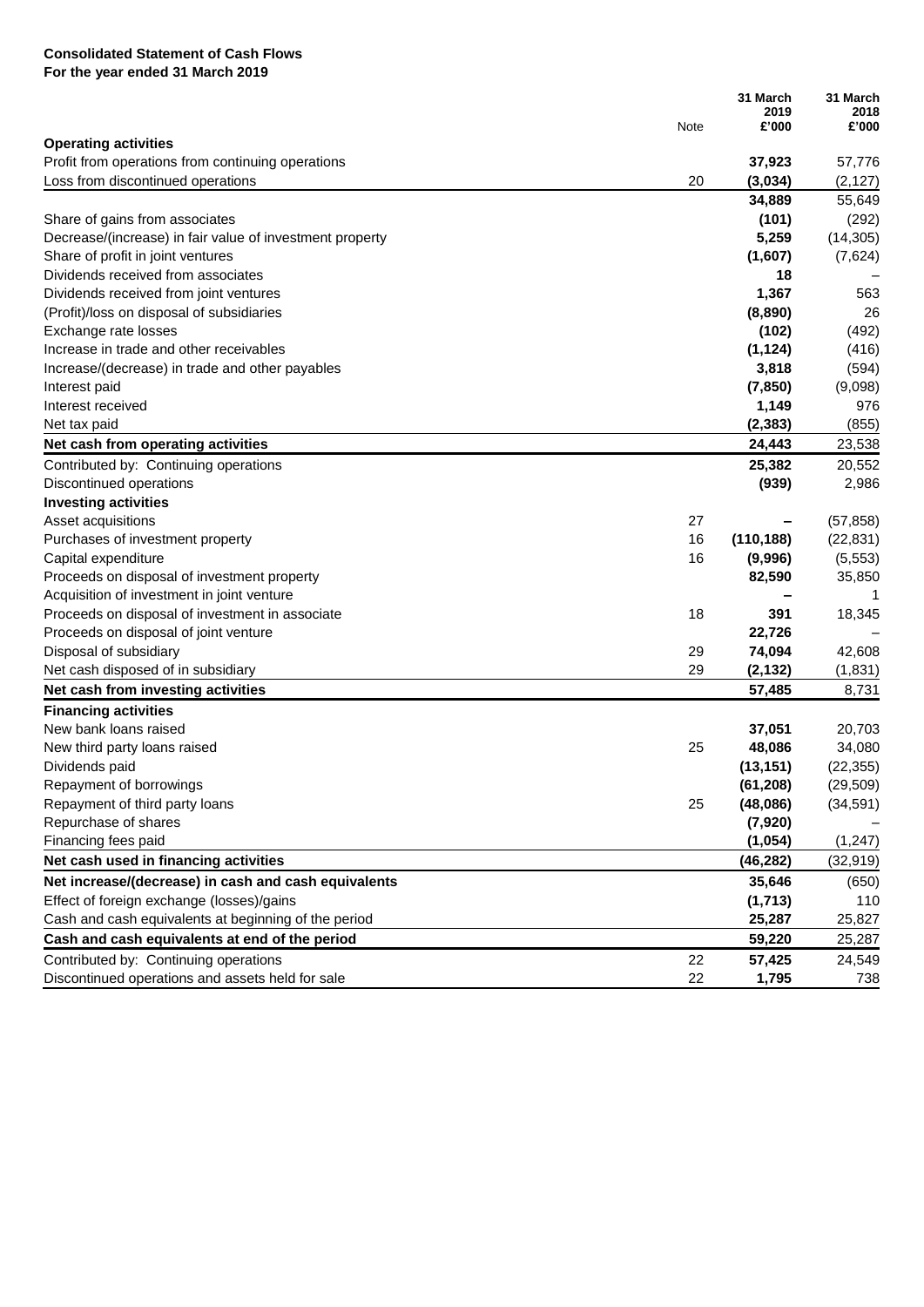## **Consolidated Statement of Cash Flows For the year ended 31 March 2019**

|                                                                                  | Note | 31 March<br>2019<br>£'000 | 31 March<br>2018<br>£'000 |
|----------------------------------------------------------------------------------|------|---------------------------|---------------------------|
| <b>Operating activities</b><br>Profit from operations from continuing operations |      | 37,923                    | 57,776                    |
| Loss from discontinued operations                                                | 20   | (3,034)                   | (2, 127)                  |
|                                                                                  |      | 34,889                    | 55,649                    |
| Share of gains from associates                                                   |      | (101)                     | (292)                     |
| Decrease/(increase) in fair value of investment property                         |      | 5,259                     | (14, 305)                 |
| Share of profit in joint ventures                                                |      | (1,607)                   | (7,624)                   |
| Dividends received from associates                                               |      | 18                        |                           |
| Dividends received from joint ventures                                           |      | 1,367                     | 563                       |
| (Profit)/loss on disposal of subsidiaries                                        |      | (8,890)                   | 26                        |
| Exchange rate losses                                                             |      | (102)                     | (492)                     |
| Increase in trade and other receivables                                          |      | (1, 124)                  | (416)                     |
| Increase/(decrease) in trade and other payables                                  |      | 3,818                     | (594)                     |
| Interest paid                                                                    |      | (7, 850)                  | (9,098)                   |
| Interest received                                                                |      | 1,149                     | 976                       |
| Net tax paid                                                                     |      | (2, 383)                  | (855)                     |
| Net cash from operating activities                                               |      | 24,443                    | 23,538                    |
| Contributed by: Continuing operations                                            |      | 25,382                    | 20,552                    |
| Discontinued operations                                                          |      | (939)                     | 2,986                     |
| <b>Investing activities</b>                                                      |      |                           |                           |
| Asset acquisitions                                                               | 27   |                           | (57, 858)                 |
| Purchases of investment property                                                 | 16   | (110, 188)                | (22, 831)                 |
| Capital expenditure                                                              | 16   | (9,996)                   | (5, 553)                  |
| Proceeds on disposal of investment property                                      |      | 82,590                    | 35,850                    |
| Acquisition of investment in joint venture                                       |      |                           | 1                         |
| Proceeds on disposal of investment in associate                                  | 18   | 391                       | 18,345                    |
| Proceeds on disposal of joint venture                                            |      | 22,726                    |                           |
| Disposal of subsidiary                                                           | 29   | 74,094                    | 42,608                    |
| Net cash disposed of in subsidiary                                               | 29   | (2, 132)                  | (1, 831)                  |
| Net cash from investing activities                                               |      | 57,485                    | 8,731                     |
| <b>Financing activities</b>                                                      |      |                           |                           |
| New bank loans raised                                                            |      | 37,051                    | 20,703                    |
| New third party loans raised                                                     | 25   | 48,086                    | 34,080                    |
| Dividends paid                                                                   |      | (13, 151)                 | (22, 355)                 |
| Repayment of borrowings                                                          |      | (61, 208)                 | (29, 509)                 |
| Repayment of third party loans                                                   | 25   | (48,086)                  | (34, 591)                 |
| Repurchase of shares                                                             |      | (7,920)                   |                           |
| Financing fees paid                                                              |      | (1, 054)                  | (1, 247)                  |
| Net cash used in financing activities                                            |      | (46, 282)                 | (32, 919)                 |
| Net increase/(decrease) in cash and cash equivalents                             |      | 35,646                    | (650)                     |
| Effect of foreign exchange (losses)/gains                                        |      | (1,713)                   | 110                       |
| Cash and cash equivalents at beginning of the period                             |      | 25,287                    | 25,827                    |
| Cash and cash equivalents at end of the period                                   |      | 59,220                    | 25,287                    |
| Contributed by: Continuing operations                                            | 22   | 57,425                    | 24,549                    |
| Discontinued operations and assets held for sale                                 | 22   | 1,795                     | 738                       |
|                                                                                  |      |                           |                           |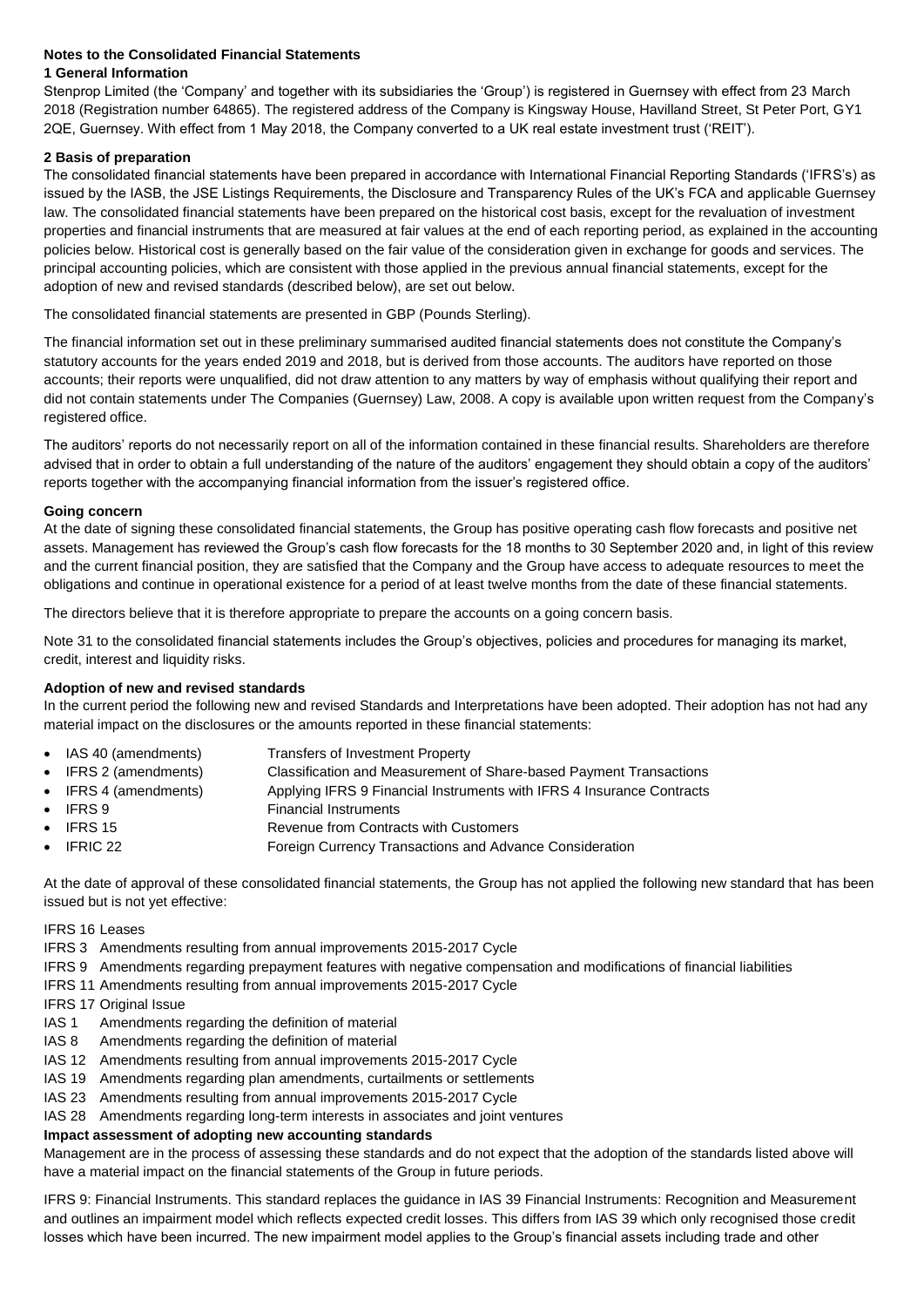## **Notes to the Consolidated Financial Statements**

## **1 General Information**

Stenprop Limited (the 'Company' and together with its subsidiaries the 'Group') is registered in Guernsey with effect from 23 March 2018 (Registration number 64865). The registered address of the Company is Kingsway House, Havilland Street, St Peter Port, GY1 2QE, Guernsey. With effect from 1 May 2018, the Company converted to a UK real estate investment trust ('REIT').

### **2 Basis of preparation**

The consolidated financial statements have been prepared in accordance with International Financial Reporting Standards ('IFRS's) as issued by the IASB, the JSE Listings Requirements, the Disclosure and Transparency Rules of the UK's FCA and applicable Guernsey law. The consolidated financial statements have been prepared on the historical cost basis, except for the revaluation of investment properties and financial instruments that are measured at fair values at the end of each reporting period, as explained in the accounting policies below. Historical cost is generally based on the fair value of the consideration given in exchange for goods and services. The principal accounting policies, which are consistent with those applied in the previous annual financial statements, except for the adoption of new and revised standards (described below), are set out below.

The consolidated financial statements are presented in GBP (Pounds Sterling).

The financial information set out in these preliminary summarised audited financial statements does not constitute the Company's statutory accounts for the years ended 2019 and 2018, but is derived from those accounts. The auditors have reported on those accounts; their reports were unqualified, did not draw attention to any matters by way of emphasis without qualifying their report and did not contain statements under The Companies (Guernsey) Law, 2008. A copy is available upon written request from the Company's registered office.

The auditors' reports do not necessarily report on all of the information contained in these financial results. Shareholders are therefore advised that in order to obtain a full understanding of the nature of the auditors' engagement they should obtain a copy of the auditors' reports together with the accompanying financial information from the issuer's registered office.

### **Going concern**

At the date of signing these consolidated financial statements, the Group has positive operating cash flow forecasts and positive net assets. Management has reviewed the Group's cash flow forecasts for the 18 months to 30 September 2020 and, in light of this review and the current financial position, they are satisfied that the Company and the Group have access to adequate resources to meet the obligations and continue in operational existence for a period of at least twelve months from the date of these financial statements.

The directors believe that it is therefore appropriate to prepare the accounts on a going concern basis.

Note 31 to the consolidated financial statements includes the Group's objectives, policies and procedures for managing its market, credit, interest and liquidity risks.

### **Adoption of new and revised standards**

In the current period the following new and revised Standards and Interpretations have been adopted. Their adoption has not had any material impact on the disclosures or the amounts reported in these financial statements:

- IAS 40 (amendments) Transfers of Investment Property
- IFRS 2 (amendments) Classification and Measurement of Share-based Payment Transactions
- IFRS 4 (amendments) Applying IFRS 9 Financial Instruments with IFRS 4 Insurance Contracts
- IFRS 9 Financial Instruments
- **IFRS 15** Revenue from Contracts with Customers
- IFRIC 22 Foreign Currency Transactions and Advance Consideration

At the date of approval of these consolidated financial statements, the Group has not applied the following new standard that has been issued but is not yet effective:

### IFRS 16 Leases

- IFRS 3 Amendments resulting from annual improvements 2015-2017 Cycle
- IFRS 9 Amendments regarding prepayment features with negative compensation and modifications of financial liabilities
- IFRS 11 Amendments resulting from annual improvements 2015-2017 Cycle
- IFRS 17 Original Issue
- IAS 1 Amendments regarding the definition of material
- IAS 8 Amendments regarding the definition of material
- IAS 12 Amendments resulting from annual improvements 2015-2017 Cycle
- IAS 19 Amendments regarding plan amendments, curtailments or settlements
- IAS 23 Amendments resulting from annual improvements 2015-2017 Cycle
- IAS 28 Amendments regarding long-term interests in associates and joint ventures

### **Impact assessment of adopting new accounting standards**

Management are in the process of assessing these standards and do not expect that the adoption of the standards listed above will have a material impact on the financial statements of the Group in future periods.

IFRS 9: Financial Instruments. This standard replaces the guidance in IAS 39 Financial Instruments: Recognition and Measurement and outlines an impairment model which reflects expected credit losses. This differs from IAS 39 which only recognised those credit losses which have been incurred. The new impairment model applies to the Group's financial assets including trade and other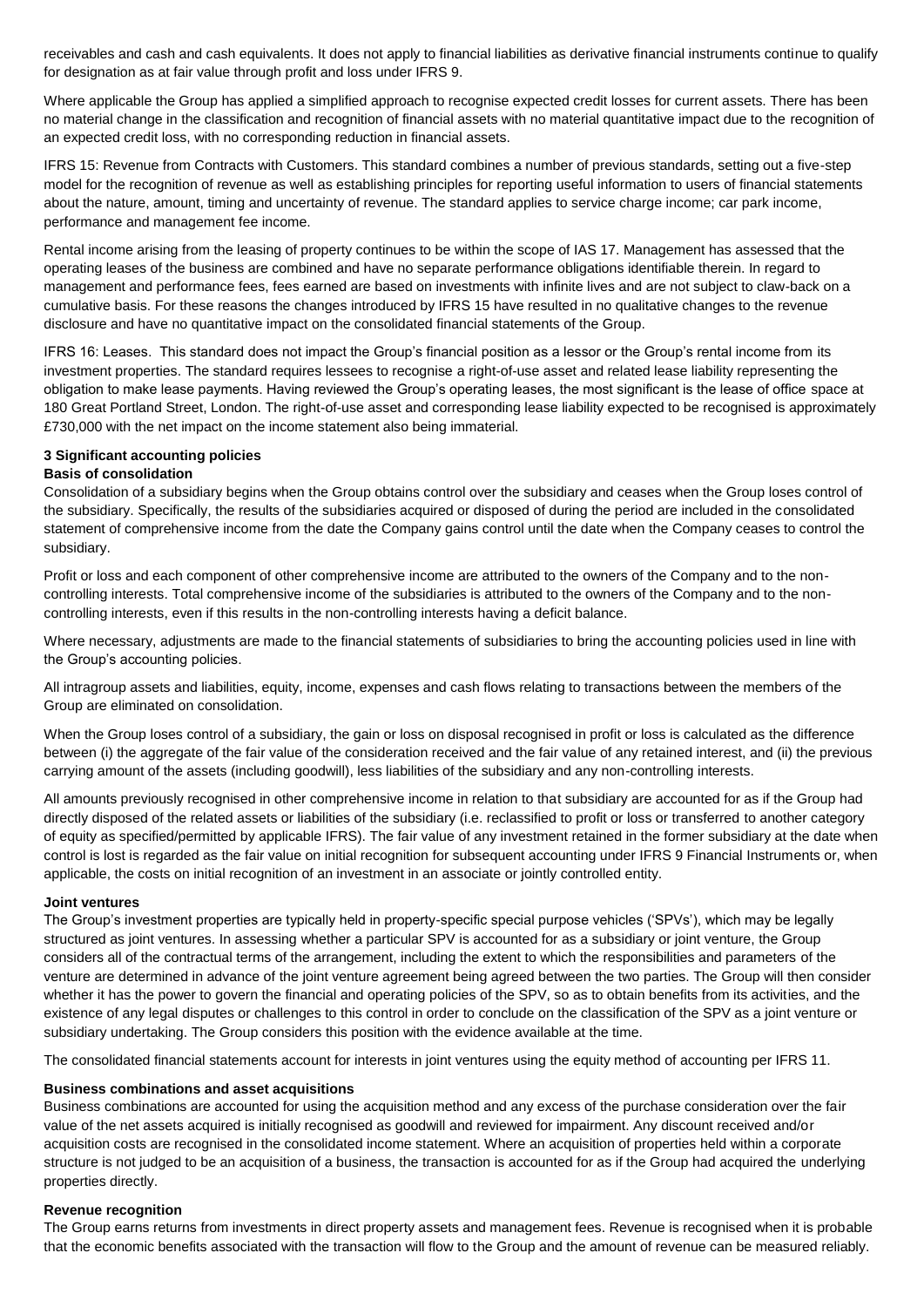receivables and cash and cash equivalents. It does not apply to financial liabilities as derivative financial instruments continue to qualify for designation as at fair value through profit and loss under IFRS 9.

Where applicable the Group has applied a simplified approach to recognise expected credit losses for current assets. There has been no material change in the classification and recognition of financial assets with no material quantitative impact due to the recognition of an expected credit loss, with no corresponding reduction in financial assets.

IFRS 15: Revenue from Contracts with Customers. This standard combines a number of previous standards, setting out a five-step model for the recognition of revenue as well as establishing principles for reporting useful information to users of financial statements about the nature, amount, timing and uncertainty of revenue. The standard applies to service charge income; car park income, performance and management fee income.

Rental income arising from the leasing of property continues to be within the scope of IAS 17. Management has assessed that the operating leases of the business are combined and have no separate performance obligations identifiable therein. In regard to management and performance fees, fees earned are based on investments with infinite lives and are not subject to claw-back on a cumulative basis. For these reasons the changes introduced by IFRS 15 have resulted in no qualitative changes to the revenue disclosure and have no quantitative impact on the consolidated financial statements of the Group.

IFRS 16: Leases. This standard does not impact the Group's financial position as a lessor or the Group's rental income from its investment properties. The standard requires lessees to recognise a right-of-use asset and related lease liability representing the obligation to make lease payments. Having reviewed the Group's operating leases, the most significant is the lease of office space at 180 Great Portland Street, London. The right-of-use asset and corresponding lease liability expected to be recognised is approximately £730,000 with the net impact on the income statement also being immaterial.

# **3 Significant accounting policies**

## **Basis of consolidation**

Consolidation of a subsidiary begins when the Group obtains control over the subsidiary and ceases when the Group loses control of the subsidiary. Specifically, the results of the subsidiaries acquired or disposed of during the period are included in the consolidated statement of comprehensive income from the date the Company gains control until the date when the Company ceases to control the subsidiary.

Profit or loss and each component of other comprehensive income are attributed to the owners of the Company and to the noncontrolling interests. Total comprehensive income of the subsidiaries is attributed to the owners of the Company and to the noncontrolling interests, even if this results in the non-controlling interests having a deficit balance.

Where necessary, adjustments are made to the financial statements of subsidiaries to bring the accounting policies used in line with the Group's accounting policies.

All intragroup assets and liabilities, equity, income, expenses and cash flows relating to transactions between the members of the Group are eliminated on consolidation.

When the Group loses control of a subsidiary, the gain or loss on disposal recognised in profit or loss is calculated as the difference between (i) the aggregate of the fair value of the consideration received and the fair value of any retained interest, and (ii) the previous carrying amount of the assets (including goodwill), less liabilities of the subsidiary and any non-controlling interests.

All amounts previously recognised in other comprehensive income in relation to that subsidiary are accounted for as if the Group had directly disposed of the related assets or liabilities of the subsidiary (i.e. reclassified to profit or loss or transferred to another category of equity as specified/permitted by applicable IFRS). The fair value of any investment retained in the former subsidiary at the date when control is lost is regarded as the fair value on initial recognition for subsequent accounting under IFRS 9 Financial Instruments or, when applicable, the costs on initial recognition of an investment in an associate or jointly controlled entity.

### **Joint ventures**

The Group's investment properties are typically held in property-specific special purpose vehicles ('SPVs'), which may be legally structured as joint ventures. In assessing whether a particular SPV is accounted for as a subsidiary or joint venture, the Group considers all of the contractual terms of the arrangement, including the extent to which the responsibilities and parameters of the venture are determined in advance of the joint venture agreement being agreed between the two parties. The Group will then consider whether it has the power to govern the financial and operating policies of the SPV, so as to obtain benefits from its activities, and the existence of any legal disputes or challenges to this control in order to conclude on the classification of the SPV as a joint venture or subsidiary undertaking. The Group considers this position with the evidence available at the time.

The consolidated financial statements account for interests in joint ventures using the equity method of accounting per IFRS 11.

### **Business combinations and asset acquisitions**

Business combinations are accounted for using the acquisition method and any excess of the purchase consideration over the fair value of the net assets acquired is initially recognised as goodwill and reviewed for impairment. Any discount received and/or acquisition costs are recognised in the consolidated income statement. Where an acquisition of properties held within a corporate structure is not judged to be an acquisition of a business, the transaction is accounted for as if the Group had acquired the underlying properties directly.

### **Revenue recognition**

The Group earns returns from investments in direct property assets and management fees. Revenue is recognised when it is probable that the economic benefits associated with the transaction will flow to the Group and the amount of revenue can be measured reliably.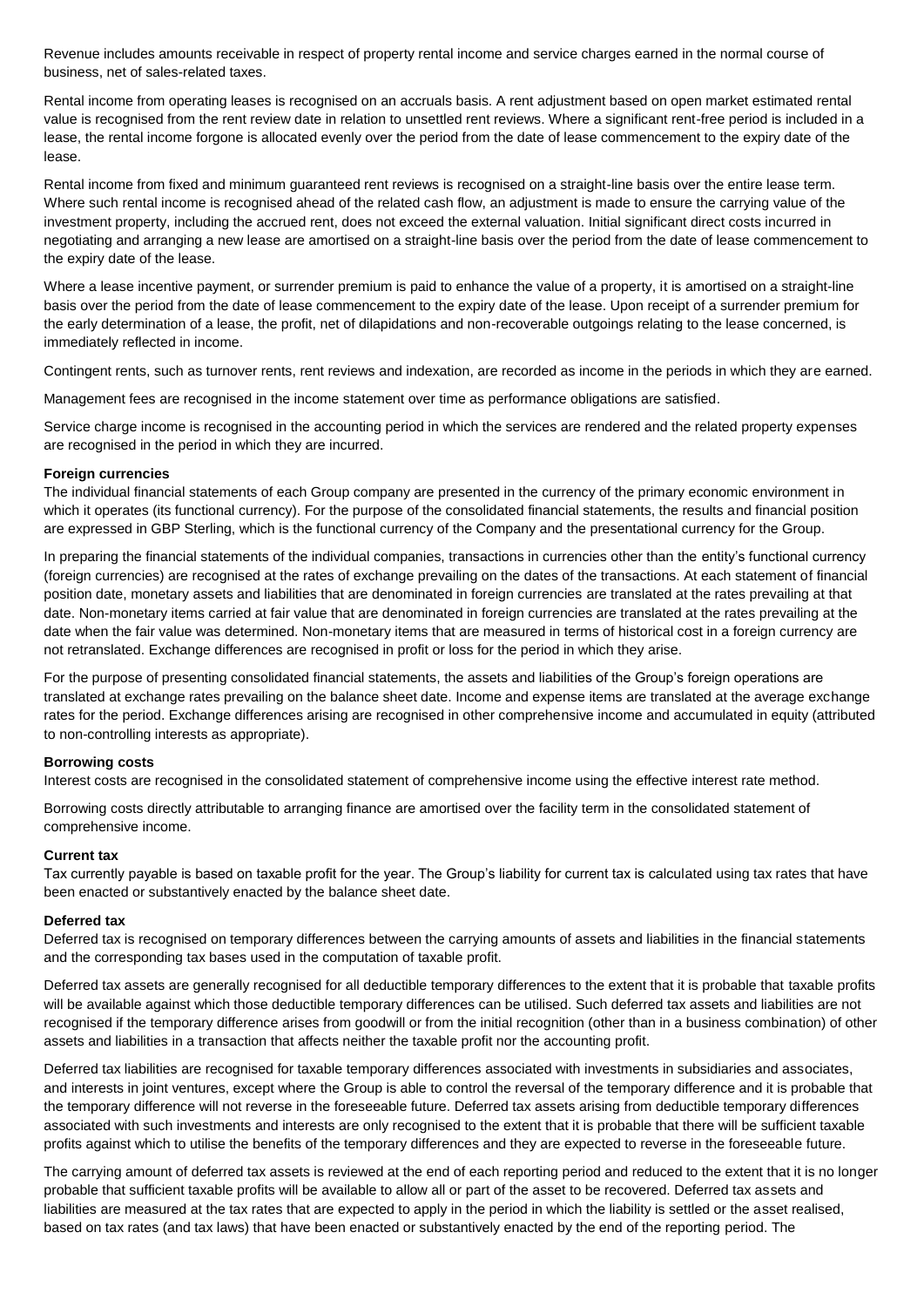Revenue includes amounts receivable in respect of property rental income and service charges earned in the normal course of business, net of sales-related taxes.

Rental income from operating leases is recognised on an accruals basis. A rent adjustment based on open market estimated rental value is recognised from the rent review date in relation to unsettled rent reviews. Where a significant rent-free period is included in a lease, the rental income forgone is allocated evenly over the period from the date of lease commencement to the expiry date of the lease.

Rental income from fixed and minimum guaranteed rent reviews is recognised on a straight-line basis over the entire lease term. Where such rental income is recognised ahead of the related cash flow, an adjustment is made to ensure the carrying value of the investment property, including the accrued rent, does not exceed the external valuation. Initial significant direct costs incurred in negotiating and arranging a new lease are amortised on a straight-line basis over the period from the date of lease commencement to the expiry date of the lease.

Where a lease incentive payment, or surrender premium is paid to enhance the value of a property, it is amortised on a straight-line basis over the period from the date of lease commencement to the expiry date of the lease. Upon receipt of a surrender premium for the early determination of a lease, the profit, net of dilapidations and non-recoverable outgoings relating to the lease concerned, is immediately reflected in income.

Contingent rents, such as turnover rents, rent reviews and indexation, are recorded as income in the periods in which they are earned.

Management fees are recognised in the income statement over time as performance obligations are satisfied.

Service charge income is recognised in the accounting period in which the services are rendered and the related property expenses are recognised in the period in which they are incurred.

### **Foreign currencies**

The individual financial statements of each Group company are presented in the currency of the primary economic environment in which it operates (its functional currency). For the purpose of the consolidated financial statements, the results and financial position are expressed in GBP Sterling, which is the functional currency of the Company and the presentational currency for the Group.

In preparing the financial statements of the individual companies, transactions in currencies other than the entity's functional currency (foreign currencies) are recognised at the rates of exchange prevailing on the dates of the transactions. At each statement of financial position date, monetary assets and liabilities that are denominated in foreign currencies are translated at the rates prevailing at that date. Non-monetary items carried at fair value that are denominated in foreign currencies are translated at the rates prevailing at the date when the fair value was determined. Non-monetary items that are measured in terms of historical cost in a foreign currency are not retranslated. Exchange differences are recognised in profit or loss for the period in which they arise.

For the purpose of presenting consolidated financial statements, the assets and liabilities of the Group's foreign operations are translated at exchange rates prevailing on the balance sheet date. Income and expense items are translated at the average exchange rates for the period. Exchange differences arising are recognised in other comprehensive income and accumulated in equity (attributed to non-controlling interests as appropriate).

### **Borrowing costs**

Interest costs are recognised in the consolidated statement of comprehensive income using the effective interest rate method.

Borrowing costs directly attributable to arranging finance are amortised over the facility term in the consolidated statement of comprehensive income.

#### **Current tax**

Tax currently payable is based on taxable profit for the year. The Group's liability for current tax is calculated using tax rates that have been enacted or substantively enacted by the balance sheet date.

#### **Deferred tax**

Deferred tax is recognised on temporary differences between the carrying amounts of assets and liabilities in the financial statements and the corresponding tax bases used in the computation of taxable profit.

Deferred tax assets are generally recognised for all deductible temporary differences to the extent that it is probable that taxable profits will be available against which those deductible temporary differences can be utilised. Such deferred tax assets and liabilities are not recognised if the temporary difference arises from goodwill or from the initial recognition (other than in a business combination) of other assets and liabilities in a transaction that affects neither the taxable profit nor the accounting profit.

Deferred tax liabilities are recognised for taxable temporary differences associated with investments in subsidiaries and associates, and interests in joint ventures, except where the Group is able to control the reversal of the temporary difference and it is probable that the temporary difference will not reverse in the foreseeable future. Deferred tax assets arising from deductible temporary differences associated with such investments and interests are only recognised to the extent that it is probable that there will be sufficient taxable profits against which to utilise the benefits of the temporary differences and they are expected to reverse in the foreseeable future.

The carrying amount of deferred tax assets is reviewed at the end of each reporting period and reduced to the extent that it is no longer probable that sufficient taxable profits will be available to allow all or part of the asset to be recovered. Deferred tax assets and liabilities are measured at the tax rates that are expected to apply in the period in which the liability is settled or the asset realised, based on tax rates (and tax laws) that have been enacted or substantively enacted by the end of the reporting period. The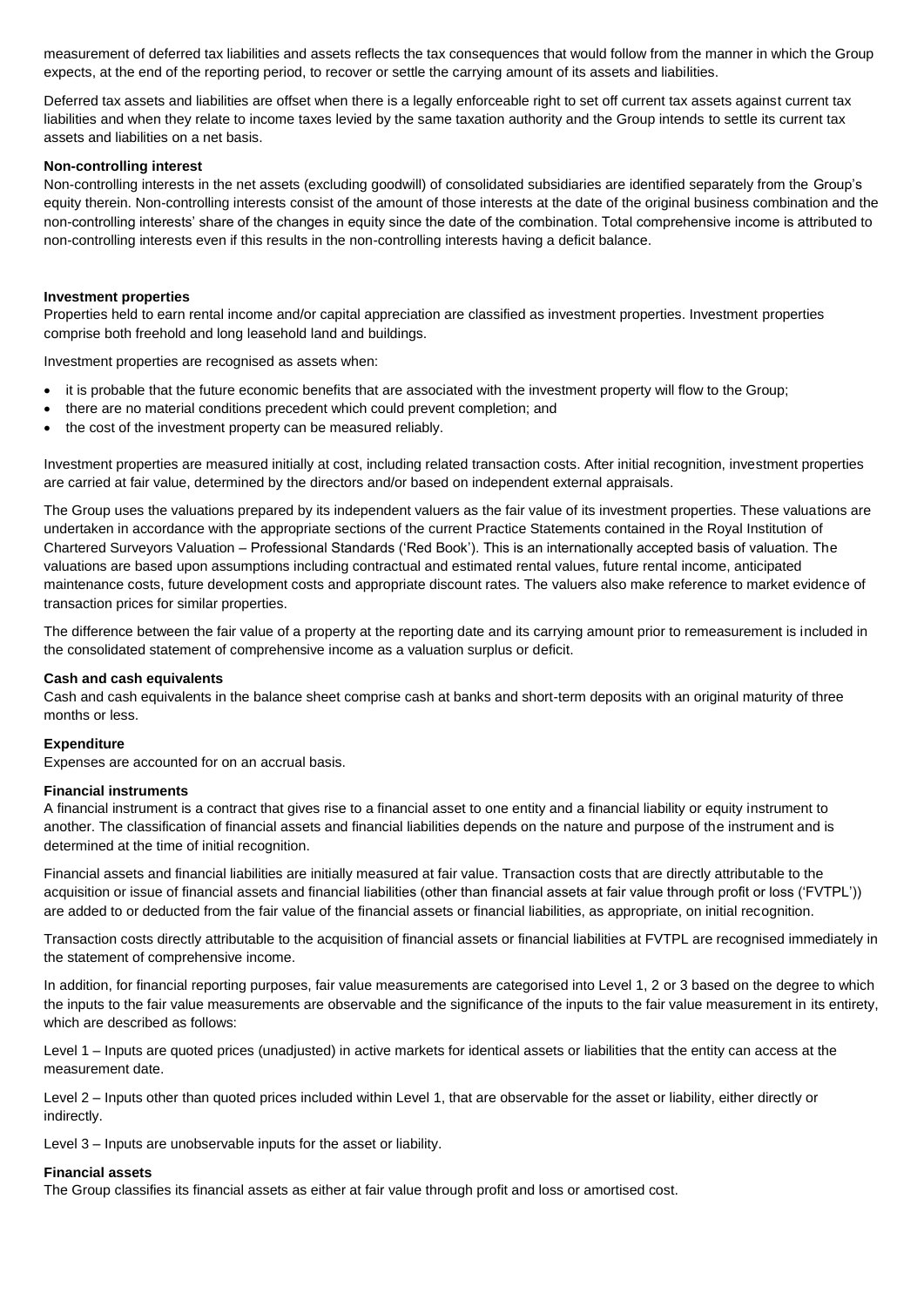measurement of deferred tax liabilities and assets reflects the tax consequences that would follow from the manner in which the Group expects, at the end of the reporting period, to recover or settle the carrying amount of its assets and liabilities.

Deferred tax assets and liabilities are offset when there is a legally enforceable right to set off current tax assets against current tax liabilities and when they relate to income taxes levied by the same taxation authority and the Group intends to settle its current tax assets and liabilities on a net basis.

#### **Non-controlling interest**

Non-controlling interests in the net assets (excluding goodwill) of consolidated subsidiaries are identified separately from the Group's equity therein. Non-controlling interests consist of the amount of those interests at the date of the original business combination and the non-controlling interests' share of the changes in equity since the date of the combination. Total comprehensive income is attributed to non-controlling interests even if this results in the non-controlling interests having a deficit balance.

### **Investment properties**

Properties held to earn rental income and/or capital appreciation are classified as investment properties. Investment properties comprise both freehold and long leasehold land and buildings.

Investment properties are recognised as assets when:

- it is probable that the future economic benefits that are associated with the investment property will flow to the Group;
- there are no material conditions precedent which could prevent completion; and
- the cost of the investment property can be measured reliably.

Investment properties are measured initially at cost, including related transaction costs. After initial recognition, investment properties are carried at fair value, determined by the directors and/or based on independent external appraisals.

The Group uses the valuations prepared by its independent valuers as the fair value of its investment properties. These valuations are undertaken in accordance with the appropriate sections of the current Practice Statements contained in the Royal Institution of Chartered Surveyors Valuation – Professional Standards ('Red Book'). This is an internationally accepted basis of valuation. The valuations are based upon assumptions including contractual and estimated rental values, future rental income, anticipated maintenance costs, future development costs and appropriate discount rates. The valuers also make reference to market evidence of transaction prices for similar properties.

The difference between the fair value of a property at the reporting date and its carrying amount prior to remeasurement is included in the consolidated statement of comprehensive income as a valuation surplus or deficit.

#### **Cash and cash equivalents**

Cash and cash equivalents in the balance sheet comprise cash at banks and short-term deposits with an original maturity of three months or less.

#### **Expenditure**

Expenses are accounted for on an accrual basis.

#### **Financial instruments**

A financial instrument is a contract that gives rise to a financial asset to one entity and a financial liability or equity instrument to another. The classification of financial assets and financial liabilities depends on the nature and purpose of the instrument and is determined at the time of initial recognition.

Financial assets and financial liabilities are initially measured at fair value. Transaction costs that are directly attributable to the acquisition or issue of financial assets and financial liabilities (other than financial assets at fair value through profit or loss ('FVTPL')) are added to or deducted from the fair value of the financial assets or financial liabilities, as appropriate, on initial recognition.

Transaction costs directly attributable to the acquisition of financial assets or financial liabilities at FVTPL are recognised immediately in the statement of comprehensive income.

In addition, for financial reporting purposes, fair value measurements are categorised into Level 1, 2 or 3 based on the degree to which the inputs to the fair value measurements are observable and the significance of the inputs to the fair value measurement in its entirety, which are described as follows:

Level 1 – Inputs are quoted prices (unadjusted) in active markets for identical assets or liabilities that the entity can access at the measurement date.

Level 2 – Inputs other than quoted prices included within Level 1, that are observable for the asset or liability, either directly or indirectly.

Level 3 – Inputs are unobservable inputs for the asset or liability.

#### **Financial assets**

The Group classifies its financial assets as either at fair value through profit and loss or amortised cost.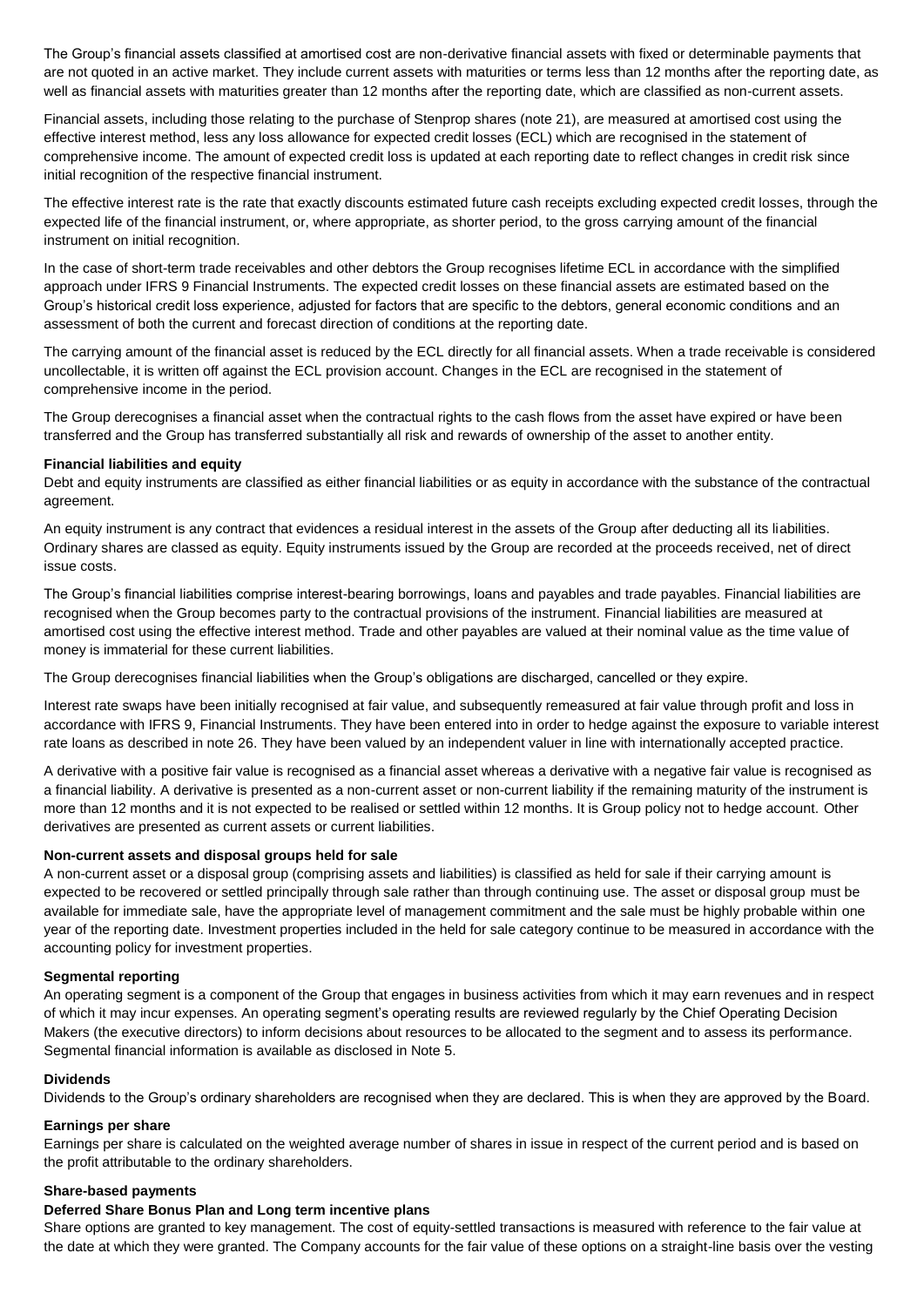The Group's financial assets classified at amortised cost are non-derivative financial assets with fixed or determinable payments that are not quoted in an active market. They include current assets with maturities or terms less than 12 months after the reporting date, as well as financial assets with maturities greater than 12 months after the reporting date, which are classified as non-current assets.

Financial assets, including those relating to the purchase of Stenprop shares (note 21), are measured at amortised cost using the effective interest method, less any loss allowance for expected credit losses (ECL) which are recognised in the statement of comprehensive income. The amount of expected credit loss is updated at each reporting date to reflect changes in credit risk since initial recognition of the respective financial instrument.

The effective interest rate is the rate that exactly discounts estimated future cash receipts excluding expected credit losses, through the expected life of the financial instrument, or, where appropriate, as shorter period, to the gross carrying amount of the financial instrument on initial recognition.

In the case of short-term trade receivables and other debtors the Group recognises lifetime ECL in accordance with the simplified approach under IFRS 9 Financial Instruments. The expected credit losses on these financial assets are estimated based on the Group's historical credit loss experience, adjusted for factors that are specific to the debtors, general economic conditions and an assessment of both the current and forecast direction of conditions at the reporting date.

The carrying amount of the financial asset is reduced by the ECL directly for all financial assets. When a trade receivable is considered uncollectable, it is written off against the ECL provision account. Changes in the ECL are recognised in the statement of comprehensive income in the period.

The Group derecognises a financial asset when the contractual rights to the cash flows from the asset have expired or have been transferred and the Group has transferred substantially all risk and rewards of ownership of the asset to another entity.

### **Financial liabilities and equity**

Debt and equity instruments are classified as either financial liabilities or as equity in accordance with the substance of the contractual agreement.

An equity instrument is any contract that evidences a residual interest in the assets of the Group after deducting all its liabilities. Ordinary shares are classed as equity. Equity instruments issued by the Group are recorded at the proceeds received, net of direct issue costs.

The Group's financial liabilities comprise interest-bearing borrowings, loans and payables and trade payables. Financial liabilities are recognised when the Group becomes party to the contractual provisions of the instrument. Financial liabilities are measured at amortised cost using the effective interest method. Trade and other payables are valued at their nominal value as the time value of money is immaterial for these current liabilities.

The Group derecognises financial liabilities when the Group's obligations are discharged, cancelled or they expire.

Interest rate swaps have been initially recognised at fair value, and subsequently remeasured at fair value through profit and loss in accordance with IFRS 9, Financial Instruments. They have been entered into in order to hedge against the exposure to variable interest rate loans as described in note 26. They have been valued by an independent valuer in line with internationally accepted practice.

A derivative with a positive fair value is recognised as a financial asset whereas a derivative with a negative fair value is recognised as a financial liability. A derivative is presented as a non-current asset or non-current liability if the remaining maturity of the instrument is more than 12 months and it is not expected to be realised or settled within 12 months. It is Group policy not to hedge account. Other derivatives are presented as current assets or current liabilities.

### **Non-current assets and disposal groups held for sale**

A non-current asset or a disposal group (comprising assets and liabilities) is classified as held for sale if their carrying amount is expected to be recovered or settled principally through sale rather than through continuing use. The asset or disposal group must be available for immediate sale, have the appropriate level of management commitment and the sale must be highly probable within one year of the reporting date. Investment properties included in the held for sale category continue to be measured in accordance with the accounting policy for investment properties.

#### **Segmental reporting**

An operating segment is a component of the Group that engages in business activities from which it may earn revenues and in respect of which it may incur expenses. An operating segment's operating results are reviewed regularly by the Chief Operating Decision Makers (the executive directors) to inform decisions about resources to be allocated to the segment and to assess its performance. Segmental financial information is available as disclosed in Note 5.

### **Dividends**

Dividends to the Group's ordinary shareholders are recognised when they are declared. This is when they are approved by the Board.

### **Earnings per share**

Earnings per share is calculated on the weighted average number of shares in issue in respect of the current period and is based on the profit attributable to the ordinary shareholders.

#### **Share-based payments**

### **Deferred Share Bonus Plan and Long term incentive plans**

Share options are granted to key management. The cost of equity-settled transactions is measured with reference to the fair value at the date at which they were granted. The Company accounts for the fair value of these options on a straight-line basis over the vesting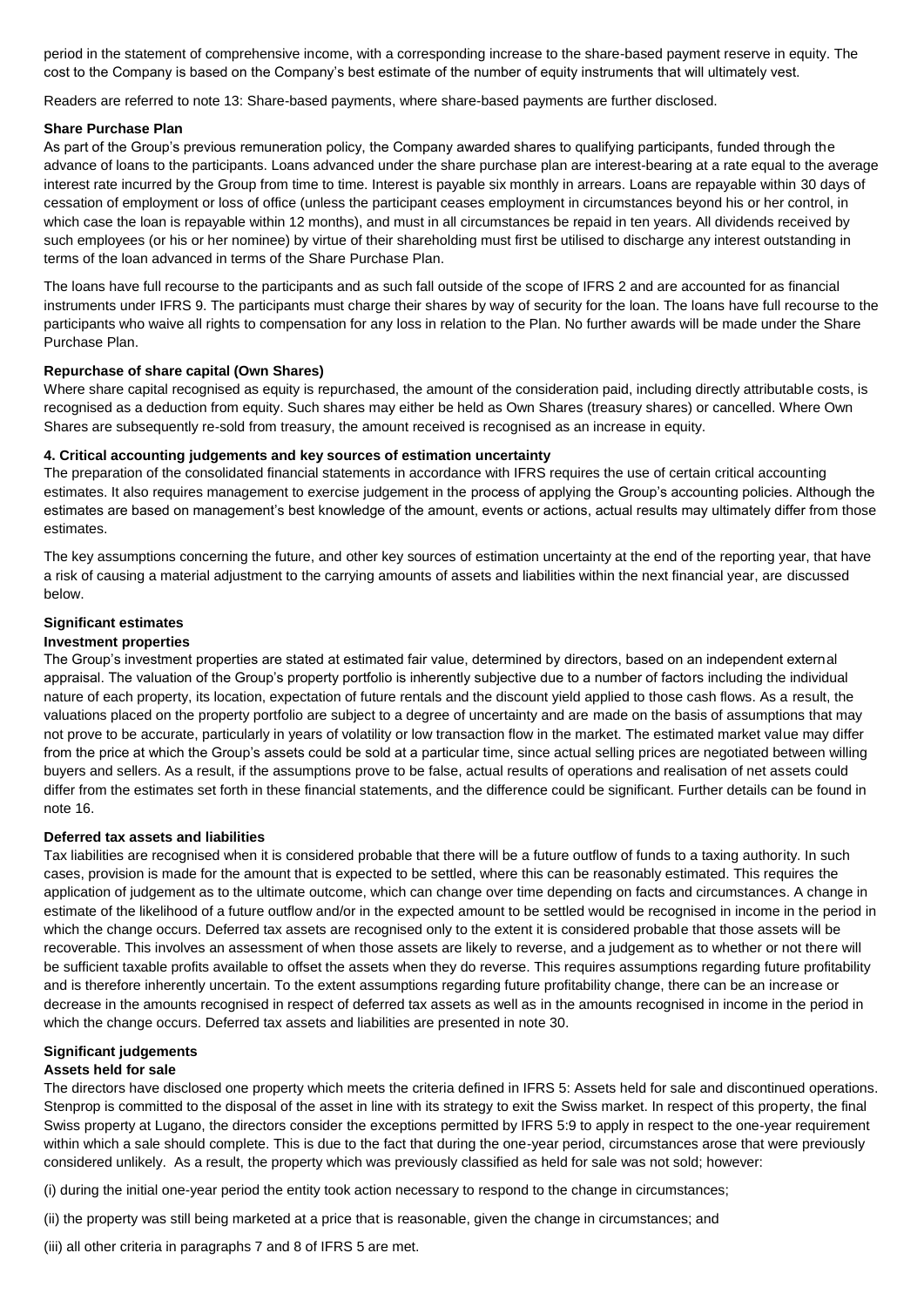period in the statement of comprehensive income, with a corresponding increase to the share-based payment reserve in equity. The cost to the Company is based on the Company's best estimate of the number of equity instruments that will ultimately vest.

Readers are referred to note 13: Share-based payments, where share-based payments are further disclosed.

### **Share Purchase Plan**

As part of the Group's previous remuneration policy, the Company awarded shares to qualifying participants, funded through the advance of loans to the participants. Loans advanced under the share purchase plan are interest-bearing at a rate equal to the average interest rate incurred by the Group from time to time. Interest is payable six monthly in arrears. Loans are repayable within 30 days of cessation of employment or loss of office (unless the participant ceases employment in circumstances beyond his or her control, in which case the loan is repayable within 12 months), and must in all circumstances be repaid in ten years. All dividends received by such employees (or his or her nominee) by virtue of their shareholding must first be utilised to discharge any interest outstanding in terms of the loan advanced in terms of the Share Purchase Plan.

The loans have full recourse to the participants and as such fall outside of the scope of IFRS 2 and are accounted for as financial instruments under IFRS 9. The participants must charge their shares by way of security for the loan. The loans have full recourse to the participants who waive all rights to compensation for any loss in relation to the Plan. No further awards will be made under the Share Purchase Plan.

### **Repurchase of share capital (Own Shares)**

Where share capital recognised as equity is repurchased, the amount of the consideration paid, including directly attributable costs, is recognised as a deduction from equity. Such shares may either be held as Own Shares (treasury shares) or cancelled. Where Own Shares are subsequently re-sold from treasury, the amount received is recognised as an increase in equity.

#### **4. Critical accounting judgements and key sources of estimation uncertainty**

The preparation of the consolidated financial statements in accordance with IFRS requires the use of certain critical accounting estimates. It also requires management to exercise judgement in the process of applying the Group's accounting policies. Although the estimates are based on management's best knowledge of the amount, events or actions, actual results may ultimately differ from those estimates.

The key assumptions concerning the future, and other key sources of estimation uncertainty at the end of the reporting year, that have a risk of causing a material adjustment to the carrying amounts of assets and liabilities within the next financial year, are discussed below.

### **Significant estimates**

### **Investment properties**

The Group's investment properties are stated at estimated fair value, determined by directors, based on an independent external appraisal. The valuation of the Group's property portfolio is inherently subjective due to a number of factors including the individual nature of each property, its location, expectation of future rentals and the discount yield applied to those cash flows. As a result, the valuations placed on the property portfolio are subject to a degree of uncertainty and are made on the basis of assumptions that may not prove to be accurate, particularly in years of volatility or low transaction flow in the market. The estimated market value may differ from the price at which the Group's assets could be sold at a particular time, since actual selling prices are negotiated between willing buyers and sellers. As a result, if the assumptions prove to be false, actual results of operations and realisation of net assets could differ from the estimates set forth in these financial statements, and the difference could be significant. Further details can be found in note 16.

#### **Deferred tax assets and liabilities**

Tax liabilities are recognised when it is considered probable that there will be a future outflow of funds to a taxing authority. In such cases, provision is made for the amount that is expected to be settled, where this can be reasonably estimated. This requires the application of judgement as to the ultimate outcome, which can change over time depending on facts and circumstances. A change in estimate of the likelihood of a future outflow and/or in the expected amount to be settled would be recognised in income in the period in which the change occurs. Deferred tax assets are recognised only to the extent it is considered probable that those assets will be recoverable. This involves an assessment of when those assets are likely to reverse, and a judgement as to whether or not there will be sufficient taxable profits available to offset the assets when they do reverse. This requires assumptions regarding future profitability and is therefore inherently uncertain. To the extent assumptions regarding future profitability change, there can be an increase or decrease in the amounts recognised in respect of deferred tax assets as well as in the amounts recognised in income in the period in which the change occurs. Deferred tax assets and liabilities are presented in note 30.

#### **Significant judgements**

#### **Assets held for sale**

The directors have disclosed one property which meets the criteria defined in IFRS 5: Assets held for sale and discontinued operations. Stenprop is committed to the disposal of the asset in line with its strategy to exit the Swiss market. In respect of this property, the final Swiss property at Lugano, the directors consider the exceptions permitted by IFRS 5:9 to apply in respect to the one-year requirement within which a sale should complete. This is due to the fact that during the one-year period, circumstances arose that were previously considered unlikely. As a result, the property which was previously classified as held for sale was not sold; however:

(i) during the initial one-year period the entity took action necessary to respond to the change in circumstances;

(ii) the property was still being marketed at a price that is reasonable, given the change in circumstances; and

(iii) all other criteria in paragraphs 7 and 8 of IFRS 5 are met.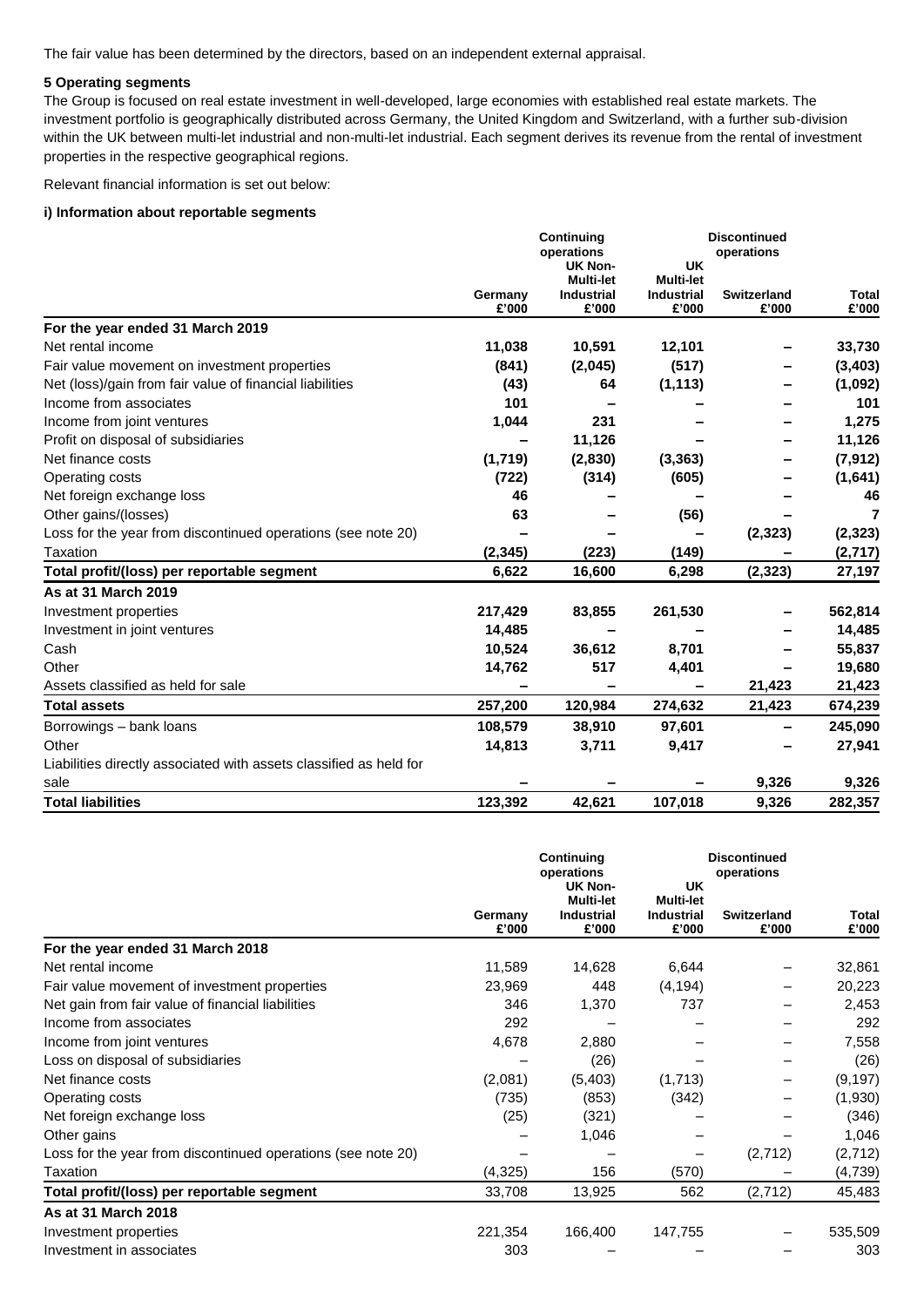The fair value has been determined by the directors, based on an independent external appraisal.

### **5 Operating segments**

The Group is focused on real estate investment in well-developed, large economies with established real estate markets. The investment portfolio is geographically distributed across Germany, the United Kingdom and Switzerland, with a further sub-division within the UK between multi-let industrial and non-multi-let industrial. Each segment derives its revenue from the rental of investment properties in the respective geographical regions.

Relevant financial information is set out below:

### **i) Information about reportable segments**

|                                                                    | Germany  | Continuing<br>operations<br><b>UK Non-</b> | <b>UK</b>                             | <b>Discontinued</b><br>operations |          |
|--------------------------------------------------------------------|----------|--------------------------------------------|---------------------------------------|-----------------------------------|----------|
|                                                                    |          | <b>Multi-let</b><br><b>Industrial</b>      | <b>Multi-let</b><br><b>Industrial</b> | <b>Switzerland</b>                | Total    |
|                                                                    | £'000    | £'000                                      | £'000                                 | £'000                             | £'000    |
| For the year ended 31 March 2019                                   |          |                                            |                                       |                                   |          |
| Net rental income                                                  | 11,038   | 10,591                                     | 12,101                                |                                   | 33,730   |
| Fair value movement on investment properties                       | (841)    | (2,045)                                    | (517)                                 |                                   | (3, 403) |
| Net (loss)/gain from fair value of financial liabilities           | (43)     | 64                                         | (1, 113)                              |                                   | (1,092)  |
| Income from associates                                             | 101      |                                            |                                       |                                   | 101      |
| Income from joint ventures                                         | 1,044    | 231                                        |                                       |                                   | 1,275    |
| Profit on disposal of subsidiaries                                 |          | 11,126                                     |                                       |                                   | 11,126   |
| Net finance costs                                                  | (1,719)  | (2,830)                                    | (3, 363)                              |                                   | (7, 912) |
| Operating costs                                                    | (722)    | (314)                                      | (605)                                 |                                   | (1,641)  |
| Net foreign exchange loss                                          | 46       |                                            |                                       |                                   | 46       |
| Other gains/(losses)                                               | 63       |                                            | (56)                                  |                                   | 7        |
| Loss for the year from discontinued operations (see note 20)       |          |                                            |                                       | (2, 323)                          | (2, 323) |
| Taxation                                                           | (2, 345) | (223)                                      | (149)                                 |                                   | (2,717)  |
| Total profit/(loss) per reportable segment                         | 6,622    | 16,600                                     | 6,298                                 | (2, 323)                          | 27,197   |
| As at 31 March 2019                                                |          |                                            |                                       |                                   |          |
| Investment properties                                              | 217,429  | 83,855                                     | 261,530                               |                                   | 562,814  |
| Investment in joint ventures                                       | 14,485   |                                            |                                       |                                   | 14,485   |
| Cash                                                               | 10,524   | 36,612                                     | 8,701                                 |                                   | 55,837   |
| Other                                                              | 14,762   | 517                                        | 4,401                                 |                                   | 19,680   |
| Assets classified as held for sale                                 |          | $\overline{\phantom{0}}$                   |                                       | 21,423                            | 21,423   |
| <b>Total assets</b>                                                | 257,200  | 120,984                                    | 274,632                               | 21,423                            | 674,239  |
| Borrowings - bank loans                                            | 108,579  | 38,910                                     | 97,601                                |                                   | 245,090  |
| Other                                                              | 14,813   | 3,711                                      | 9,417                                 |                                   | 27,941   |
| Liabilities directly associated with assets classified as held for |          |                                            |                                       |                                   |          |
| sale                                                               |          |                                            |                                       | 9,326                             | 9,326    |
| <b>Total liabilities</b>                                           | 123,392  | 42,621                                     | 107,018                               | 9,326                             | 282,357  |

|                                                              |                  | Continuing<br>operations<br>UK Non-            | UK                                             | <b>Discontinued</b><br>operations |                       |
|--------------------------------------------------------------|------------------|------------------------------------------------|------------------------------------------------|-----------------------------------|-----------------------|
|                                                              | Germany<br>£'000 | <b>Multi-let</b><br><b>Industrial</b><br>£'000 | <b>Multi-let</b><br><b>Industrial</b><br>£'000 | Switzerland<br>£'000              | <b>Total</b><br>£'000 |
| For the year ended 31 March 2018                             |                  |                                                |                                                |                                   |                       |
| Net rental income                                            | 11,589           | 14,628                                         | 6,644                                          |                                   | 32,861                |
| Fair value movement of investment properties                 | 23,969           | 448                                            | (4, 194)                                       |                                   | 20,223                |
| Net gain from fair value of financial liabilities            | 346              | 1,370                                          | 737                                            |                                   | 2,453                 |
| Income from associates                                       | 292              |                                                |                                                |                                   | 292                   |
| Income from joint ventures                                   | 4,678            | 2,880                                          |                                                |                                   | 7,558                 |
| Loss on disposal of subsidiaries                             |                  | (26)                                           |                                                |                                   | (26)                  |
| Net finance costs                                            | (2,081)          | (5,403)                                        | (1,713)                                        | —                                 | (9, 197)              |
| Operating costs                                              | (735)            | (853)                                          | (342)                                          |                                   | (1,930)               |
| Net foreign exchange loss                                    | (25)             | (321)                                          |                                                |                                   | (346)                 |
| Other gains                                                  |                  | 1,046                                          |                                                |                                   | 1,046                 |
| Loss for the year from discontinued operations (see note 20) |                  |                                                |                                                | (2,712)                           | (2,712)               |
| Taxation                                                     | (4, 325)         | 156                                            | (570)                                          |                                   | (4, 739)              |
| Total profit/(loss) per reportable segment                   | 33,708           | 13,925                                         | 562                                            | (2,712)                           | 45,483                |
| As at 31 March 2018                                          |                  |                                                |                                                |                                   |                       |
| Investment properties                                        | 221,354          | 166,400                                        | 147,755                                        |                                   | 535,509               |
| Investment in associates                                     | 303              |                                                |                                                |                                   | 303                   |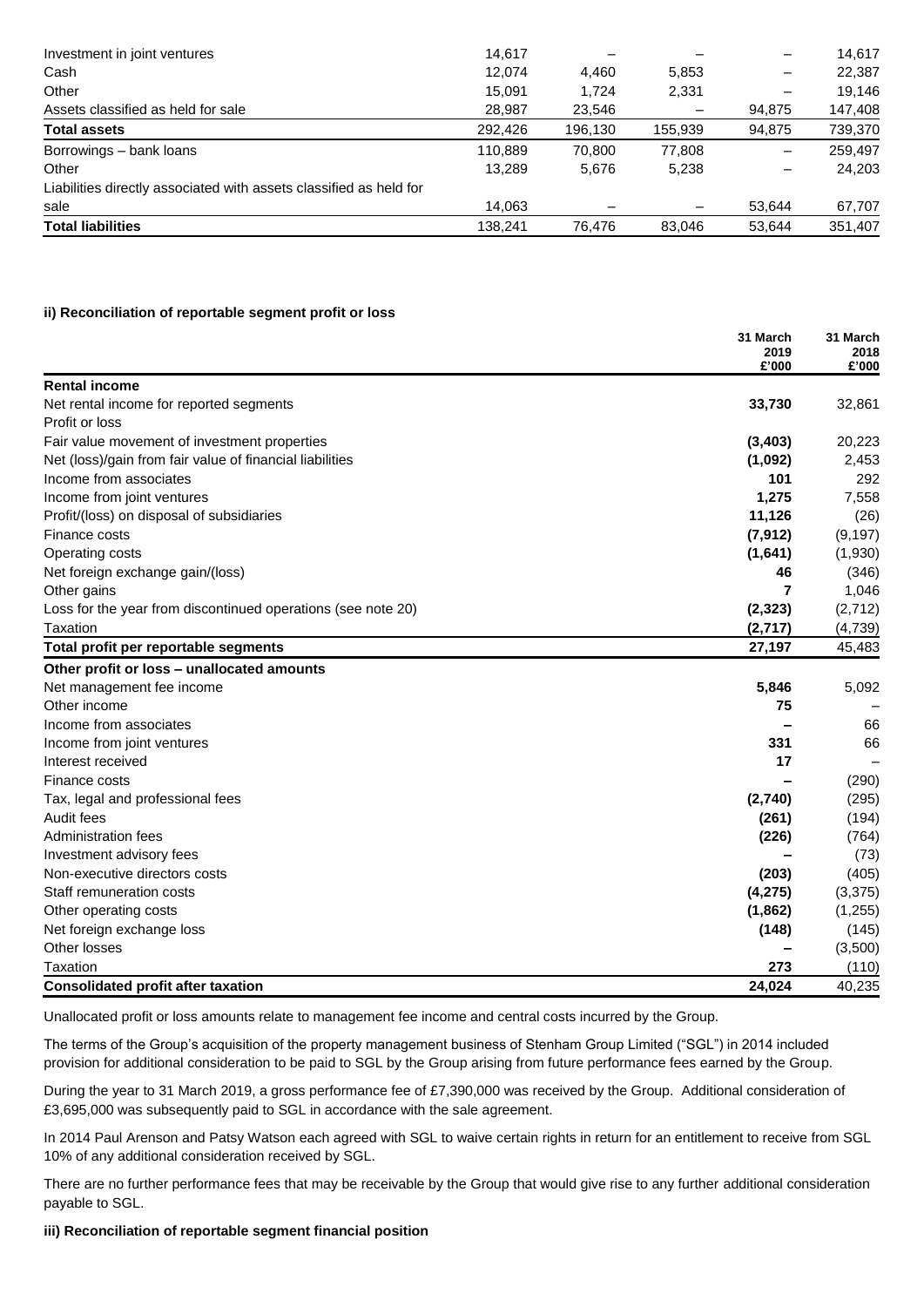| <b>Total liabilities</b>                                           | 138.241 | 76.476  | 83,046                   | 53,644                   | 351,407 |
|--------------------------------------------------------------------|---------|---------|--------------------------|--------------------------|---------|
| sale                                                               | 14,063  |         | -                        | 53.644                   | 67,707  |
| Liabilities directly associated with assets classified as held for |         |         |                          |                          |         |
| Other                                                              | 13.289  | 5,676   | 5,238                    | -                        | 24,203  |
| Borrowings - bank loans                                            | 110.889 | 70.800  | 77.808                   | -                        | 259.497 |
| <b>Total assets</b>                                                | 292.426 | 196.130 | 155.939                  | 94,875                   | 739,370 |
| Assets classified as held for sale                                 | 28,987  | 23,546  | $\overline{\phantom{m}}$ | 94,875                   | 147,408 |
| Other                                                              | 15,091  | 1.724   | 2,331                    | -                        | 19,146  |
| Cash                                                               | 12,074  | 4.460   | 5,853                    | -                        | 22,387  |
| Investment in joint ventures                                       | 14.617  |         |                          | $\overline{\phantom{0}}$ | 14.617  |

### **ii) Reconciliation of reportable segment profit or loss**

|                                                              | 31 March<br>2019<br>£'000 | 31 March<br>2018<br>£'000 |
|--------------------------------------------------------------|---------------------------|---------------------------|
| <b>Rental income</b>                                         |                           |                           |
| Net rental income for reported segments                      | 33,730                    | 32,861                    |
| Profit or loss                                               |                           |                           |
| Fair value movement of investment properties                 | (3, 403)                  | 20,223                    |
| Net (loss)/gain from fair value of financial liabilities     | (1,092)                   | 2,453                     |
| Income from associates                                       | 101                       | 292                       |
| Income from joint ventures                                   | 1,275                     | 7,558                     |
| Profit/(loss) on disposal of subsidiaries                    | 11,126                    | (26)                      |
| Finance costs                                                | (7, 912)                  | (9, 197)                  |
| Operating costs                                              | (1,641)                   | (1,930)                   |
| Net foreign exchange gain/(loss)                             | 46                        | (346)                     |
| Other gains                                                  | 7                         | 1,046                     |
| Loss for the year from discontinued operations (see note 20) | (2, 323)                  | (2,712)                   |
| Taxation                                                     | (2,717)                   | (4,739)                   |
| Total profit per reportable segments                         | 27,197                    | 45,483                    |
| Other profit or loss - unallocated amounts                   |                           |                           |
| Net management fee income                                    | 5,846                     | 5,092                     |
| Other income                                                 | 75                        |                           |
| Income from associates                                       |                           | 66                        |
| Income from joint ventures                                   | 331                       | 66                        |
| Interest received                                            | 17                        |                           |
| Finance costs                                                |                           | (290)                     |
| Tax, legal and professional fees                             | (2,740)                   | (295)                     |
| Audit fees                                                   | (261)                     | (194)                     |
| Administration fees                                          | (226)                     | (764)                     |
| Investment advisory fees                                     |                           | (73)                      |
| Non-executive directors costs                                | (203)                     | (405)                     |
| Staff remuneration costs                                     | (4, 275)                  | (3,375)                   |
| Other operating costs                                        | (1,862)                   | (1,255)                   |
| Net foreign exchange loss                                    | (148)                     | (145)                     |
| Other losses                                                 |                           | (3,500)                   |
| Taxation                                                     | 273                       | (110)                     |
| <b>Consolidated profit after taxation</b>                    | 24,024                    | 40,235                    |

Unallocated profit or loss amounts relate to management fee income and central costs incurred by the Group.

The terms of the Group's acquisition of the property management business of Stenham Group Limited ("SGL") in 2014 included provision for additional consideration to be paid to SGL by the Group arising from future performance fees earned by the Group.

During the year to 31 March 2019, a gross performance fee of £7,390,000 was received by the Group. Additional consideration of £3,695,000 was subsequently paid to SGL in accordance with the sale agreement.

In 2014 Paul Arenson and Patsy Watson each agreed with SGL to waive certain rights in return for an entitlement to receive from SGL 10% of any additional consideration received by SGL.

There are no further performance fees that may be receivable by the Group that would give rise to any further additional consideration payable to SGL.

### **iii) Reconciliation of reportable segment financial position**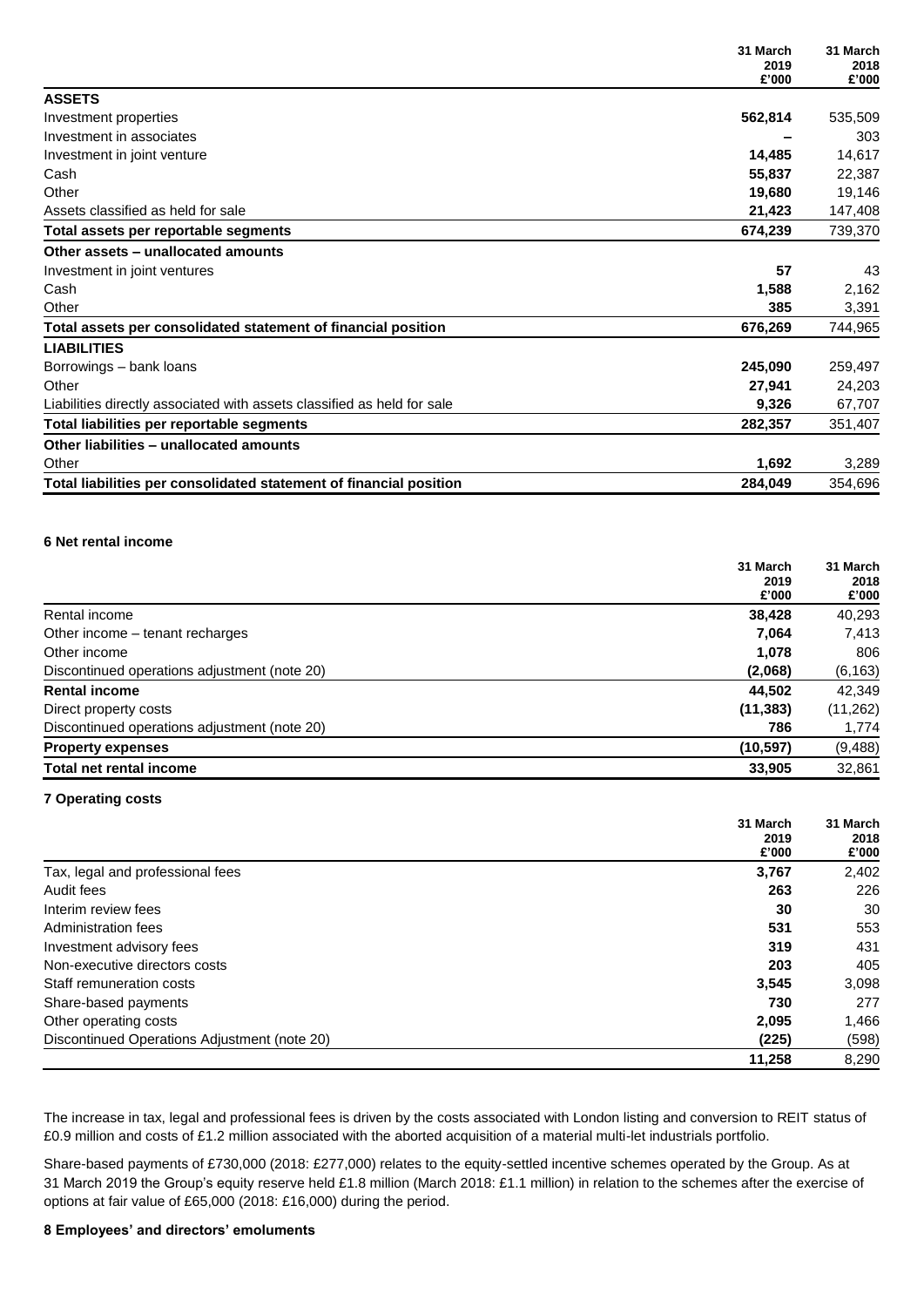|                                                                         | 31 March<br>2019<br>£'000 | 31 March<br>2018<br>£'000 |
|-------------------------------------------------------------------------|---------------------------|---------------------------|
| <b>ASSETS</b>                                                           |                           |                           |
| Investment properties                                                   | 562,814                   | 535,509                   |
| Investment in associates                                                |                           | 303                       |
| Investment in joint venture                                             | 14,485                    | 14,617                    |
| Cash                                                                    | 55,837                    | 22,387                    |
| Other                                                                   | 19,680                    | 19,146                    |
| Assets classified as held for sale                                      | 21,423                    | 147,408                   |
| Total assets per reportable segments                                    | 674,239                   | 739,370                   |
| Other assets - unallocated amounts                                      |                           |                           |
| Investment in joint ventures                                            | 57                        | 43                        |
| Cash                                                                    | 1,588                     | 2,162                     |
| Other                                                                   | 385                       | 3,391                     |
| Total assets per consolidated statement of financial position           | 676,269                   | 744,965                   |
| <b>LIABILITIES</b>                                                      |                           |                           |
| Borrowings - bank loans                                                 | 245,090                   | 259,497                   |
| Other                                                                   | 27,941                    | 24,203                    |
| Liabilities directly associated with assets classified as held for sale | 9,326                     | 67,707                    |
| Total liabilities per reportable segments                               | 282,357                   | 351,407                   |
| Other liabilities - unallocated amounts                                 |                           |                           |
| Other                                                                   | 1,692                     | 3,289                     |
| Total liabilities per consolidated statement of financial position      | 284.049                   | 354,696                   |

## **6 Net rental income**

|                                              | 31 March<br>2019<br>£'000 | 31 March<br>2018<br>£'000 |
|----------------------------------------------|---------------------------|---------------------------|
| Rental income                                | 38,428                    | 40,293                    |
| Other income – tenant recharges              | 7,064                     | 7,413                     |
| Other income                                 | 1,078                     | 806                       |
| Discontinued operations adjustment (note 20) | (2,068)                   | (6, 163)                  |
| <b>Rental income</b>                         | 44,502                    | 42,349                    |
| Direct property costs                        | (11, 383)                 | (11,262)                  |
| Discontinued operations adjustment (note 20) | 786                       | 1,774                     |
| <b>Property expenses</b>                     | (10,597)                  | (9,488)                   |
| Total net rental income                      | 33,905                    | 32,861                    |

## **7 Operating costs**

|                                              | 31 March<br>2019 | 31 March<br>2018 |
|----------------------------------------------|------------------|------------------|
|                                              | £'000            | £'000            |
| Tax, legal and professional fees             | 3,767            | 2,402            |
| Audit fees                                   | 263              | 226              |
| Interim review fees                          | 30               | 30               |
| Administration fees                          | 531              | 553              |
| Investment advisory fees                     | 319              | 431              |
| Non-executive directors costs                | 203              | 405              |
| Staff remuneration costs                     | 3,545            | 3,098            |
| Share-based payments                         | 730              | 277              |
| Other operating costs                        | 2,095            | 1,466            |
| Discontinued Operations Adjustment (note 20) | (225)            | (598)            |
|                                              | 11,258           | 8,290            |

The increase in tax, legal and professional fees is driven by the costs associated with London listing and conversion to REIT status of £0.9 million and costs of £1.2 million associated with the aborted acquisition of a material multi-let industrials portfolio.

Share-based payments of £730,000 (2018: £277,000) relates to the equity-settled incentive schemes operated by the Group. As at 31 March 2019 the Group's equity reserve held £1.8 million (March 2018: £1.1 million) in relation to the schemes after the exercise of options at fair value of £65,000 (2018: £16,000) during the period.

### **8 Employees' and directors' emoluments**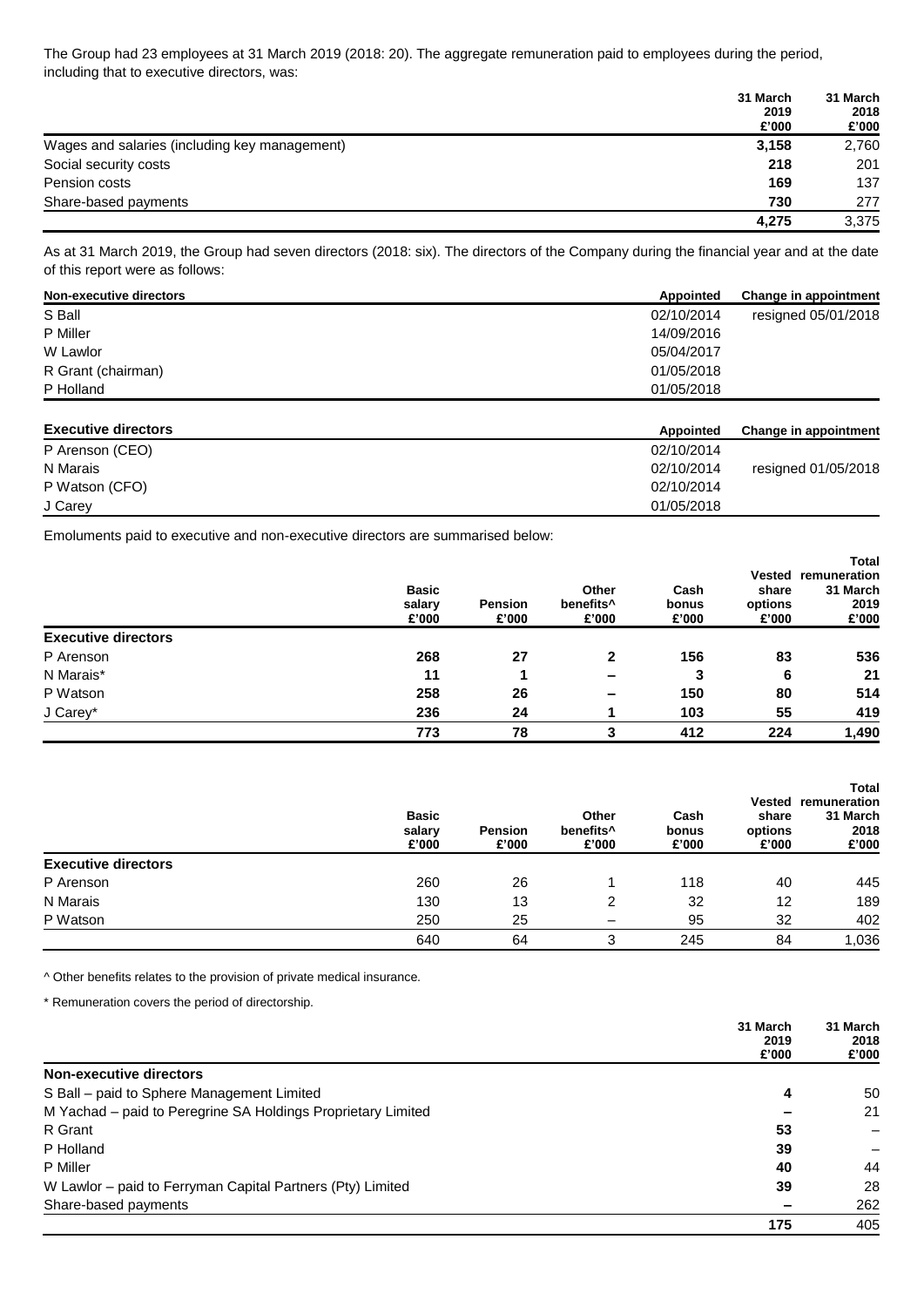The Group had 23 employees at 31 March 2019 (2018: 20). The aggregate remuneration paid to employees during the period, including that to executive directors, was:

|                                               | 31 March<br>2019<br>£'000 | 31 March<br>2018<br>£'000 |
|-----------------------------------------------|---------------------------|---------------------------|
| Wages and salaries (including key management) | 3,158                     | 2,760                     |
| Social security costs                         | 218                       | 201                       |
| Pension costs                                 | 169                       | 137                       |
| Share-based payments                          | 730                       | 277                       |
|                                               | 4,275                     | 3.375                     |

As at 31 March 2019, the Group had seven directors (2018: six). The directors of the Company during the financial year and at the date of this report were as follows:

| Non-executive directors                                                                                                                     | Appointed  | Change in appointment |
|---------------------------------------------------------------------------------------------------------------------------------------------|------------|-----------------------|
| S Ball                                                                                                                                      | 02/10/2014 | resigned 05/01/2018   |
| P Miller                                                                                                                                    | 14/09/2016 |                       |
| W Lawlor                                                                                                                                    | 05/04/2017 |                       |
| R Grant (chairman)                                                                                                                          | 01/05/2018 |                       |
| P Holland                                                                                                                                   | 01/05/2018 |                       |
|                                                                                                                                             |            |                       |
| $\overline{\phantom{a}}$<br>the contract of the contract of the contract of the contract of the contract of the contract of the contract of |            |                       |

| <b>Executive directors</b> | Appointed  | Change in appointment |
|----------------------------|------------|-----------------------|
| P Arenson (CEO)            | 02/10/2014 |                       |
| N Marais                   | 02/10/2014 | resigned 01/05/2018   |
| P Watson (CFO)             | 02/10/2014 |                       |
| J Carey                    | 01/05/2018 |                       |

Emoluments paid to executive and non-executive directors are summarised below:

|                            | <b>Basic</b><br>salary<br>£'000 | <b>Pension</b><br>£'000 | Other<br>benefits <sup>^</sup><br>£'000 | Cash<br>bonus<br>£'000 | Vested<br>share<br>options<br>£'000 | <b>Total</b><br>remuneration<br>31 March<br>2019<br>£'000 |
|----------------------------|---------------------------------|-------------------------|-----------------------------------------|------------------------|-------------------------------------|-----------------------------------------------------------|
| <b>Executive directors</b> |                                 |                         |                                         |                        |                                     |                                                           |
| P Arenson                  | 268                             | 27                      | $\mathbf{2}$                            | 156                    | 83                                  | 536                                                       |
| N Marais*                  | 11                              |                         | $\overline{\phantom{0}}$                | 3                      | 6                                   | 21                                                        |
| P Watson                   | 258                             | 26                      | $\overline{\phantom{0}}$                | 150                    | 80                                  | 514                                                       |
| J Carey*                   | 236                             | 24                      |                                         | 103                    | 55                                  | 419                                                       |
|                            | 773                             | 78                      | 3                                       | 412                    | 224                                 | 1,490                                                     |

|                            | Basic<br>salary<br>£'000 | Pension<br>£'000 | Other<br>benefits <sup>^</sup><br>£'000 | Cash<br>bonus<br>£'000 | Vested<br>share<br>options<br>£'000 | <b>Total</b><br>remuneration<br>31 March<br>2018<br>£'000 |
|----------------------------|--------------------------|------------------|-----------------------------------------|------------------------|-------------------------------------|-----------------------------------------------------------|
| <b>Executive directors</b> |                          |                  |                                         |                        |                                     |                                                           |
| P Arenson                  | 260                      | 26               |                                         | 118                    | 40                                  | 445                                                       |
| N Marais                   | 130                      | 13               |                                         | 32                     | 12                                  | 189                                                       |
| P Watson                   | 250                      | 25               |                                         | 95                     | 32                                  | 402                                                       |
|                            | 640                      | 64               | ว<br>٠J                                 | 245                    | 84                                  | 1,036                                                     |

^ Other benefits relates to the provision of private medical insurance.

\* Remuneration covers the period of directorship.

|                                                              | 31 March<br>2019 | 31 March<br>2018 |
|--------------------------------------------------------------|------------------|------------------|
|                                                              | £'000            | £'000            |
| <b>Non-executive directors</b>                               |                  |                  |
| S Ball – paid to Sphere Management Limited                   | 4                | 50               |
| M Yachad - paid to Peregrine SA Holdings Proprietary Limited |                  | 21               |
| R Grant                                                      | 53               |                  |
| P Holland                                                    | 39               |                  |
| P Miller                                                     | 40               | 44               |
| W Lawlor - paid to Ferryman Capital Partners (Pty) Limited   | 39               | 28               |
| Share-based payments                                         |                  | 262              |
|                                                              | 175              | 405              |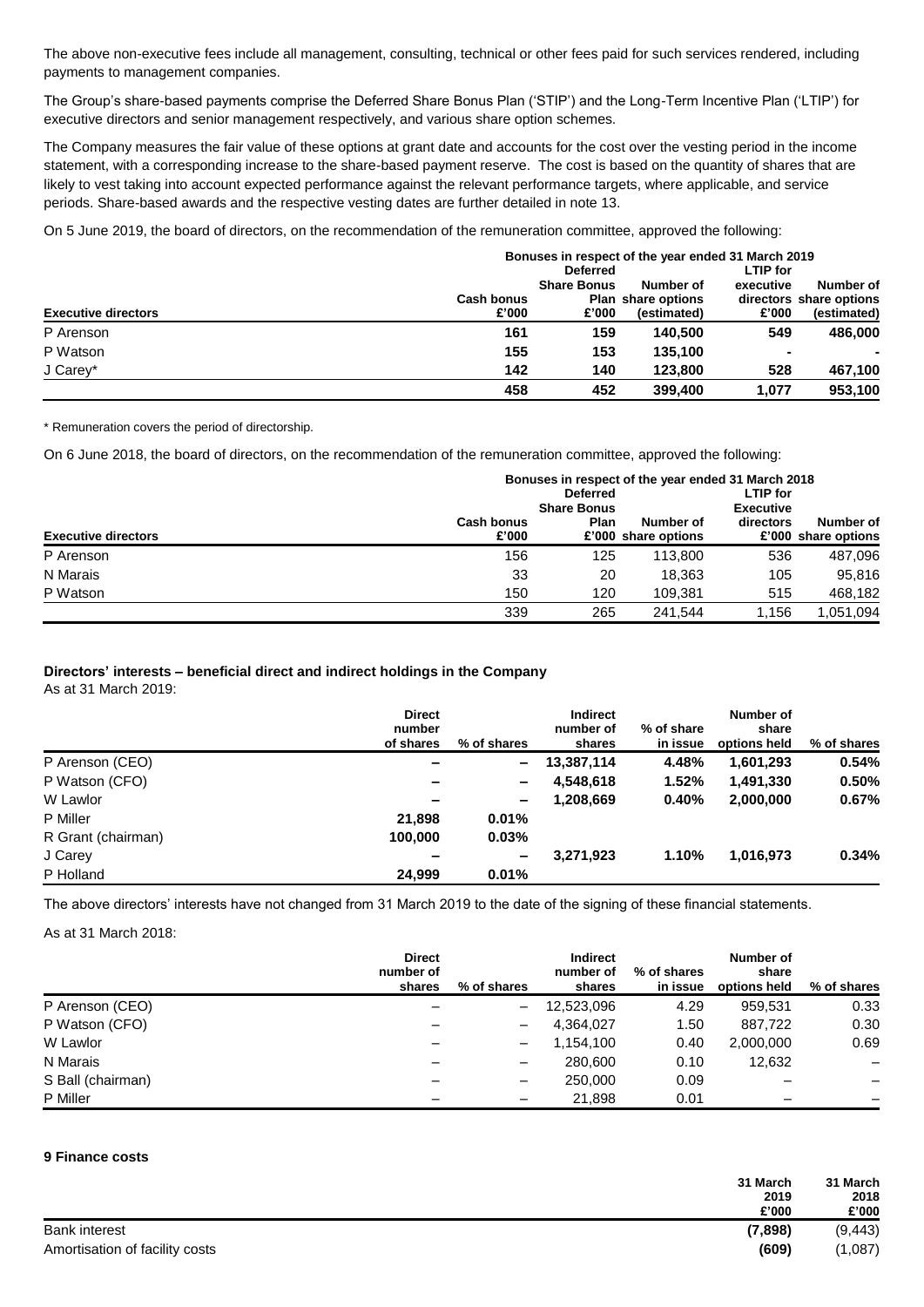The above non-executive fees include all management, consulting, technical or other fees paid for such services rendered, including payments to management companies.

The Group's share-based payments comprise the Deferred Share Bonus Plan ('STIP') and the Long-Term Incentive Plan ('LTIP') for executive directors and senior management respectively, and various share option schemes.

The Company measures the fair value of these options at grant date and accounts for the cost over the vesting period in the income statement, with a corresponding increase to the share-based payment reserve. The cost is based on the quantity of shares that are likely to vest taking into account expected performance against the relevant performance targets, where applicable, and service periods. Share-based awards and the respective vesting dates are further detailed in note 13.

On 5 June 2019, the board of directors, on the recommendation of the remuneration committee, approved the following:

|                            | Bonuses in respect of the year ended 31 March 2019 |                    |                    |                |                         |
|----------------------------|----------------------------------------------------|--------------------|--------------------|----------------|-------------------------|
|                            |                                                    | <b>Deferred</b>    |                    |                | <b>LTIP</b> for         |
|                            |                                                    | <b>Share Bonus</b> | Number of          | executive      | Number of               |
|                            | Cash bonus                                         |                    | Plan share options |                | directors share options |
| <b>Executive directors</b> | £'000                                              | £'000              | (estimated)        | £'000          | (estimated)             |
| P Arenson                  | 161                                                | 159                | 140.500            | 549            | 486,000                 |
| P Watson                   | 155                                                | 153                | 135.100            | $\blacksquare$ |                         |
| J Carey*                   | 142                                                | 140                | 123.800            | 528            | 467,100                 |
|                            | 458                                                | 452                | 399.400            | 1.077          | 953,100                 |

\* Remuneration covers the period of directorship.

On 6 June 2018, the board of directors, on the recommendation of the remuneration committee, approved the following:

|                            |            | Bonuses in respect of the year ended 31 March 2018 |                     |                  |                     |  |
|----------------------------|------------|----------------------------------------------------|---------------------|------------------|---------------------|--|
|                            |            | <b>Deferred</b>                                    |                     | <b>LTIP</b> for  |                     |  |
|                            |            | <b>Share Bonus</b>                                 |                     | <b>Executive</b> |                     |  |
|                            | Cash bonus | Plan                                               | Number of           | directors        | Number of           |  |
| <b>Executive directors</b> | £'000      |                                                    | £'000 share options |                  | £'000 share options |  |
| P Arenson                  | 156        | 125                                                | 113,800             | 536              | 487,096             |  |
| N Marais                   | 33         | 20                                                 | 18.363              | 105              | 95,816              |  |
| P Watson                   | 150        | 120                                                | 109.381             | 515              | 468,182             |  |
|                            | 339        | 265                                                | 241.544             | 1,156            | 1,051,094           |  |

#### **Directors' interests – beneficial direct and indirect holdings in the Company**

As at 31 March 2019:

|                    | <b>Direct</b><br>number<br>of shares | % of shares                  | <b>Indirect</b><br>number of<br>shares | % of share<br>in issue | Number of<br>share<br>options held | % of shares |
|--------------------|--------------------------------------|------------------------------|----------------------------------------|------------------------|------------------------------------|-------------|
| P Arenson (CEO)    |                                      | $\sim$                       | 13,387,114                             | 4.48%                  | 1,601,293                          | 0.54%       |
| P Watson (CFO)     | $\overline{\phantom{0}}$             | $\overline{\phantom{0}}$     | 4.548.618                              | 1.52%                  | 1,491,330                          | 0.50%       |
| W Lawlor           | $\overline{\phantom{0}}$             | $\qquad \qquad \blacksquare$ | 1.208.669                              | 0.40%                  | 2,000,000                          | 0.67%       |
| P Miller           | 21,898                               | $0.01\%$                     |                                        |                        |                                    |             |
| R Grant (chairman) | 100.000                              | 0.03%                        |                                        |                        |                                    |             |
| J Carey            | $\overline{\phantom{0}}$             | $\overline{\phantom{0}}$     | 3.271.923                              | 1.10%                  | 1,016,973                          | 0.34%       |
| P Holland          | 24.999                               | 0.01%                        |                                        |                        |                                    |             |

The above directors' interests have not changed from 31 March 2019 to the date of the signing of these financial statements.

As at 31 March 2018:

|                   | <b>Direct</b><br>number of<br>shares | % of shares | <b>Indirect</b><br>number of<br>shares | % of shares<br>in issue | Number of<br>share<br>options held | % of shares |
|-------------------|--------------------------------------|-------------|----------------------------------------|-------------------------|------------------------------------|-------------|
| P Arenson (CEO)   |                                      | $-$         | 12,523,096                             | 4.29                    | 959,531                            | 0.33        |
| P Watson (CFO)    |                                      |             | 4,364,027                              | 1.50                    | 887,722                            | 0.30        |
| W Lawlor          |                                      |             | 1,154,100                              | 0.40                    | 2,000,000                          | 0.69        |
| N Marais          |                                      |             | 280,600                                | 0.10                    | 12.632                             |             |
| S Ball (chairman) |                                      | -           | 250,000                                | 0.09                    |                                    |             |
| P Miller          |                                      |             | 21.898                                 | 0.01                    |                                    |             |

### **9 Finance costs**

|                                | 31 March<br>2019<br>£'000 | 31 March<br>2018<br>£'000 |
|--------------------------------|---------------------------|---------------------------|
| <b>Bank interest</b>           | (7,898)                   | (9, 443)                  |
| Amortisation of facility costs | (609)                     | (1,087)                   |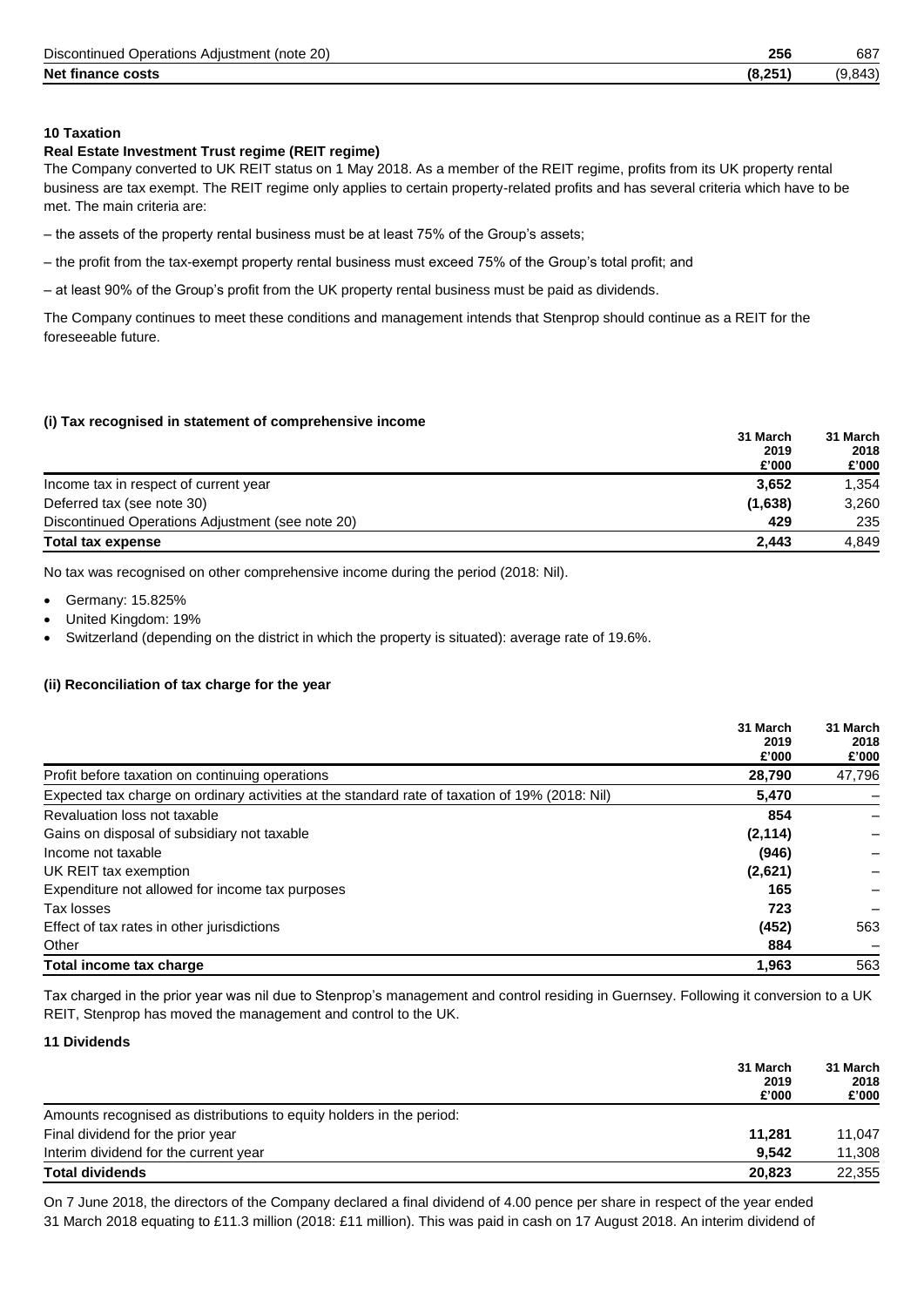| Discontinued<br>(note 20)<br>: Adiustment<br>Operations | 256             | 687 |
|---------------------------------------------------------|-----------------|-----|
| <b>Net finance costs</b>                                | 25 <sub>1</sub> | 843 |

## **10 Taxation**

### **Real Estate Investment Trust regime (REIT regime)**

The Company converted to UK REIT status on 1 May 2018. As a member of the REIT regime, profits from its UK property rental business are tax exempt. The REIT regime only applies to certain property-related profits and has several criteria which have to be met. The main criteria are:

– the assets of the property rental business must be at least 75% of the Group's assets;

– the profit from the tax-exempt property rental business must exceed 75% of the Group's total profit; and

– at least 90% of the Group's profit from the UK property rental business must be paid as dividends.

The Company continues to meet these conditions and management intends that Stenprop should continue as a REIT for the foreseeable future.

#### **(i) Tax recognised in statement of comprehensive income**

| Total tax expense                                | 2.443                     | 4.849                     |
|--------------------------------------------------|---------------------------|---------------------------|
| Discontinued Operations Adjustment (see note 20) | 429                       | 235                       |
| Deferred tax (see note 30)                       | (1,638)                   | 3,260                     |
| Income tax in respect of current year            | 3.652                     | 1.354                     |
|                                                  | 31 March<br>2019<br>£'000 | 31 March<br>2018<br>£'000 |

No tax was recognised on other comprehensive income during the period (2018: Nil).

- Germany: 15.825%
- United Kingdom: 19%
- Switzerland (depending on the district in which the property is situated): average rate of 19.6%.

### **(ii) Reconciliation of tax charge for the year**

|                                                                                                | 31 March<br>2019<br>£'000 | 31 March<br>2018<br>£'000 |
|------------------------------------------------------------------------------------------------|---------------------------|---------------------------|
| Profit before taxation on continuing operations                                                | 28,790                    | 47,796                    |
| Expected tax charge on ordinary activities at the standard rate of taxation of 19% (2018: Nil) | 5,470                     |                           |
| Revaluation loss not taxable                                                                   | 854                       |                           |
| Gains on disposal of subsidiary not taxable                                                    | (2, 114)                  |                           |
| Income not taxable                                                                             | (946)                     |                           |
| UK REIT tax exemption                                                                          | (2,621)                   |                           |
| Expenditure not allowed for income tax purposes                                                | 165                       |                           |
| Tax losses                                                                                     | 723                       |                           |
| Effect of tax rates in other jurisdictions                                                     | (452)                     | 563                       |
| Other                                                                                          | 884                       |                           |
| Total income tax charge                                                                        | 1,963                     | 563                       |

Tax charged in the prior year was nil due to Stenprop's management and control residing in Guernsey. Following it conversion to a UK REIT, Stenprop has moved the management and control to the UK.

### **11 Dividends**

|                                                                      | 31 March<br>2019<br>£'000 | 31 March<br>2018<br>£'000 |
|----------------------------------------------------------------------|---------------------------|---------------------------|
| Amounts recognised as distributions to equity holders in the period: |                           |                           |
| Final dividend for the prior year                                    | 11.281                    | 11.047                    |
| Interim dividend for the current year                                | 9.542                     | 11,308                    |
| <b>Total dividends</b>                                               | 20.823                    | 22,355                    |

On 7 June 2018, the directors of the Company declared a final dividend of 4.00 pence per share in respect of the year ended 31 March 2018 equating to £11.3 million (2018: £11 million). This was paid in cash on 17 August 2018. An interim dividend of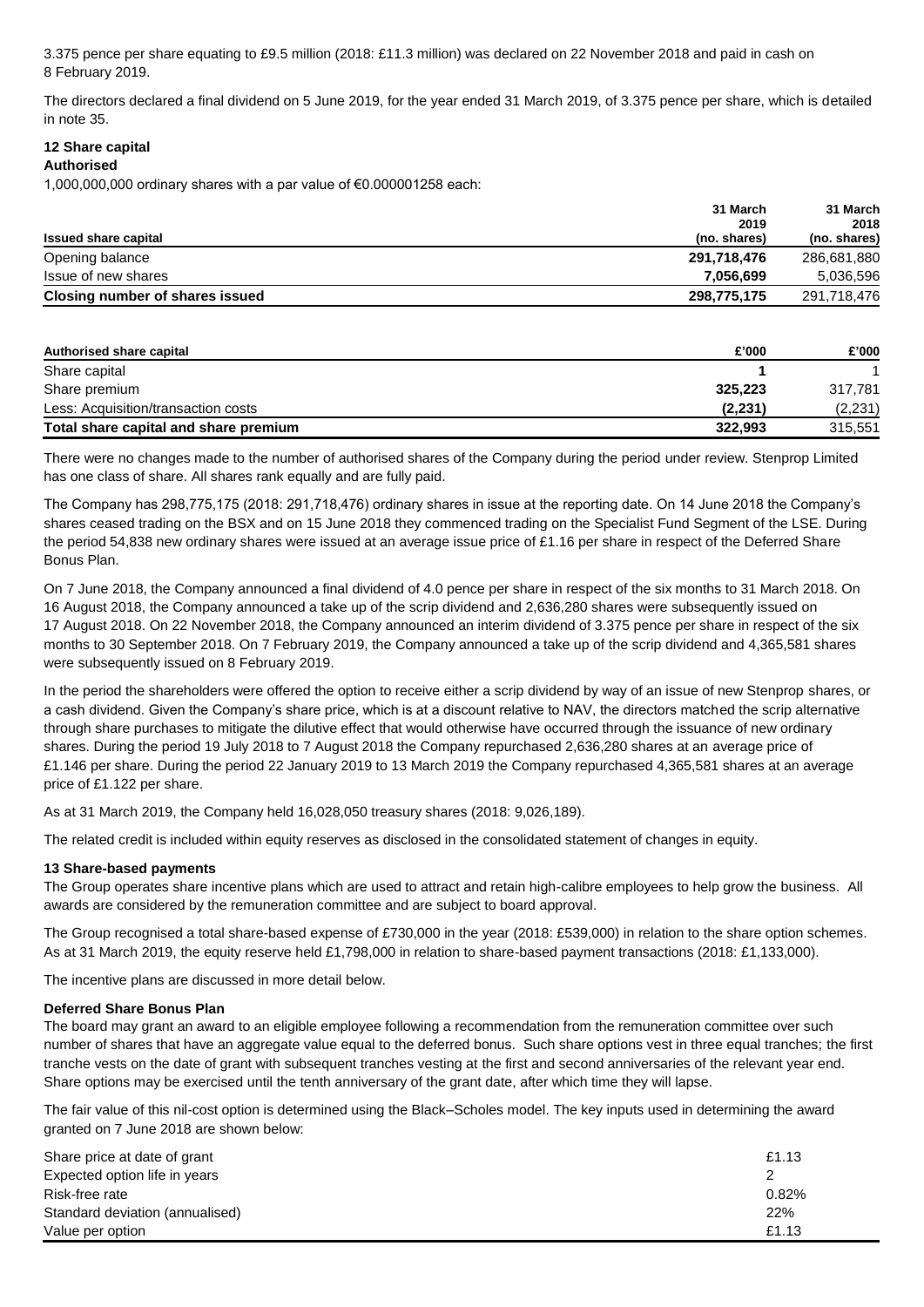3.375 pence per share equating to £9.5 million (2018: £11.3 million) was declared on 22 November 2018 and paid in cash on 8 February 2019.

The directors declared a final dividend on 5 June 2019, for the year ended 31 March 2019, of 3.375 pence per share, which is detailed in note 35.

# **12 Share capital**

### **Authorised**

1,000,000,000 ordinary shares with a par value of €0.000001258 each:

|                                 | 31 March     |              |  |
|---------------------------------|--------------|--------------|--|
|                                 | 2019         | 2018         |  |
| <b>Issued share capital</b>     | (no. shares) | (no. shares) |  |
| Opening balance                 | 291,718,476  | 286,681,880  |  |
| Issue of new shares             | 7.056.699    | 5,036,596    |  |
| Closing number of shares issued | 298.775.175  | 291,718,476  |  |
|                                 |              |              |  |

| Authorised share capital              | £'000    | £'000   |
|---------------------------------------|----------|---------|
| Share capital                         |          |         |
| Share premium                         | 325.223  | 317,781 |
| Less: Acquisition/transaction costs   | (2, 231) | (2,231) |
| Total share capital and share premium | 322.993  | 315,551 |

There were no changes made to the number of authorised shares of the Company during the period under review. Stenprop Limited has one class of share. All shares rank equally and are fully paid.

The Company has 298,775,175 (2018: 291,718,476) ordinary shares in issue at the reporting date. On 14 June 2018 the Company's shares ceased trading on the BSX and on 15 June 2018 they commenced trading on the Specialist Fund Segment of the LSE. During the period 54,838 new ordinary shares were issued at an average issue price of £1.16 per share in respect of the Deferred Share Bonus Plan.

On 7 June 2018, the Company announced a final dividend of 4.0 pence per share in respect of the six months to 31 March 2018. On 16 August 2018, the Company announced a take up of the scrip dividend and 2,636,280 shares were subsequently issued on 17 August 2018. On 22 November 2018, the Company announced an interim dividend of 3.375 pence per share in respect of the six months to 30 September 2018. On 7 February 2019, the Company announced a take up of the scrip dividend and 4,365,581 shares were subsequently issued on 8 February 2019.

In the period the shareholders were offered the option to receive either a scrip dividend by way of an issue of new Stenprop shares, or a cash dividend. Given the Company's share price, which is at a discount relative to NAV, the directors matched the scrip alternative through share purchases to mitigate the dilutive effect that would otherwise have occurred through the issuance of new ordinary shares. During the period 19 July 2018 to 7 August 2018 the Company repurchased 2,636,280 shares at an average price of £1.146 per share. During the period 22 January 2019 to 13 March 2019 the Company repurchased 4,365,581 shares at an average price of £1.122 per share.

As at 31 March 2019, the Company held 16,028,050 treasury shares (2018: 9,026,189).

The related credit is included within equity reserves as disclosed in the consolidated statement of changes in equity.

### **13 Share-based payments**

The Group operates share incentive plans which are used to attract and retain high-calibre employees to help grow the business. All awards are considered by the remuneration committee and are subject to board approval.

The Group recognised a total share-based expense of £730,000 in the year (2018: £539,000) in relation to the share option schemes. As at 31 March 2019, the equity reserve held £1,798,000 in relation to share-based payment transactions (2018: £1,133,000).

The incentive plans are discussed in more detail below.

#### **Deferred Share Bonus Plan**

The board may grant an award to an eligible employee following a recommendation from the remuneration committee over such number of shares that have an aggregate value equal to the deferred bonus. Such share options vest in three equal tranches; the first tranche vests on the date of grant with subsequent tranches vesting at the first and second anniversaries of the relevant year end. Share options may be exercised until the tenth anniversary of the grant date, after which time they will lapse.

The fair value of this nil-cost option is determined using the Black–Scholes model. The key inputs used in determining the award granted on 7 June 2018 are shown below:

| Share price at date of grant    | £1.13 |
|---------------------------------|-------|
| Expected option life in years   |       |
| Risk-free rate                  | 0.82% |
| Standard deviation (annualised) | 22%   |
| Value per option                | £1.13 |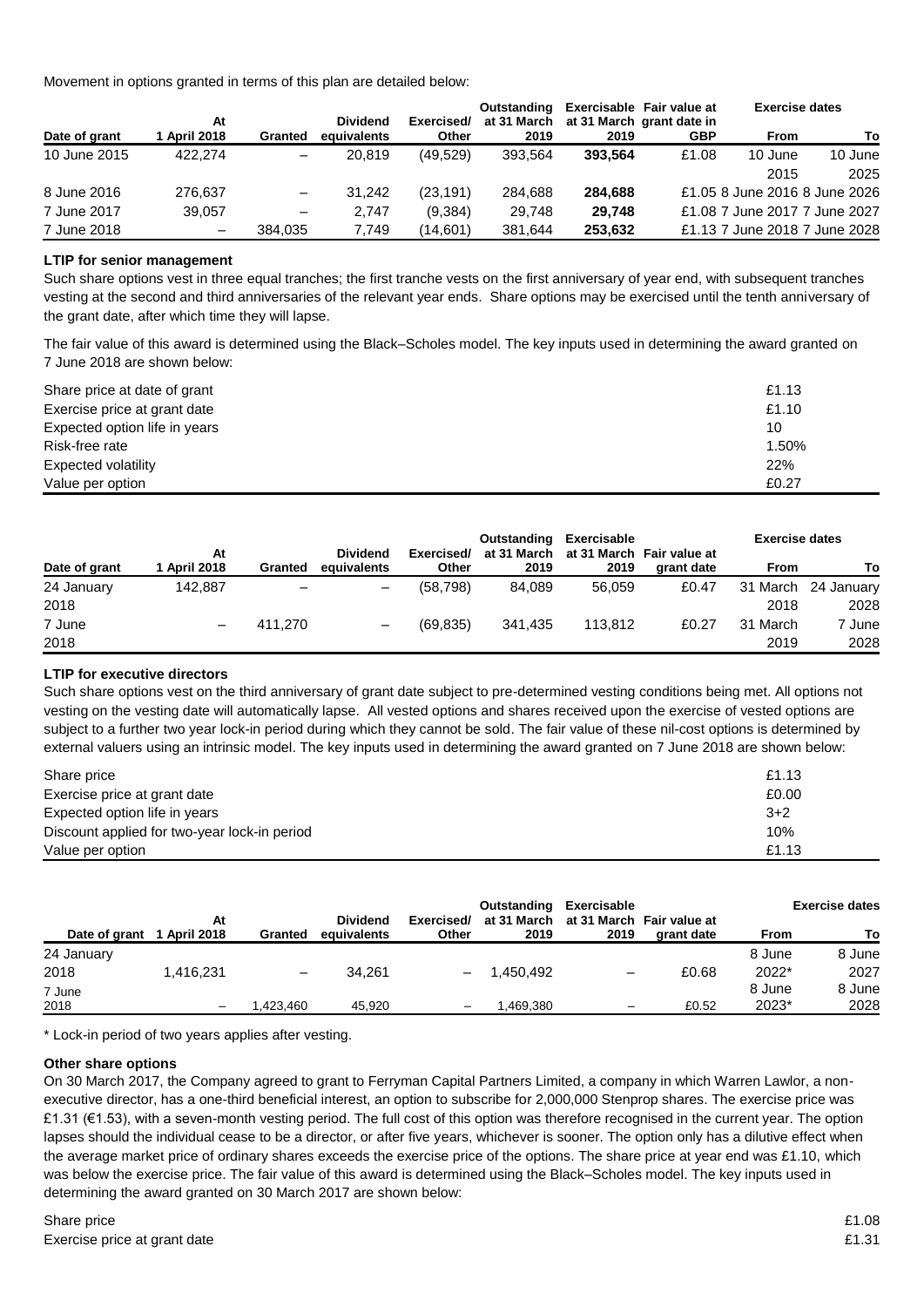Movement in options granted in terms of this plan are detailed below:

|               | At                |                   | <b>Dividend</b> | Exercised/ | Outstanding<br>at 31 March |         | Exercisable Fair value at<br>at 31 March grant date in | <b>Exercise dates</b> |                               |
|---------------|-------------------|-------------------|-----------------|------------|----------------------------|---------|--------------------------------------------------------|-----------------------|-------------------------------|
| Date of grant | <b>April 2018</b> | Granted           | equivalents     | Other      | 2019                       | 2019    | <b>GBP</b>                                             | From                  | To                            |
| 10 June 2015  | 422.274           | —                 | 20,819          | (49.529)   | 393.564                    | 393.564 | £1.08                                                  | 10 June               | 10 June                       |
|               |                   |                   |                 |            |                            |         |                                                        | 2015                  | 2025                          |
| 8 June 2016   | 276.637           | $\qquad \qquad -$ | 31.242          | (23, 191)  | 284,688                    | 284.688 |                                                        |                       | £1.05 8 June 2016 8 June 2026 |
| 7 June 2017   | 39.057            | $\qquad \qquad -$ | 2.747           | (9, 384)   | 29.748                     | 29.748  |                                                        |                       | £1.08 7 June 2017 7 June 2027 |
| 7 June 2018   |                   | 384.035           | 7.749           | (14.601)   | 381.644                    | 253.632 |                                                        |                       | £1.13 7 June 2018 7 June 2028 |

## **LTIP for senior management**

Such share options vest in three equal tranches; the first tranche vests on the first anniversary of year end, with subsequent tranches vesting at the second and third anniversaries of the relevant year ends. Share options may be exercised until the tenth anniversary of the grant date, after which time they will lapse.

The fair value of this award is determined using the Black–Scholes model. The key inputs used in determining the award granted on 7 June 2018 are shown below:

| Share price at date of grant  | £1.13 |
|-------------------------------|-------|
| Exercise price at grant date  | £1.10 |
| Expected option life in years | 10    |
| Risk-free rate                | 1.50% |
| Expected volatility           | 22%   |
| Value per option              | £0.27 |

|               |                         |         |                                |                     | Outstanding         | Exercisable |                                         | <b>Exercise dates</b> |                     |
|---------------|-------------------------|---------|--------------------------------|---------------------|---------------------|-------------|-----------------------------------------|-----------------------|---------------------|
| Date of grant | At<br><b>April 2018</b> | Granted | <b>Dividend</b><br>equivalents | Exercised/<br>Other | at 31 March<br>2019 | 2019        | at 31 March Fair value at<br>grant date | From                  | To                  |
| 24 January    | 142.887                 |         | $\overline{\phantom{m}}$       | (58.798)            | 84.089              | 56,059      | £0.47                                   |                       | 31 March 24 January |
| 2018          |                         |         |                                |                     |                     |             |                                         | 2018                  | 2028                |
| 7 June        |                         | 411.270 | —                              | (69.835)            | 341.435             | 113.812     | £0.27                                   | 31 March              | 7 June              |
| 2018          |                         |         |                                |                     |                     |             |                                         | 2019                  | 2028                |

## **LTIP for executive directors**

Such share options vest on the third anniversary of grant date subject to pre-determined vesting conditions being met. All options not vesting on the vesting date will automatically lapse. All vested options and shares received upon the exercise of vested options are subject to a further two year lock-in period during which they cannot be sold. The fair value of these nil-cost options is determined by external valuers using an intrinsic model. The key inputs used in determining the award granted on 7 June 2018 are shown below:

| Share price                                  | £1.13 |
|----------------------------------------------|-------|
| Exercise price at grant date                 | £0.00 |
| Expected option life in years                | $3+2$ |
| Discount applied for two-year lock-in period | 10%   |
| Value per option                             | £1.13 |

|                |                    |                          |                                |                          | Outstanding         | Exercisable              |                                         |                 | <b>Exercise dates</b> |
|----------------|--------------------|--------------------------|--------------------------------|--------------------------|---------------------|--------------------------|-----------------------------------------|-----------------|-----------------------|
| Date of grant  | At<br>1 April 2018 | Granted                  | <b>Dividend</b><br>equivalents | Exercised/<br>Other      | at 31 March<br>2019 | 2019                     | at 31 March Fair value at<br>grant date | From            | То                    |
| 24 January     |                    |                          |                                |                          |                     |                          |                                         | 8 June          | 8 June                |
| 2018           | 1.416.231          | $\overline{\phantom{0}}$ | 34.261                         | $\overline{\phantom{0}}$ | 1.450.492           | $\overline{\phantom{0}}$ | £0.68                                   | 2022*           | 2027                  |
| 7 June<br>2018 |                    | 1.423.460                | 45.920                         |                          | .469.380            |                          | £0.52                                   | 8 June<br>2023* | 8 June<br>2028        |

\* Lock-in period of two years applies after vesting.

## **Other share options**

On 30 March 2017, the Company agreed to grant to Ferryman Capital Partners Limited, a company in which Warren Lawlor, a nonexecutive director, has a one-third beneficial interest, an option to subscribe for 2,000,000 Stenprop shares. The exercise price was £1.31 (€1.53), with a seven-month vesting period. The full cost of this option was therefore recognised in the current year. The option lapses should the individual cease to be a director, or after five years, whichever is sooner. The option only has a dilutive effect when the average market price of ordinary shares exceeds the exercise price of the options. The share price at year end was £1.10, which was below the exercise price. The fair value of this award is determined using the Black–Scholes model. The key inputs used in determining the award granted on 30 March 2017 are shown below: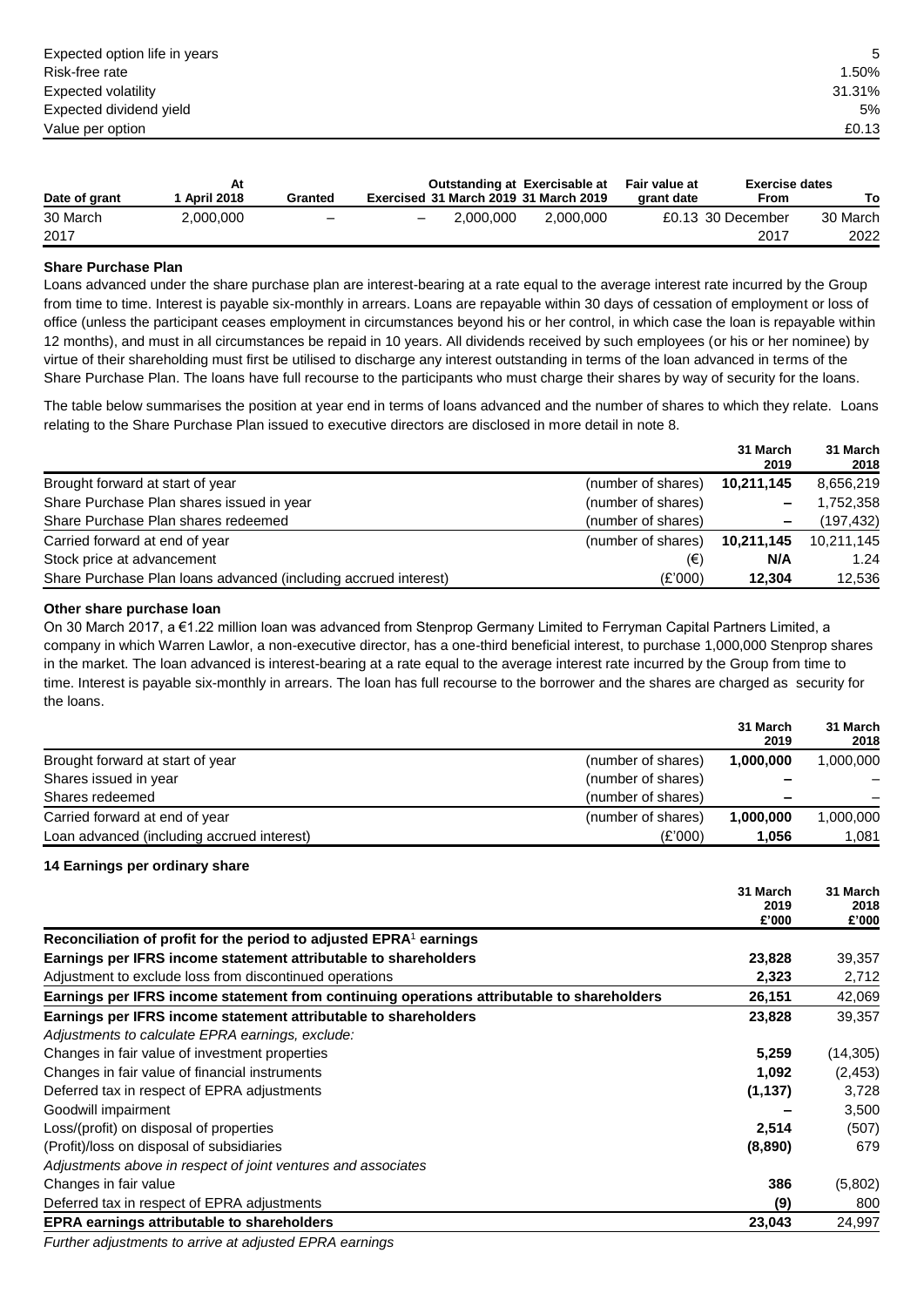| At            |                   |                          | <b>Outstanding at Exercisable at</b>  | Fair value at | <b>Exercise dates</b> |                   |          |
|---------------|-------------------|--------------------------|---------------------------------------|---------------|-----------------------|-------------------|----------|
| Date of grant | <b>April 2018</b> | Granted                  | Exercised 31 March 2019 31 March 2019 |               | arant date            | From              | То       |
| 30 March      | 2,000,000         | $\overline{\phantom{0}}$ | 2.000.000<br>$\overline{\phantom{0}}$ | 2.000.000     |                       | £0.13 30 December | 30 March |
| 2017          |                   |                          |                                       |               |                       | 2017              | 2022     |

### **Share Purchase Plan**

Loans advanced under the share purchase plan are interest-bearing at a rate equal to the average interest rate incurred by the Group from time to time. Interest is payable six-monthly in arrears. Loans are repayable within 30 days of cessation of employment or loss of office (unless the participant ceases employment in circumstances beyond his or her control, in which case the loan is repayable within 12 months), and must in all circumstances be repaid in 10 years. All dividends received by such employees (or his or her nominee) by virtue of their shareholding must first be utilised to discharge any interest outstanding in terms of the loan advanced in terms of the Share Purchase Plan. The loans have full recourse to the participants who must charge their shares by way of security for the loans.

The table below summarises the position at year end in terms of loans advanced and the number of shares to which they relate. Loans relating to the Share Purchase Plan issued to executive directors are disclosed in more detail in note 8.

|                                                                 |                    | 31 March<br>2019         | 31 March<br>2018 |
|-----------------------------------------------------------------|--------------------|--------------------------|------------------|
| Brought forward at start of year                                | (number of shares) | 10,211,145               | 8,656,219        |
| Share Purchase Plan shares issued in year                       | (number of shares) | $\overline{\phantom{0}}$ | 1,752,358        |
| Share Purchase Plan shares redeemed                             | (number of shares) | $\overline{\phantom{m}}$ | (197,432)        |
| Carried forward at end of year                                  | (number of shares) | 10,211,145               | 10,211,145       |
| Stock price at advancement                                      | (€)                | N/A                      | 1.24             |
| Share Purchase Plan loans advanced (including accrued interest) | (£'000)            | 12.304                   | 12,536           |

### **Other share purchase loan**

On 30 March 2017, a €1.22 million loan was advanced from Stenprop Germany Limited to Ferryman Capital Partners Limited, a company in which Warren Lawlor, a non-executive director, has a one-third beneficial interest, to purchase 1,000,000 Stenprop shares in the market. The loan advanced is interest-bearing at a rate equal to the average interest rate incurred by the Group from time to time. Interest is payable six-monthly in arrears. The loan has full recourse to the borrower and the shares are charged as security for the loans.

|                                            |                    | 31 March<br>2019         | 31 March<br>2018 |
|--------------------------------------------|--------------------|--------------------------|------------------|
| Brought forward at start of year           | (number of shares) | 1,000,000                | 1,000,000        |
| Shares issued in year                      | (number of shares) | $\overline{\phantom{a}}$ |                  |
| Shares redeemed                            | (number of shares) | $\overline{\phantom{a}}$ |                  |
| Carried forward at end of year             | (number of shares) | 1,000,000                | 1,000,000        |
| Loan advanced (including accrued interest) | (E'000)            | 1.056                    | 1.081            |

#### **14 Earnings per ordinary share**

|                                                                                            | 31 March<br>2019<br>£'000 | 31 March<br>2018<br>£'000 |
|--------------------------------------------------------------------------------------------|---------------------------|---------------------------|
| Reconciliation of profit for the period to adjusted EPRA <sup>1</sup> earnings             |                           |                           |
| Earnings per IFRS income statement attributable to shareholders                            | 23,828                    | 39,357                    |
| Adjustment to exclude loss from discontinued operations                                    | 2,323                     | 2,712                     |
| Earnings per IFRS income statement from continuing operations attributable to shareholders | 26,151                    | 42,069                    |
| Earnings per IFRS income statement attributable to shareholders                            | 23,828                    | 39,357                    |
| Adjustments to calculate EPRA earnings, exclude:                                           |                           |                           |
| Changes in fair value of investment properties                                             | 5,259                     | (14, 305)                 |
| Changes in fair value of financial instruments                                             | 1,092                     | (2, 453)                  |
| Deferred tax in respect of EPRA adjustments                                                | (1, 137)                  | 3,728                     |
| Goodwill impairment                                                                        |                           | 3,500                     |
| Loss/(profit) on disposal of properties                                                    | 2,514                     | (507)                     |
| (Profit)/loss on disposal of subsidiaries                                                  | (8,890)                   | 679                       |
| Adjustments above in respect of joint ventures and associates                              |                           |                           |
| Changes in fair value                                                                      | 386                       | (5,802)                   |
| Deferred tax in respect of EPRA adjustments                                                | (9)                       | 800                       |
| <b>EPRA earnings attributable to shareholders</b>                                          | 23,043                    | 24,997                    |
|                                                                                            |                           |                           |

*Further adjustments to arrive at adjusted EPRA earnings*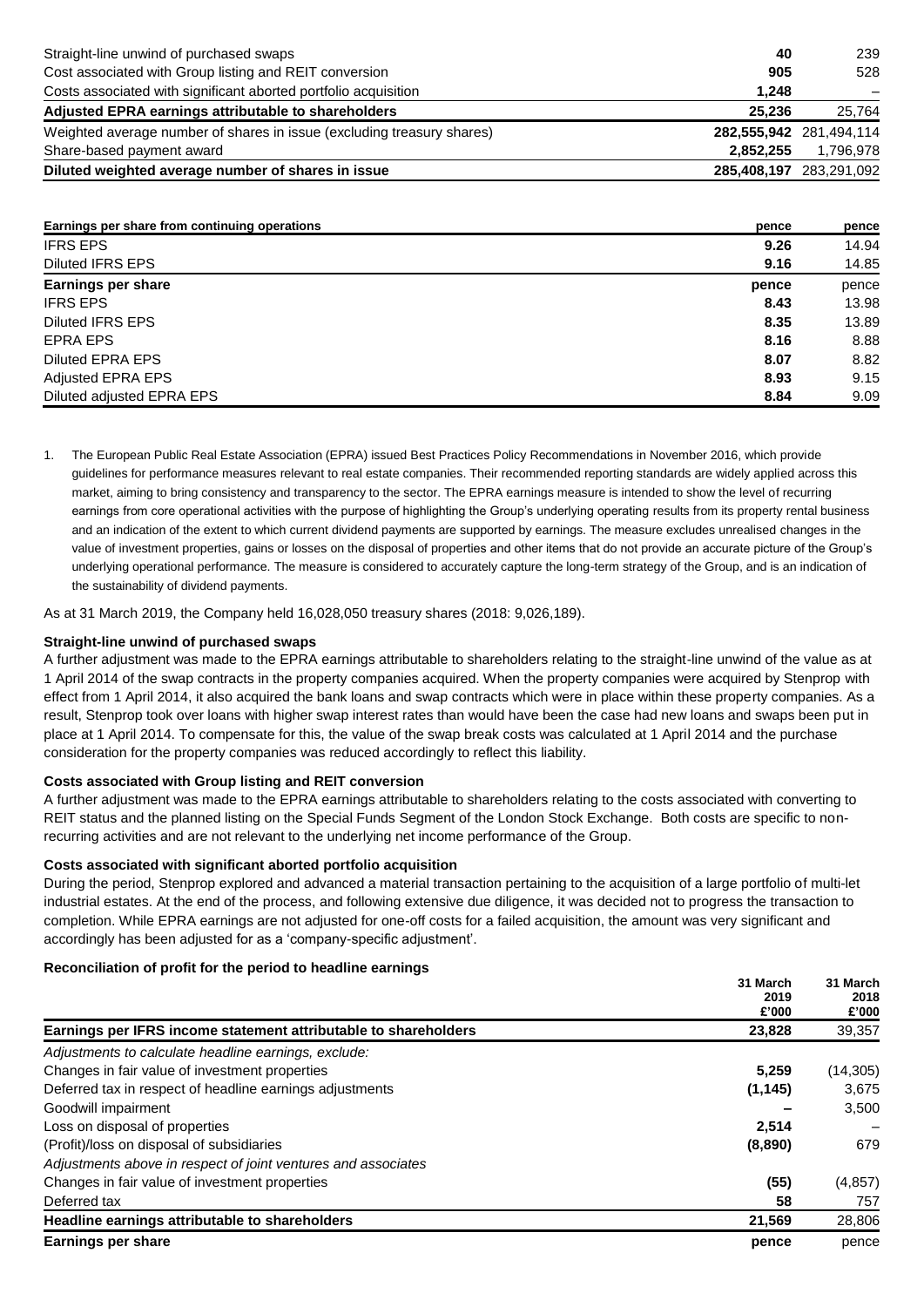| Straight-line unwind of purchased swaps                                | 40        | 239                     |
|------------------------------------------------------------------------|-----------|-------------------------|
| Cost associated with Group listing and REIT conversion                 | 905       | 528                     |
| Costs associated with significant aborted portfolio acquisition        | 1.248     |                         |
| Adjusted EPRA earnings attributable to shareholders                    | 25.236    | 25,764                  |
| Weighted average number of shares in issue (excluding treasury shares) |           | 282,555,942 281,494,114 |
| Share-based payment award                                              | 2.852.255 | 1,796,978               |
| Diluted weighted average number of shares in issue                     |           | 285,408,197 283,291,092 |

| Earnings per share from continuing operations | pence | pence |
|-----------------------------------------------|-------|-------|
| <b>IFRS EPS</b>                               | 9.26  | 14.94 |
| Diluted IFRS EPS                              | 9.16  | 14.85 |
| <b>Earnings per share</b>                     | pence | pence |
| <b>IFRS EPS</b>                               | 8.43  | 13.98 |
| Diluted IFRS EPS                              | 8.35  | 13.89 |
| <b>EPRA EPS</b>                               | 8.16  | 8.88  |
| Diluted EPRA EPS                              | 8.07  | 8.82  |
| <b>Adjusted EPRA EPS</b>                      | 8.93  | 9.15  |
| Diluted adjusted EPRA EPS                     | 8.84  | 9.09  |

1. The European Public Real Estate Association (EPRA) issued Best Practices Policy Recommendations in November 2016, which provide guidelines for performance measures relevant to real estate companies. Their recommended reporting standards are widely applied across this market, aiming to bring consistency and transparency to the sector. The EPRA earnings measure is intended to show the level of recurring earnings from core operational activities with the purpose of highlighting the Group's underlying operating results from its property rental business and an indication of the extent to which current dividend payments are supported by earnings. The measure excludes unrealised changes in the value of investment properties, gains or losses on the disposal of properties and other items that do not provide an accurate picture of the Group's underlying operational performance. The measure is considered to accurately capture the long-term strategy of the Group, and is an indication of the sustainability of dividend payments.

As at 31 March 2019, the Company held 16,028,050 treasury shares (2018: 9,026,189).

### **Straight-line unwind of purchased swaps**

A further adjustment was made to the EPRA earnings attributable to shareholders relating to the straight-line unwind of the value as at 1 April 2014 of the swap contracts in the property companies acquired. When the property companies were acquired by Stenprop with effect from 1 April 2014, it also acquired the bank loans and swap contracts which were in place within these property companies. As a result, Stenprop took over loans with higher swap interest rates than would have been the case had new loans and swaps been put in place at 1 April 2014. To compensate for this, the value of the swap break costs was calculated at 1 April 2014 and the purchase consideration for the property companies was reduced accordingly to reflect this liability.

### **Costs associated with Group listing and REIT conversion**

A further adjustment was made to the EPRA earnings attributable to shareholders relating to the costs associated with converting to REIT status and the planned listing on the Special Funds Segment of the London Stock Exchange. Both costs are specific to nonrecurring activities and are not relevant to the underlying net income performance of the Group.

### **Costs associated with significant aborted portfolio acquisition**

During the period, Stenprop explored and advanced a material transaction pertaining to the acquisition of a large portfolio of multi-let industrial estates. At the end of the process, and following extensive due diligence, it was decided not to progress the transaction to completion. While EPRA earnings are not adjusted for one-off costs for a failed acquisition, the amount was very significant and accordingly has been adjusted for as a 'company-specific adjustment'.

**31 March**

### **Reconciliation of profit for the period to headline earnings**

|                                                                 | 31 March<br>2019<br>£'000 | 31 March<br>2018<br>£'000 |
|-----------------------------------------------------------------|---------------------------|---------------------------|
| Earnings per IFRS income statement attributable to shareholders | 23,828                    | 39,357                    |
| Adjustments to calculate headline earnings, exclude:            |                           |                           |
| Changes in fair value of investment properties                  | 5,259                     | (14, 305)                 |
| Deferred tax in respect of headline earnings adjustments        | (1, 145)                  | 3,675                     |
| Goodwill impairment                                             |                           | 3,500                     |
| Loss on disposal of properties                                  | 2,514                     |                           |
| (Profit)/loss on disposal of subsidiaries                       | (8,890)                   | 679                       |
| Adjustments above in respect of joint ventures and associates   |                           |                           |
| Changes in fair value of investment properties                  | (55)                      | (4, 857)                  |
| Deferred tax                                                    | 58                        | 757                       |
| Headline earnings attributable to shareholders                  | 21,569                    | 28,806                    |
| Earnings per share                                              | pence                     | pence                     |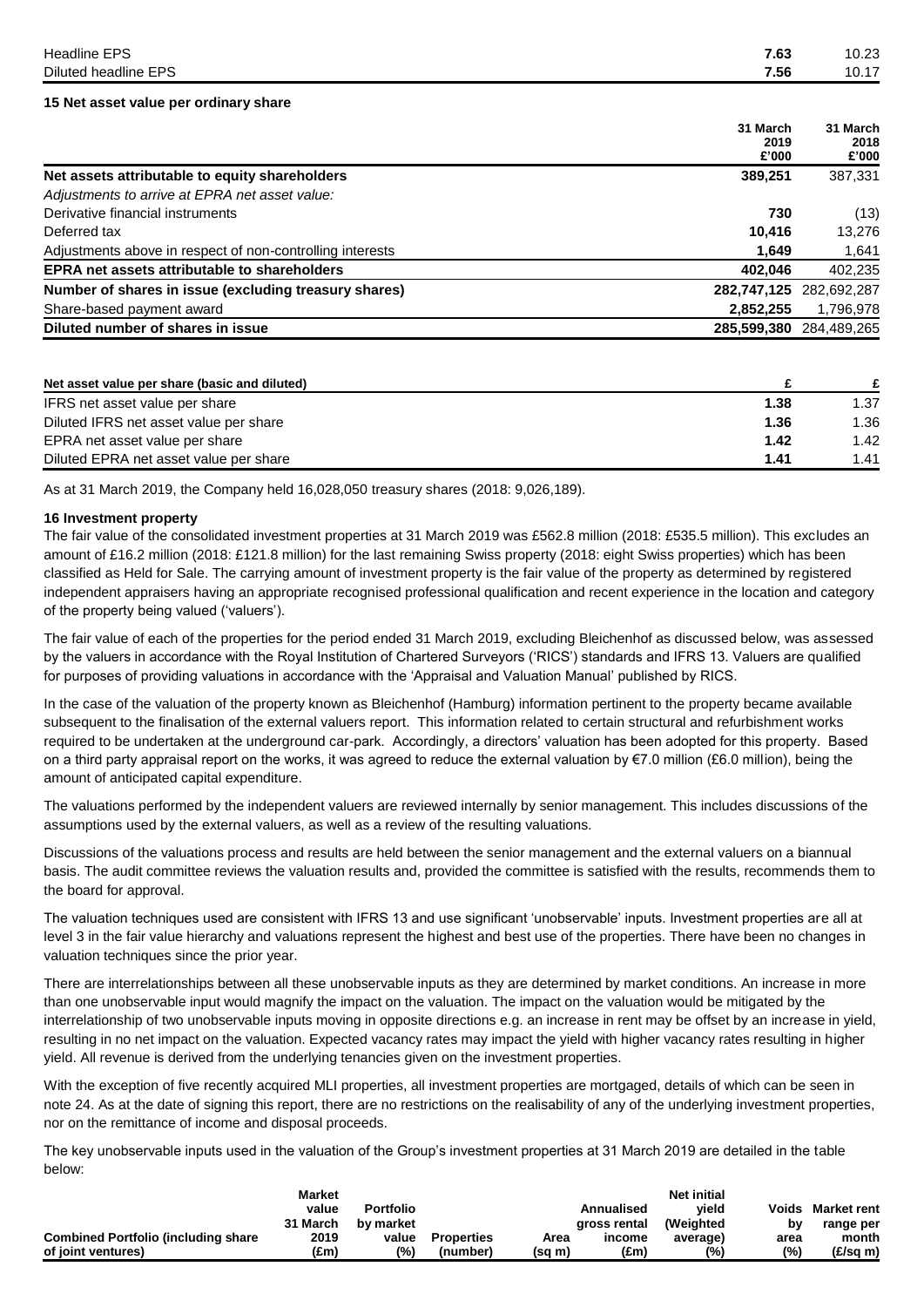| 7.63<br><b>Headline EPS</b>                                          | 10.23                     |
|----------------------------------------------------------------------|---------------------------|
| Diluted headline EPS<br>7.56                                         | 10.17                     |
| 15 Net asset value per ordinary share                                |                           |
| 31 March<br>2019<br>£'000                                            | 31 March<br>2018<br>£'000 |
| 389,251<br>Net assets attributable to equity shareholders            | 387,331                   |
| Adjustments to arrive at EPRA net asset value:                       |                           |
| Derivative financial instruments<br>730                              | (13)                      |
| Deferred tax<br>10.416                                               | 13,276                    |
| Adjustments above in respect of non-controlling interests<br>1,649   | 1,641                     |
| EPRA net assets attributable to shareholders<br>402,046              | 402,235                   |
| Number of shares in issue (excluding treasury shares)<br>282,747,125 | 282,692,287               |
| Share-based payment award<br>2,852,255                               | 1,796,978                 |
| Diluted number of shares in issue<br>285,599,380                     | 284,489,265               |

| Net asset value per share (basic and diluted) |      |      |
|-----------------------------------------------|------|------|
| IFRS net asset value per share                | 1.38 | 1.37 |
| Diluted IFRS net asset value per share        | 1.36 | 1.36 |
| EPRA net asset value per share                | 1.42 | 1.42 |
| Diluted EPRA net asset value per share        | 1.41 | 1.41 |

As at 31 March 2019, the Company held 16,028,050 treasury shares (2018: 9,026,189).

#### **16 Investment property**

The fair value of the consolidated investment properties at 31 March 2019 was £562.8 million (2018: £535.5 million). This excludes an amount of £16.2 million (2018: £121.8 million) for the last remaining Swiss property (2018: eight Swiss properties) which has been classified as Held for Sale. The carrying amount of investment property is the fair value of the property as determined by registered independent appraisers having an appropriate recognised professional qualification and recent experience in the location and category of the property being valued ('valuers').

The fair value of each of the properties for the period ended 31 March 2019, excluding Bleichenhof as discussed below, was assessed by the valuers in accordance with the Royal Institution of Chartered Surveyors ('RICS') standards and IFRS 13. Valuers are qualified for purposes of providing valuations in accordance with the 'Appraisal and Valuation Manual' published by RICS.

In the case of the valuation of the property known as Bleichenhof (Hamburg) information pertinent to the property became available subsequent to the finalisation of the external valuers report. This information related to certain structural and refurbishment works required to be undertaken at the underground car-park. Accordingly, a directors' valuation has been adopted for this property. Based on a third party appraisal report on the works, it was agreed to reduce the external valuation by €7.0 million (£6.0 million), being the amount of anticipated capital expenditure.

The valuations performed by the independent valuers are reviewed internally by senior management. This includes discussions of the assumptions used by the external valuers, as well as a review of the resulting valuations.

Discussions of the valuations process and results are held between the senior management and the external valuers on a biannual basis. The audit committee reviews the valuation results and, provided the committee is satisfied with the results, recommends them to the board for approval.

The valuation techniques used are consistent with IFRS 13 and use significant 'unobservable' inputs. Investment properties are all at level 3 in the fair value hierarchy and valuations represent the highest and best use of the properties. There have been no changes in valuation techniques since the prior year.

There are interrelationships between all these unobservable inputs as they are determined by market conditions. An increase in more than one unobservable input would magnify the impact on the valuation. The impact on the valuation would be mitigated by the interrelationship of two unobservable inputs moving in opposite directions e.g. an increase in rent may be offset by an increase in yield, resulting in no net impact on the valuation. Expected vacancy rates may impact the yield with higher vacancy rates resulting in higher yield. All revenue is derived from the underlying tenancies given on the investment properties.

With the exception of five recently acquired MLI properties, all investment properties are mortgaged, details of which can be seen in note 24. As at the date of signing this report, there are no restrictions on the realisability of any of the underlying investment properties, nor on the remittance of income and disposal proceeds.

The key unobservable inputs used in the valuation of the Group's investment properties at 31 March 2019 are detailed in the table below:

|                                             | <b>Market</b> |                  |                   |        |              | <b>Net initial</b> |       |                          |
|---------------------------------------------|---------------|------------------|-------------------|--------|--------------|--------------------|-------|--------------------------|
|                                             | value         | <b>Portfolio</b> |                   |        | Annualised   | vield              | Voids | <b>Market rent</b>       |
|                                             | 31 March      | by market        |                   |        | gross rental | (Weighted)         | b٧    | range per                |
| <b>Combined Portfolio (including share)</b> | 2019          | value            | <b>Properties</b> | Area   | income       | average)           | area  | month                    |
| of joint ventures)                          | (£m)          | (%)              | (number)          | (sq m) | (£m)         | $(\%)$             | (% )  | $(E/\text{sq} \text{m})$ |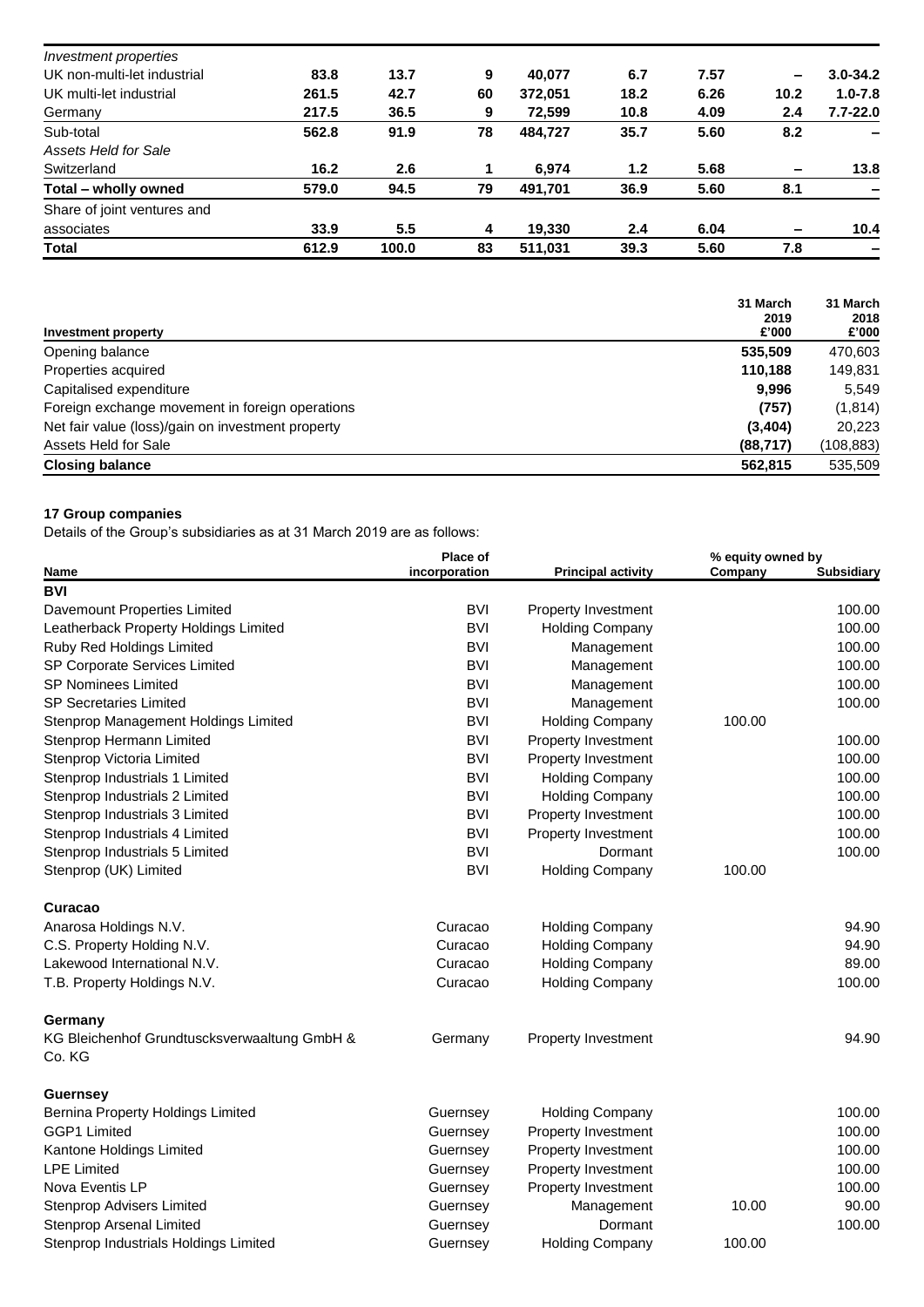| Investment properties       |       |       |    |         |      |      |                          |              |
|-----------------------------|-------|-------|----|---------|------|------|--------------------------|--------------|
| UK non-multi-let industrial | 83.8  | 13.7  | 9  | 40,077  | 6.7  | 7.57 | $\overline{\phantom{0}}$ | $3.0 - 34.2$ |
| UK multi-let industrial     | 261.5 | 42.7  | 60 | 372.051 | 18.2 | 6.26 | 10.2                     | $1.0 - 7.8$  |
| Germany                     | 217.5 | 36.5  | 9  | 72,599  | 10.8 | 4.09 | 2.4                      | $7.7 - 22.0$ |
| Sub-total                   | 562.8 | 91.9  | 78 | 484.727 | 35.7 | 5.60 | 8.2                      |              |
| Assets Held for Sale        |       |       |    |         |      |      |                          |              |
| Switzerland                 | 16.2  | 2.6   |    | 6,974   | 1.2  | 5.68 |                          | 13.8         |
| Total - wholly owned        | 579.0 | 94.5  | 79 | 491.701 | 36.9 | 5.60 | 8.1                      |              |
| Share of joint ventures and |       |       |    |         |      |      |                          |              |
| associates                  | 33.9  | 5.5   | 4  | 19,330  | 2.4  | 6.04 |                          | 10.4         |
| Total                       | 612.9 | 100.0 | 83 | 511.031 | 39.3 | 5.60 | 7.8                      |              |

|                                                   | 31 March<br>2019 | 31 March<br>2018 |
|---------------------------------------------------|------------------|------------------|
| Investment property                               | £'000            |                  |
| Opening balance                                   | 535.509          | 470.603          |
| Properties acquired                               | 110.188          | 149,831          |
| Capitalised expenditure                           | 9,996            | 5.549            |
| Foreign exchange movement in foreign operations   | (757)            | (1, 814)         |
| Net fair value (loss)/gain on investment property | (3, 404)         | 20,223           |
| Assets Held for Sale                              | (88, 717)        | (108, 883)       |
| <b>Closing balance</b>                            | 562,815          | 535,509          |

# **17 Group companies**

Details of the Group's subsidiaries as at 31 March 2019 are as follows:

|                                                        | <b>Place of</b> |                           | % equity owned by |                   |
|--------------------------------------------------------|-----------------|---------------------------|-------------------|-------------------|
| Name                                                   | incorporation   | <b>Principal activity</b> | Company           | <b>Subsidiary</b> |
| <b>BVI</b>                                             |                 |                           |                   |                   |
| Davemount Properties Limited                           | BVI             | Property Investment       |                   | 100.00            |
| Leatherback Property Holdings Limited                  | <b>BVI</b>      | <b>Holding Company</b>    |                   | 100.00            |
| Ruby Red Holdings Limited                              | <b>BVI</b>      | Management                |                   | 100.00            |
| SP Corporate Services Limited                          | <b>BVI</b>      | Management                |                   | 100.00            |
| <b>SP Nominees Limited</b>                             | <b>BVI</b>      | Management                |                   | 100.00            |
| <b>SP Secretaries Limited</b>                          | <b>BVI</b>      | Management                |                   | 100.00            |
| Stenprop Management Holdings Limited                   | <b>BVI</b>      | <b>Holding Company</b>    | 100.00            |                   |
| Stenprop Hermann Limited                               | <b>BVI</b>      | Property Investment       |                   | 100.00            |
| Stenprop Victoria Limited                              | <b>BVI</b>      | Property Investment       |                   | 100.00            |
| Stenprop Industrials 1 Limited                         | <b>BVI</b>      | <b>Holding Company</b>    |                   | 100.00            |
| Stenprop Industrials 2 Limited                         | <b>BVI</b>      | <b>Holding Company</b>    |                   | 100.00            |
| Stenprop Industrials 3 Limited                         | <b>BVI</b>      | Property Investment       |                   | 100.00            |
| Stenprop Industrials 4 Limited                         | <b>BVI</b>      | Property Investment       |                   | 100.00            |
| Stenprop Industrials 5 Limited                         | <b>BVI</b>      | Dormant                   |                   | 100.00            |
| Stenprop (UK) Limited                                  | <b>BVI</b>      | <b>Holding Company</b>    | 100.00            |                   |
| Curacao                                                |                 |                           |                   |                   |
| Anarosa Holdings N.V.                                  | Curacao         | <b>Holding Company</b>    |                   | 94.90             |
| C.S. Property Holding N.V.                             | Curacao         | <b>Holding Company</b>    |                   | 94.90             |
| Lakewood International N.V.                            | Curacao         | <b>Holding Company</b>    |                   | 89.00             |
| T.B. Property Holdings N.V.                            | Curacao         | <b>Holding Company</b>    |                   | 100.00            |
| Germany                                                |                 |                           |                   |                   |
| KG Bleichenhof Grundtuscksverwaaltung GmbH &<br>Co. KG | Germany         | Property Investment       |                   | 94.90             |
|                                                        |                 |                           |                   |                   |
| <b>Guernsey</b>                                        |                 |                           |                   |                   |
| Bernina Property Holdings Limited                      | Guernsey        | <b>Holding Company</b>    |                   | 100.00            |
| GGP1 Limited                                           | Guernsey        | Property Investment       |                   | 100.00            |
| Kantone Holdings Limited                               | Guernsey        | Property Investment       |                   | 100.00            |
| <b>LPE Limited</b>                                     | Guernsey        | Property Investment       |                   | 100.00            |
| Nova Eventis LP                                        | Guernsey        | Property Investment       |                   | 100.00            |
| <b>Stenprop Advisers Limited</b>                       | Guernsey        | Management                | 10.00             | 90.00             |
| Stenprop Arsenal Limited                               | Guernsey        | Dormant                   |                   | 100.00            |
| Stenprop Industrials Holdings Limited                  | Guernsey        | <b>Holding Company</b>    | 100.00            |                   |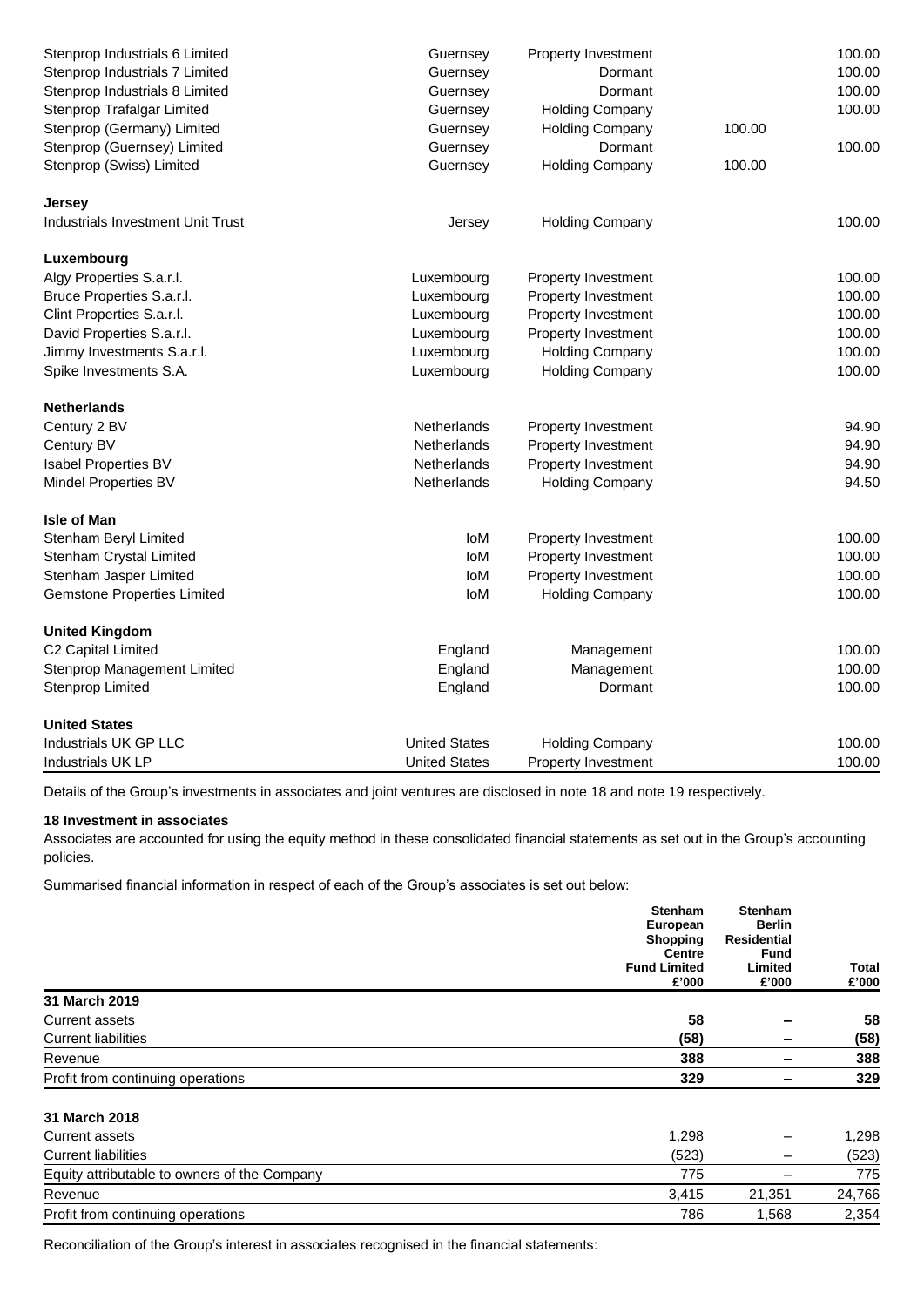| Stenprop Industrials 6 Limited           | Guernsey             | Property Investment        |        | 100.00 |
|------------------------------------------|----------------------|----------------------------|--------|--------|
| Stenprop Industrials 7 Limited           | Guernsey             | Dormant                    |        | 100.00 |
| Stenprop Industrials 8 Limited           | Guernsey             | Dormant                    |        | 100.00 |
| Stenprop Trafalgar Limited               | Guernsey             | <b>Holding Company</b>     |        | 100.00 |
| Stenprop (Germany) Limited               | Guernsey             | <b>Holding Company</b>     | 100.00 |        |
| Stenprop (Guernsey) Limited              | Guernsey             | Dormant                    |        | 100.00 |
| Stenprop (Swiss) Limited                 | Guernsey             | <b>Holding Company</b>     | 100.00 |        |
| Jersey                                   |                      |                            |        |        |
| <b>Industrials Investment Unit Trust</b> | Jersey               | <b>Holding Company</b>     |        | 100.00 |
| Luxembourg                               |                      |                            |        |        |
| Algy Properties S.a.r.l.                 | Luxembourg           | Property Investment        |        | 100.00 |
| Bruce Properties S.a.r.l.                | Luxembourg           | Property Investment        |        | 100.00 |
| Clint Properties S.a.r.l.                | Luxembourg           | Property Investment        |        | 100.00 |
| David Properties S.a.r.l.                | Luxembourg           | Property Investment        |        | 100.00 |
| Jimmy Investments S.a.r.l.               | Luxembourg           | <b>Holding Company</b>     |        | 100.00 |
| Spike Investments S.A.                   | Luxembourg           | <b>Holding Company</b>     |        | 100.00 |
| <b>Netherlands</b>                       |                      |                            |        |        |
| Century 2 BV                             | Netherlands          | <b>Property Investment</b> |        | 94.90  |
| Century BV                               | Netherlands          | Property Investment        |        | 94.90  |
| Isabel Properties BV                     | Netherlands          | Property Investment        |        | 94.90  |
| Mindel Properties BV                     | Netherlands          | <b>Holding Company</b>     |        | 94.50  |
| <b>Isle of Man</b>                       |                      |                            |        |        |
| Stenham Beryl Limited                    | IoM                  | Property Investment        |        | 100.00 |
| Stenham Crystal Limited                  | <b>IoM</b>           | Property Investment        |        | 100.00 |
| Stenham Jasper Limited                   | IoM                  | Property Investment        |        | 100.00 |
| <b>Gemstone Properties Limited</b>       | IoM                  | <b>Holding Company</b>     |        | 100.00 |
| <b>United Kingdom</b>                    |                      |                            |        |        |
| C2 Capital Limited                       | England              | Management                 |        | 100.00 |
| Stenprop Management Limited              | England              | Management                 |        | 100.00 |
| Stenprop Limited                         | England              | Dormant                    |        | 100.00 |
| <b>United States</b>                     |                      |                            |        |        |
| Industrials UK GP LLC                    | <b>United States</b> | <b>Holding Company</b>     |        | 100.00 |
| Industrials UK LP                        | <b>United States</b> | Property Investment        |        | 100.00 |

Details of the Group's investments in associates and joint ventures are disclosed in note 18 and note 19 respectively.

## **18 Investment in associates**

Associates are accounted for using the equity method in these consolidated financial statements as set out in the Group's accounting policies.

Summarised financial information in respect of each of the Group's associates is set out below:

|                                              | <b>Stenham</b><br>European<br>Shopping<br><b>Centre</b><br><b>Fund Limited</b><br>£'000 | <b>Stenham</b><br><b>Berlin</b><br><b>Residential</b><br><b>Fund</b><br>Limited<br>£'000 | Total<br>£'000 |
|----------------------------------------------|-----------------------------------------------------------------------------------------|------------------------------------------------------------------------------------------|----------------|
| 31 March 2019                                |                                                                                         |                                                                                          |                |
| <b>Current assets</b>                        | 58                                                                                      |                                                                                          | 58             |
| <b>Current liabilities</b>                   | (58)                                                                                    | $\overline{\phantom{0}}$                                                                 | (58)           |
| Revenue                                      | 388                                                                                     |                                                                                          | 388            |
| Profit from continuing operations            | 329                                                                                     |                                                                                          | 329            |
| 31 March 2018                                |                                                                                         |                                                                                          |                |
| <b>Current assets</b>                        | 1,298                                                                                   | -                                                                                        | 1,298          |
| <b>Current liabilities</b>                   | (523)                                                                                   | -                                                                                        | (523)          |
| Equity attributable to owners of the Company | 775                                                                                     |                                                                                          | 775            |
| Revenue                                      | 3,415                                                                                   | 21,351                                                                                   | 24,766         |
| Profit from continuing operations            | 786                                                                                     | 1,568                                                                                    | 2,354          |

Reconciliation of the Group's interest in associates recognised in the financial statements: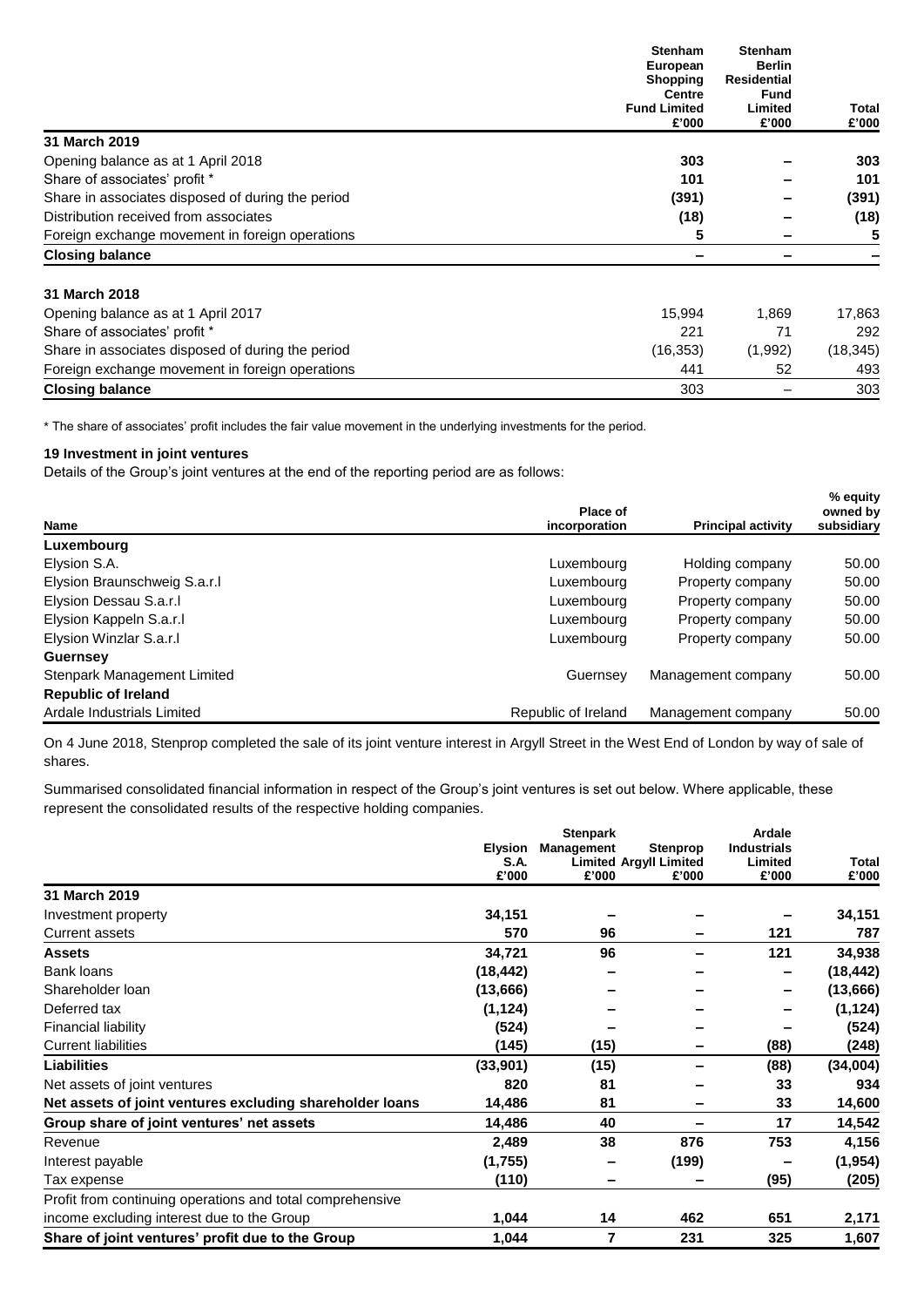|                                                   | <b>Stenham</b>               | <b>Stenham</b>     |                       |
|---------------------------------------------------|------------------------------|--------------------|-----------------------|
|                                                   | European                     | <b>Berlin</b>      |                       |
|                                                   | <b>Shopping</b>              | <b>Residential</b> |                       |
|                                                   | Centre                       | Fund               |                       |
|                                                   | <b>Fund Limited</b><br>£'000 | Limited<br>£'000   | <b>Total</b><br>£'000 |
| 31 March 2019                                     |                              |                    |                       |
| Opening balance as at 1 April 2018                | 303                          |                    | 303                   |
| Share of associates' profit *                     | 101                          |                    | 101                   |
| Share in associates disposed of during the period | (391)                        |                    | (391)                 |
| Distribution received from associates             | (18)                         |                    | (18)                  |
| Foreign exchange movement in foreign operations   | 5                            |                    | 5                     |
| <b>Closing balance</b>                            |                              |                    |                       |
| 31 March 2018                                     |                              |                    |                       |
| Opening balance as at 1 April 2017                | 15,994                       | 1,869              | 17,863                |
| Share of associates' profit *                     | 221                          | 71                 | 292                   |
| Share in associates disposed of during the period | (16, 353)                    | (1,992)            | (18, 345)             |
| Foreign exchange movement in foreign operations   | 441                          | 52                 | 493                   |

**Closing balance** 2003 **– 303** 

\* The share of associates' profit includes the fair value movement in the underlying investments for the period.

## **19 Investment in joint ventures**

Details of the Group's joint ventures at the end of the reporting period are as follows:

| <b>Name</b>                  | Place of<br>incorporation | <b>Principal activity</b> | % equity<br>owned by<br>subsidiary |
|------------------------------|---------------------------|---------------------------|------------------------------------|
| Luxembourg                   |                           |                           |                                    |
| Elysion S.A.                 | Luxembourg                | Holding company           | 50.00                              |
| Elysion Braunschweig S.a.r.I | Luxembourg                | Property company          | 50.00                              |
| Elysion Dessau S.a.r.I       | Luxembourg                | Property company          | 50.00                              |
| Elysion Kappeln S.a.r.I      | Luxembourg                | Property company          | 50.00                              |
| Elysion Winzlar S.a.r.I      | Luxembourg                | Property company          | 50.00                              |
| <b>Guernsey</b>              |                           |                           |                                    |
| Stenpark Management Limited  | Guernsev                  | Management company        | 50.00                              |
| <b>Republic of Ireland</b>   |                           |                           |                                    |
| Ardale Industrials Limited   | Republic of Ireland       | Management company        | 50.00                              |

On 4 June 2018, Stenprop completed the sale of its joint venture interest in Argyll Street in the West End of London by way of sale of shares.

Summarised consolidated financial information in respect of the Group's joint ventures is set out below. Where applicable, these represent the consolidated results of the respective holding companies.

|                                                           | Elysion<br>S.A.<br>£'000 | <b>Stenpark</b>          |                                        | Ardale            |                 |                    |  |
|-----------------------------------------------------------|--------------------------|--------------------------|----------------------------------------|-------------------|-----------------|--------------------|--|
|                                                           |                          |                          |                                        | <b>Management</b> | <b>Stenprop</b> | <b>Industrials</b> |  |
|                                                           |                          | £'000                    | <b>Limited Argyll Limited</b><br>£'000 | Limited<br>£'000  | Total<br>£'000  |                    |  |
| 31 March 2019                                             |                          |                          |                                        |                   |                 |                    |  |
|                                                           |                          |                          |                                        |                   |                 |                    |  |
| Investment property                                       | 34,151                   |                          |                                        |                   | 34,151          |                    |  |
| <b>Current assets</b>                                     | 570                      | 96                       | $\overline{\phantom{0}}$               | 121               | 787             |                    |  |
| <b>Assets</b>                                             | 34,721                   | 96                       | $\overline{\phantom{0}}$               | 121               | 34,938          |                    |  |
| <b>Bank loans</b>                                         | (18, 442)                |                          |                                        | -                 | (18, 442)       |                    |  |
| Shareholder Ioan                                          | (13,666)                 |                          |                                        | -                 | (13,666)        |                    |  |
| Deferred tax                                              | (1, 124)                 |                          |                                        |                   | (1, 124)        |                    |  |
| <b>Financial liability</b>                                | (524)                    |                          |                                        |                   | (524)           |                    |  |
| <b>Current liabilities</b>                                | (145)                    | (15)                     | -                                      | (88)              | (248)           |                    |  |
| <b>Liabilities</b>                                        | (33,901)                 | (15)                     | $\overline{\phantom{0}}$               | (88)              | (34,004)        |                    |  |
| Net assets of joint ventures                              | 820                      | 81                       |                                        | 33                | 934             |                    |  |
| Net assets of joint ventures excluding shareholder loans  | 14,486                   | 81                       |                                        | 33                | 14,600          |                    |  |
| Group share of joint ventures' net assets                 | 14,486                   | 40                       | $\overline{\phantom{0}}$               | 17                | 14,542          |                    |  |
| Revenue                                                   | 2,489                    | 38                       | 876                                    | 753               | 4,156           |                    |  |
| Interest payable                                          | (1,755)                  |                          | (199)                                  |                   | (1, 954)        |                    |  |
| Tax expense                                               | (110)                    | $\overline{\phantom{0}}$ |                                        | (95)              | (205)           |                    |  |
| Profit from continuing operations and total comprehensive |                          |                          |                                        |                   |                 |                    |  |
| income excluding interest due to the Group                | 1,044                    | 14                       | 462                                    | 651               | 2,171           |                    |  |
| Share of joint ventures' profit due to the Group          | 1,044                    | 7                        | 231                                    | 325               | 1,607           |                    |  |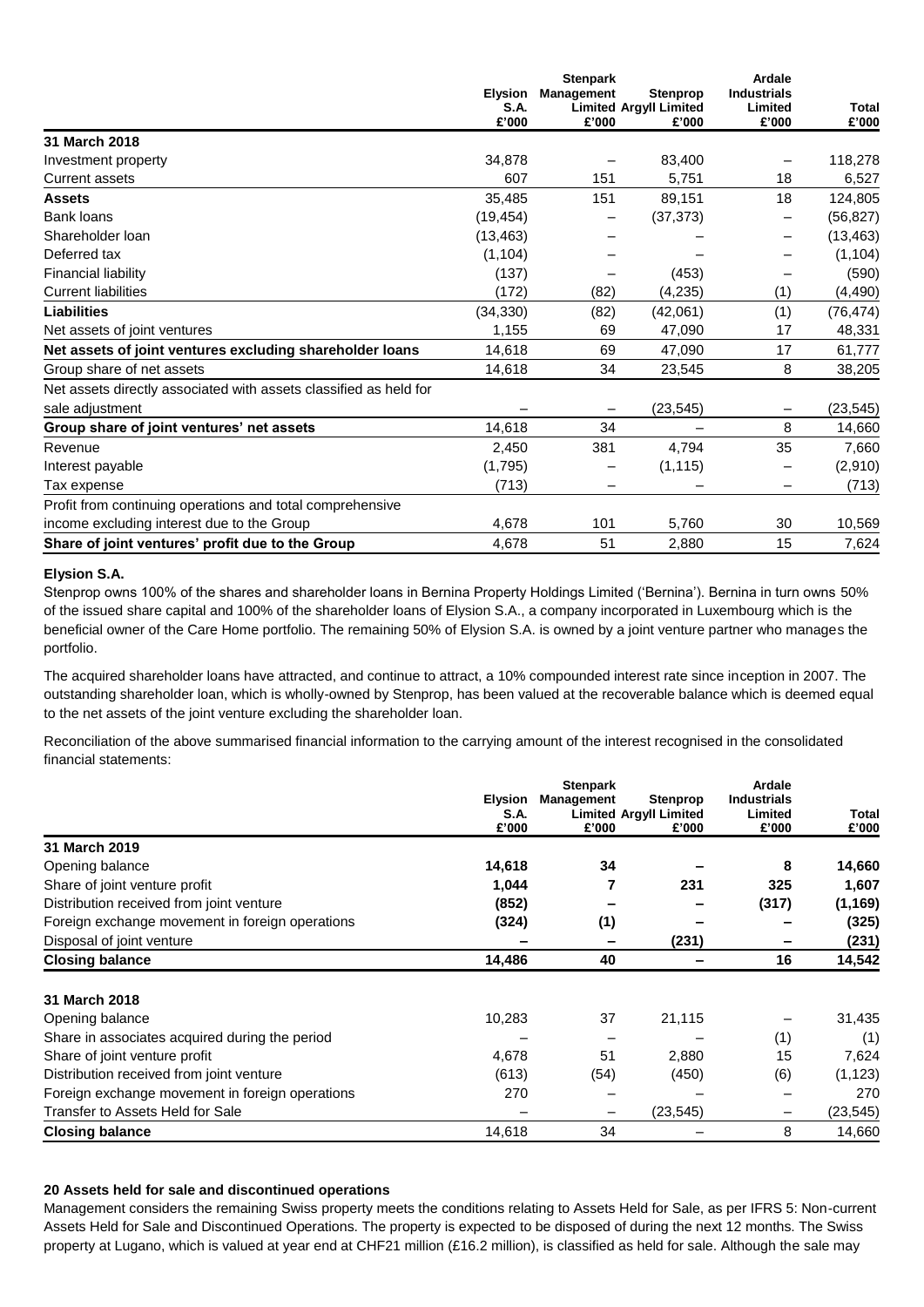|                                                                   | <b>Elysion</b> |       | <b>Stenpark</b> |                   | Ardale                                           |                               |
|-------------------------------------------------------------------|----------------|-------|-----------------|-------------------|--------------------------------------------------|-------------------------------|
|                                                                   |                |       | S.A.            | <b>Management</b> | <b>Stenprop</b><br><b>Limited Argyll Limited</b> | <b>Industrials</b><br>Limited |
|                                                                   | £'000          | £'000 | £'000           | £'000             | £'000                                            |                               |
| 31 March 2018                                                     |                |       |                 |                   |                                                  |                               |
| Investment property                                               | 34,878         |       | 83,400          |                   | 118,278                                          |                               |
| <b>Current assets</b>                                             | 607            | 151   | 5,751           | 18                | 6,527                                            |                               |
| <b>Assets</b>                                                     | 35,485         | 151   | 89,151          | 18                | 124,805                                          |                               |
| Bank loans                                                        | (19, 454)      |       | (37, 373)       | —                 | (56, 827)                                        |                               |
| Shareholder Ioan                                                  | (13, 463)      |       |                 | -                 | (13, 463)                                        |                               |
| Deferred tax                                                      | (1, 104)       |       |                 |                   | (1, 104)                                         |                               |
| <b>Financial liability</b>                                        | (137)          |       | (453)           |                   | (590)                                            |                               |
| <b>Current liabilities</b>                                        | (172)          | (82)  | (4, 235)        | (1)               | (4, 490)                                         |                               |
| <b>Liabilities</b>                                                | (34, 330)      | (82)  | (42,061)        | (1)               | (76, 474)                                        |                               |
| Net assets of joint ventures                                      | 1,155          | 69    | 47,090          | 17                | 48,331                                           |                               |
| Net assets of joint ventures excluding shareholder loans          | 14,618         | 69    | 47,090          | 17                | 61,777                                           |                               |
| Group share of net assets                                         | 14,618         | 34    | 23,545          | 8                 | 38,205                                           |                               |
| Net assets directly associated with assets classified as held for |                |       |                 |                   |                                                  |                               |
| sale adjustment                                                   |                |       | (23, 545)       |                   | (23, 545)                                        |                               |
| Group share of joint ventures' net assets                         | 14,618         | 34    |                 | 8                 | 14,660                                           |                               |
| Revenue                                                           | 2,450          | 381   | 4,794           | 35                | 7,660                                            |                               |
| Interest payable                                                  | (1,795)        |       | (1, 115)        | —                 | (2,910)                                          |                               |
| Tax expense                                                       | (713)          |       |                 |                   | (713)                                            |                               |
| Profit from continuing operations and total comprehensive         |                |       |                 |                   |                                                  |                               |
| income excluding interest due to the Group                        | 4,678          | 101   | 5,760           | 30                | 10,569                                           |                               |
| Share of joint ventures' profit due to the Group                  | 4,678          | 51    | 2,880           | 15                | 7,624                                            |                               |

### **Elysion S.A.**

Stenprop owns 100% of the shares and shareholder loans in Bernina Property Holdings Limited ('Bernina'). Bernina in turn owns 50% of the issued share capital and 100% of the shareholder loans of Elysion S.A., a company incorporated in Luxembourg which is the beneficial owner of the Care Home portfolio. The remaining 50% of Elysion S.A. is owned by a joint venture partner who manages the portfolio.

The acquired shareholder loans have attracted, and continue to attract, a 10% compounded interest rate since inception in 2007. The outstanding shareholder loan, which is wholly-owned by Stenprop, has been valued at the recoverable balance which is deemed equal to the net assets of the joint venture excluding the shareholder loan.

Reconciliation of the above summarised financial information to the carrying amount of the interest recognised in the consolidated financial statements:

|                                                 |                | <b>Stenpark</b>          |                               | Ardale                   |                    |  |
|-------------------------------------------------|----------------|--------------------------|-------------------------------|--------------------------|--------------------|--|
|                                                 | <b>Elysion</b> |                          | <b>Management</b>             | <b>Stenprop</b>          | <b>Industrials</b> |  |
|                                                 | S.A.           |                          | <b>Limited Argyll Limited</b> | Limited                  | Total              |  |
|                                                 | £'000          | £'000                    | £'000                         | £'000                    | £'000              |  |
| 31 March 2019                                   |                |                          |                               |                          |                    |  |
| Opening balance                                 | 14,618         | 34                       |                               | 8                        | 14,660             |  |
| Share of joint venture profit                   | 1,044          |                          | 231                           | 325                      | 1,607              |  |
| Distribution received from joint venture        | (852)          |                          |                               | (317)                    | (1, 169)           |  |
| Foreign exchange movement in foreign operations | (324)          | (1)                      |                               |                          | (325)              |  |
| Disposal of joint venture                       |                | $\overline{\phantom{0}}$ | (231)                         | $\overline{\phantom{0}}$ | (231)              |  |
| <b>Closing balance</b>                          | 14,486         | 40                       |                               | 16                       | 14,542             |  |
| 31 March 2018                                   |                |                          |                               |                          |                    |  |
| Opening balance                                 | 10,283         | 37                       | 21,115                        |                          | 31,435             |  |
| Share in associates acquired during the period  |                |                          |                               | (1)                      | (1)                |  |
| Share of joint venture profit                   | 4,678          | 51                       | 2,880                         | 15                       | 7,624              |  |
| Distribution received from joint venture        | (613)          | (54)                     | (450)                         | (6)                      | (1, 123)           |  |
| Foreign exchange movement in foreign operations | 270            |                          |                               |                          | 270                |  |
| Transfer to Assets Held for Sale                |                |                          | (23, 545)                     |                          | (23,545)           |  |
| <b>Closing balance</b>                          | 14,618         | 34                       |                               | 8                        | 14,660             |  |

### **20 Assets held for sale and discontinued operations**

Management considers the remaining Swiss property meets the conditions relating to Assets Held for Sale, as per IFRS 5: Non-current Assets Held for Sale and Discontinued Operations. The property is expected to be disposed of during the next 12 months. The Swiss property at Lugano, which is valued at year end at CHF21 million (£16.2 million), is classified as held for sale. Although the sale may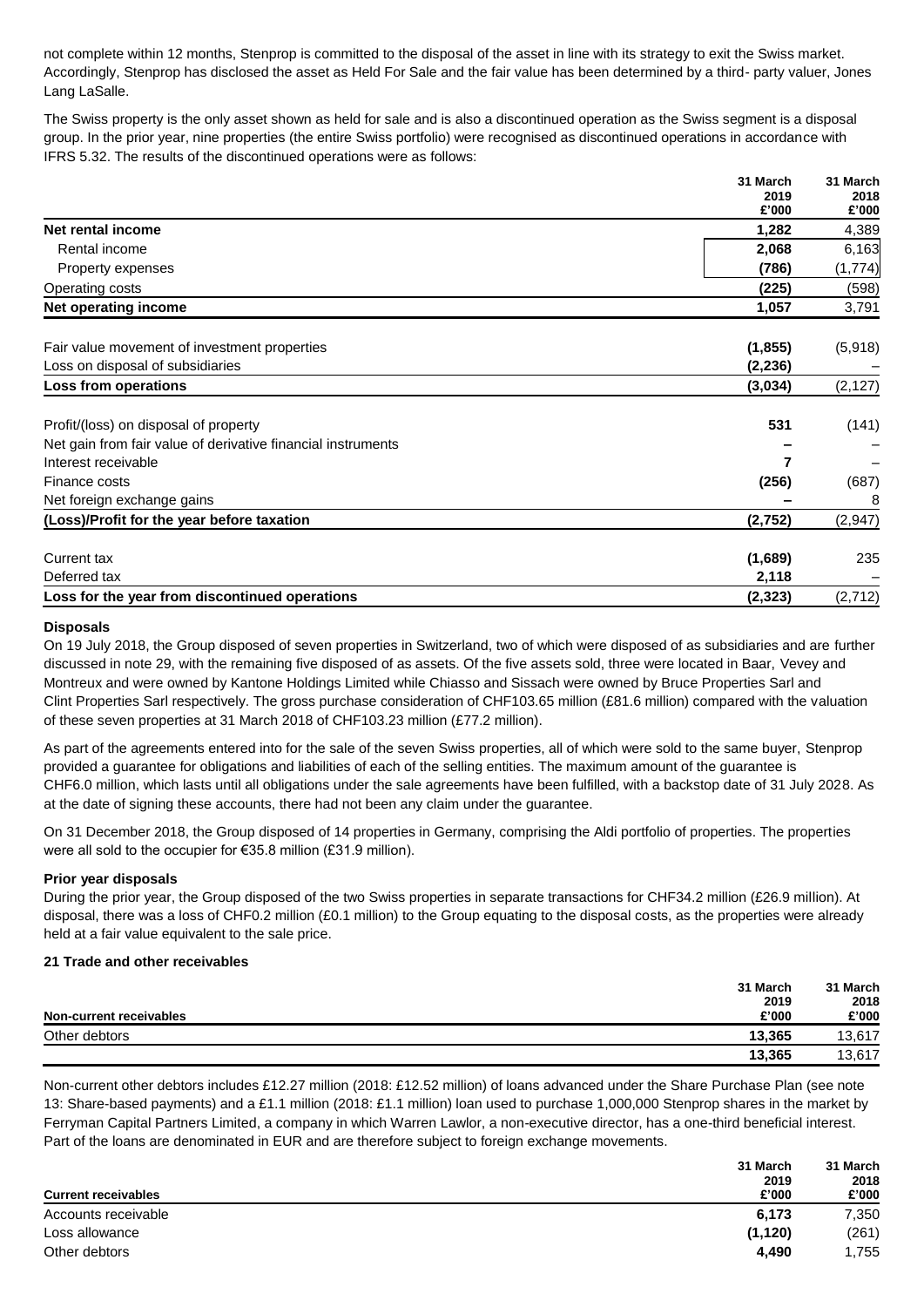not complete within 12 months, Stenprop is committed to the disposal of the asset in line with its strategy to exit the Swiss market. Accordingly, Stenprop has disclosed the asset as Held For Sale and the fair value has been determined by a third- party valuer, Jones Lang LaSalle.

The Swiss property is the only asset shown as held for sale and is also a discontinued operation as the Swiss segment is a disposal group. In the prior year, nine properties (the entire Swiss portfolio) were recognised as discontinued operations in accordance with IFRS 5.32. The results of the discontinued operations were as follows:

|                                                              | 31 March | 31 March |
|--------------------------------------------------------------|----------|----------|
|                                                              | 2019     | 2018     |
|                                                              | £'000    | £'000    |
| Net rental income                                            | 1,282    | 4,389    |
| Rental income                                                | 2,068    | 6,163    |
| Property expenses                                            | (786)    | (1, 774) |
| Operating costs                                              | (225)    | (598)    |
| Net operating income                                         | 1,057    | 3,791    |
| Fair value movement of investment properties                 | (1, 855) | (5,918)  |
| Loss on disposal of subsidiaries                             | (2, 236) |          |
| Loss from operations                                         | (3,034)  | (2, 127) |
| Profit/(loss) on disposal of property                        | 531      | (141)    |
| Net gain from fair value of derivative financial instruments |          |          |
| Interest receivable                                          | 7        |          |
| Finance costs                                                | (256)    | (687)    |
| Net foreign exchange gains                                   |          | 8        |
| (Loss)/Profit for the year before taxation                   | (2,752)  | (2, 947) |
| Current tax                                                  | (1,689)  | 235      |
| Deferred tax                                                 | 2,118    |          |
| Loss for the year from discontinued operations               | (2, 323) | (2,712)  |

### **Disposals**

On 19 July 2018, the Group disposed of seven properties in Switzerland, two of which were disposed of as subsidiaries and are further discussed in note 29, with the remaining five disposed of as assets. Of the five assets sold, three were located in Baar, Vevey and Montreux and were owned by Kantone Holdings Limited while Chiasso and Sissach were owned by Bruce Properties Sarl and Clint Properties Sarl respectively. The gross purchase consideration of CHF103.65 million (£81.6 million) compared with the valuation of these seven properties at 31 March 2018 of CHF103.23 million (£77.2 million).

As part of the agreements entered into for the sale of the seven Swiss properties, all of which were sold to the same buyer, Stenprop provided a guarantee for obligations and liabilities of each of the selling entities. The maximum amount of the guarantee is CHF6.0 million, which lasts until all obligations under the sale agreements have been fulfilled, with a backstop date of 31 July 2028. As at the date of signing these accounts, there had not been any claim under the guarantee.

On 31 December 2018, the Group disposed of 14 properties in Germany, comprising the Aldi portfolio of properties. The properties were all sold to the occupier for €35.8 million (£31.9 million).

### **Prior year disposals**

During the prior year, the Group disposed of the two Swiss properties in separate transactions for CHF34.2 million (£26.9 million). At disposal, there was a loss of CHF0.2 million (£0.1 million) to the Group equating to the disposal costs, as the properties were already held at a fair value equivalent to the sale price.

### **21 Trade and other receivables**

|                         | 31 March | 31 March |
|-------------------------|----------|----------|
|                         | 2019     | 2018     |
| Non-current receivables | £'000    | £'000    |
| Other debtors           | 13.365   | 13.617   |
|                         | 13,365   | 13,617   |

Non-current other debtors includes £12.27 million (2018: £12.52 million) of loans advanced under the Share Purchase Plan (see note 13: Share-based payments) and a £1.1 million (2018: £1.1 million) loan used to purchase 1,000,000 Stenprop shares in the market by Ferryman Capital Partners Limited, a company in which Warren Lawlor, a non-executive director, has a one-third beneficial interest. Part of the loans are denominated in EUR and are therefore subject to foreign exchange movements.

|                            | 31 March | 31 March |
|----------------------------|----------|----------|
|                            | 2019     | 2018     |
| <b>Current receivables</b> | £'000    | £'000    |
| Accounts receivable        | 6,173    | 7,350    |
| Loss allowance             | (1, 120) | (261)    |
| Other debtors              | 4,490    | 1,755    |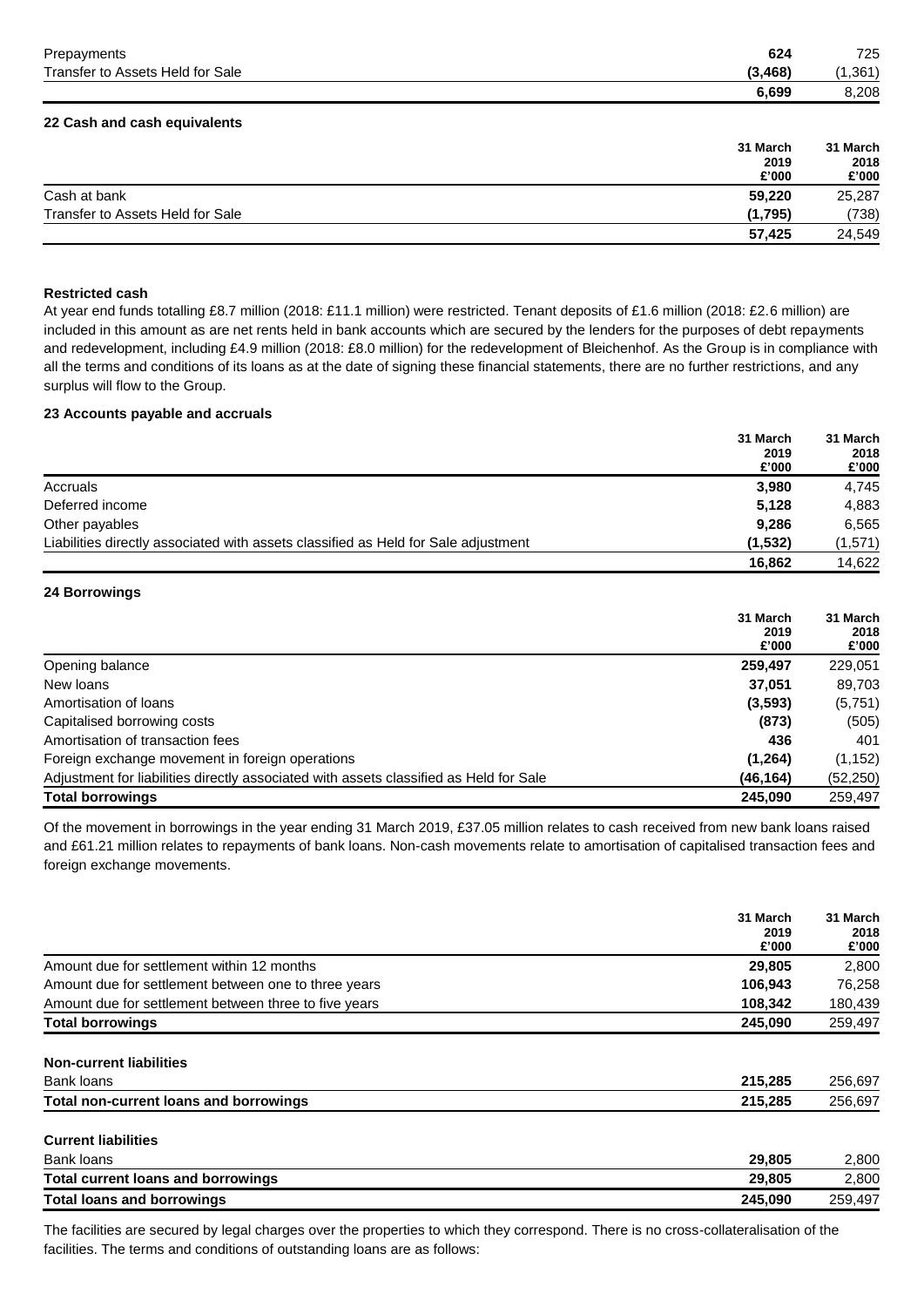#### **22 Cash and cash equivalents**

|                                  | 31 March<br>2019<br>£'000 | 31 March<br>2018<br>£'000 |
|----------------------------------|---------------------------|---------------------------|
| Cash at bank                     | 59,220                    | 25,287                    |
| Transfer to Assets Held for Sale | (1,795)                   | (738)                     |
|                                  | 57,425                    | 24,549                    |

**6,699** 8,208

#### **Restricted cash**

At year end funds totalling £8.7 million (2018: £11.1 million) were restricted. Tenant deposits of £1.6 million (2018: £2.6 million) are included in this amount as are net rents held in bank accounts which are secured by the lenders for the purposes of debt repayments and redevelopment, including £4.9 million (2018: £8.0 million) for the redevelopment of Bleichenhof. As the Group is in compliance with all the terms and conditions of its loans as at the date of signing these financial statements, there are no further restrictions, and any surplus will flow to the Group.

### **23 Accounts payable and accruals**

|                                                                                    | 31 March | 31 March |
|------------------------------------------------------------------------------------|----------|----------|
|                                                                                    | 2019     | 2018     |
|                                                                                    | £'000    | £'000    |
| Accruals                                                                           | 3,980    | 4.745    |
| Deferred income                                                                    | 5,128    | 4,883    |
| Other payables                                                                     | 9,286    | 6,565    |
| Liabilities directly associated with assets classified as Held for Sale adjustment | (1, 532) | (1,571)  |
|                                                                                    | 16.862   | 14.622   |

### **24 Borrowings**

|                                                                                        | 31 March<br>2019<br>£'000 | 31 March<br>2018<br>£'000 |
|----------------------------------------------------------------------------------------|---------------------------|---------------------------|
| Opening balance                                                                        | 259.497                   | 229.051                   |
| New loans                                                                              | 37.051                    | 89,703                    |
| Amortisation of loans                                                                  | (3, 593)                  | (5,751)                   |
| Capitalised borrowing costs                                                            | (873)                     | (505)                     |
| Amortisation of transaction fees                                                       | 436                       | 401                       |
| Foreign exchange movement in foreign operations                                        | (1,264)                   | (1, 152)                  |
| Adjustment for liabilities directly associated with assets classified as Held for Sale | (46,164)                  | (52, 250)                 |
| <b>Total borrowings</b>                                                                | 245.090                   | 259.497                   |

Of the movement in borrowings in the year ending 31 March 2019, £37.05 million relates to cash received from new bank loans raised and £61.21 million relates to repayments of bank loans. Non-cash movements relate to amortisation of capitalised transaction fees and foreign exchange movements.

|                                                       | 31 March<br>2019<br>£'000 | 31 March<br>2018<br>£'000 |
|-------------------------------------------------------|---------------------------|---------------------------|
| Amount due for settlement within 12 months            | 29,805                    | 2,800                     |
| Amount due for settlement between one to three years  | 106,943                   | 76,258                    |
| Amount due for settlement between three to five years | 108,342                   | 180,439                   |
| <b>Total borrowings</b>                               | 245,090                   | 259,497                   |
| <b>Non-current liabilities</b>                        |                           |                           |
| <b>Bank loans</b>                                     | 215,285                   | 256,697                   |
| Total non-current loans and borrowings                | 215,285                   | 256,697                   |
| <b>Current liabilities</b>                            |                           |                           |
| <b>Bank loans</b>                                     | 29,805                    | 2,800                     |
| <b>Total current loans and borrowings</b>             | 29,805                    | 2,800                     |
| <b>Total loans and borrowings</b>                     | 245.090                   | 259.497                   |

The facilities are secured by legal charges over the properties to which they correspond. There is no cross-collateralisation of the facilities. The terms and conditions of outstanding loans are as follows: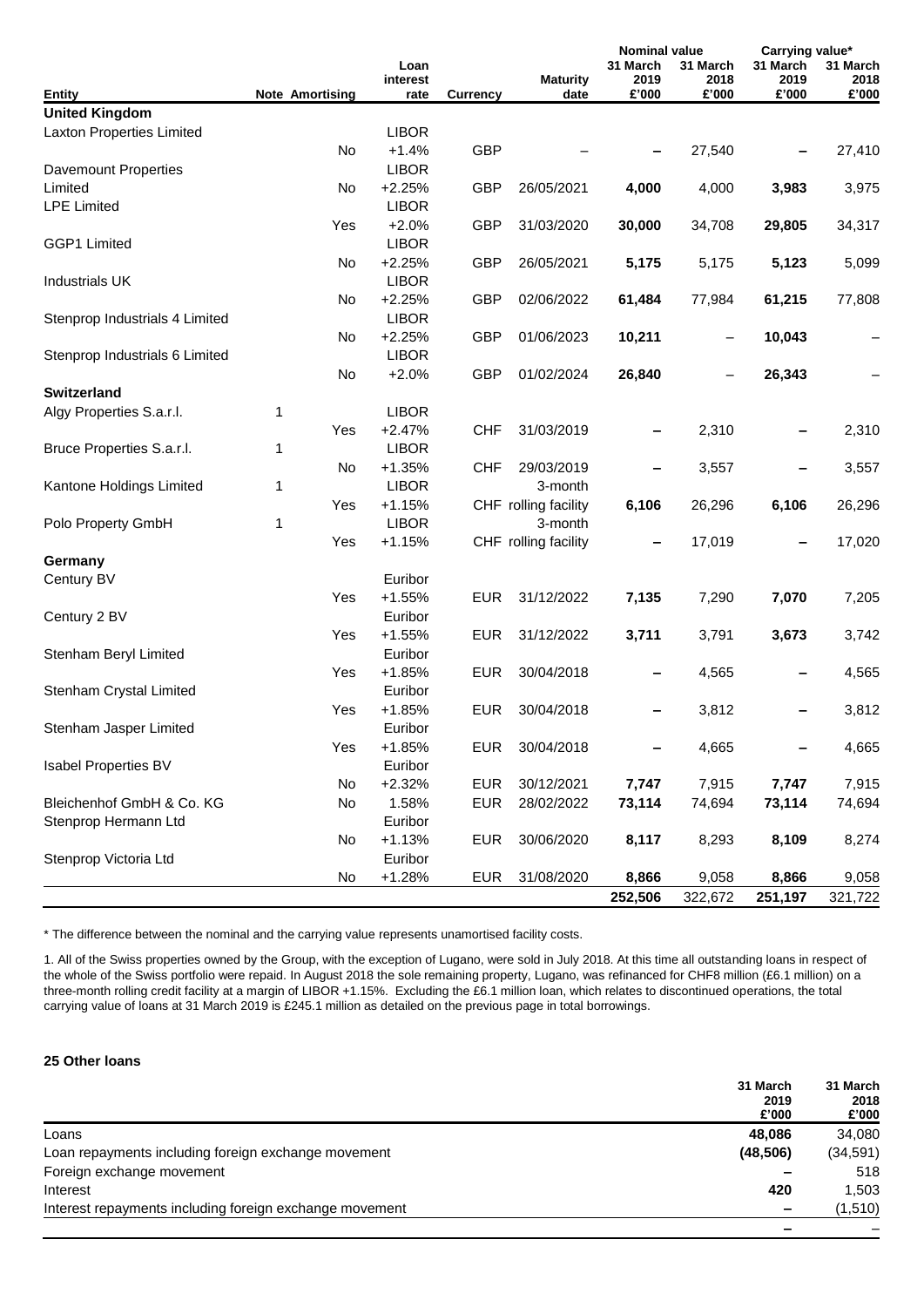|                                |   |                        |                  |                 |                         | <b>Nominal value</b> |               | Carrying value* |               |
|--------------------------------|---|------------------------|------------------|-----------------|-------------------------|----------------------|---------------|-----------------|---------------|
|                                |   |                        | Loan             |                 |                         | 31 March             | 31 March      | 31 March        | 31 March      |
| Entity                         |   | <b>Note Amortising</b> | interest<br>rate | <b>Currency</b> | <b>Maturity</b><br>date | 2019<br>£'000        | 2018<br>£'000 | 2019<br>£'000   | 2018<br>£'000 |
| <b>United Kingdom</b>          |   |                        |                  |                 |                         |                      |               |                 |               |
| Laxton Properties Limited      |   |                        | <b>LIBOR</b>     |                 |                         |                      |               |                 |               |
|                                |   | No                     | $+1.4%$          | <b>GBP</b>      |                         |                      | 27,540        |                 | 27,410        |
| <b>Davemount Properties</b>    |   |                        | <b>LIBOR</b>     |                 |                         |                      |               |                 |               |
| Limited                        |   | No                     | $+2.25%$         | <b>GBP</b>      | 26/05/2021              | 4,000                | 4,000         | 3,983           | 3,975         |
| <b>LPE Limited</b>             |   |                        | <b>LIBOR</b>     |                 |                         |                      |               |                 |               |
|                                |   | Yes                    | $+2.0%$          | <b>GBP</b>      | 31/03/2020              | 30,000               | 34,708        | 29,805          | 34,317        |
| GGP1 Limited                   |   |                        | <b>LIBOR</b>     |                 |                         |                      |               |                 |               |
|                                |   | No                     | $+2.25%$         | <b>GBP</b>      | 26/05/2021              | 5,175                | 5,175         | 5,123           | 5,099         |
| <b>Industrials UK</b>          |   |                        | <b>LIBOR</b>     |                 |                         |                      |               |                 |               |
|                                |   | No                     | $+2.25%$         | <b>GBP</b>      | 02/06/2022              | 61,484               | 77,984        | 61,215          | 77,808        |
| Stenprop Industrials 4 Limited |   |                        | <b>LIBOR</b>     |                 |                         |                      |               |                 |               |
|                                |   | No                     | $+2.25%$         | <b>GBP</b>      | 01/06/2023              | 10,211               |               | 10,043          |               |
| Stenprop Industrials 6 Limited |   |                        | <b>LIBOR</b>     |                 |                         |                      |               |                 |               |
|                                |   | No                     | $+2.0%$          | <b>GBP</b>      | 01/02/2024              | 26,840               |               | 26,343          |               |
| <b>Switzerland</b>             |   |                        |                  |                 |                         |                      |               |                 |               |
| Algy Properties S.a.r.l.       | 1 |                        | <b>LIBOR</b>     |                 |                         |                      |               |                 |               |
|                                |   | Yes                    | $+2.47%$         | <b>CHF</b>      | 31/03/2019              |                      | 2,310         |                 | 2,310         |
|                                | 1 |                        | <b>LIBOR</b>     |                 |                         |                      |               |                 |               |
| Bruce Properties S.a.r.l.      |   | No                     | $+1.35%$         | <b>CHF</b>      | 29/03/2019              |                      |               |                 |               |
|                                |   |                        | <b>LIBOR</b>     |                 |                         |                      | 3,557         |                 | 3,557         |
| Kantone Holdings Limited       | 1 |                        |                  |                 | 3-month                 |                      |               |                 |               |
|                                |   | Yes                    | $+1.15%$         |                 | CHF rolling facility    | 6,106                | 26,296        | 6,106           | 26,296        |
| Polo Property GmbH             | 1 |                        | <b>LIBOR</b>     |                 | 3-month                 |                      |               |                 |               |
|                                |   | Yes                    | $+1.15%$         |                 | CHF rolling facility    |                      | 17,019        |                 | 17,020        |
| Germany                        |   |                        |                  |                 |                         |                      |               |                 |               |
| Century BV                     |   |                        | Euribor          |                 |                         |                      |               |                 |               |
|                                |   | Yes                    | $+1.55%$         | <b>EUR</b>      | 31/12/2022              | 7,135                | 7,290         | 7,070           | 7,205         |
| Century 2 BV                   |   |                        | Euribor          |                 |                         |                      |               |                 |               |
|                                |   | Yes                    | $+1.55%$         | <b>EUR</b>      | 31/12/2022              | 3,711                | 3,791         | 3,673           | 3,742         |
| Stenham Beryl Limited          |   |                        | Euribor          |                 |                         |                      |               |                 |               |
|                                |   | Yes                    | $+1.85%$         | <b>EUR</b>      | 30/04/2018              |                      | 4,565         |                 | 4,565         |
| Stenham Crystal Limited        |   |                        | Euribor          |                 |                         |                      |               |                 |               |
|                                |   | Yes                    | $+1.85%$         | <b>EUR</b>      | 30/04/2018              |                      | 3,812         |                 | 3,812         |
| Stenham Jasper Limited         |   |                        | Euribor          |                 |                         |                      |               |                 |               |
|                                |   | Yes                    | $+1.85%$         | <b>EUR</b>      | 30/04/2018              |                      | 4,665         |                 | 4,665         |
| <b>Isabel Properties BV</b>    |   |                        | Euribor          |                 |                         |                      |               |                 |               |
|                                |   | No                     | $+2.32%$         | <b>EUR</b>      | 30/12/2021              | 7,747                | 7,915         | 7,747           | 7,915         |
| Bleichenhof GmbH & Co. KG      |   | No                     | 1.58%            | <b>EUR</b>      | 28/02/2022              | 73,114               | 74,694        | 73,114          | 74,694        |
| Stenprop Hermann Ltd           |   |                        | Euribor          |                 |                         |                      |               |                 |               |
|                                |   | No                     | $+1.13%$         | <b>EUR</b>      | 30/06/2020              | 8,117                | 8,293         | 8,109           | 8,274         |
| Stenprop Victoria Ltd          |   |                        | Euribor          |                 |                         |                      |               |                 |               |
|                                |   | No                     | $+1.28%$         | <b>EUR</b>      | 31/08/2020              | 8,866                | 9,058         | 8,866           | 9,058         |
|                                |   |                        |                  |                 |                         | 252,506              | 322,672       | 251,197         | 321,722       |

\* The difference between the nominal and the carrying value represents unamortised facility costs.

1. All of the Swiss properties owned by the Group, with the exception of Lugano, were sold in July 2018. At this time all outstanding loans in respect of the whole of the Swiss portfolio were repaid. In August 2018 the sole remaining property, Lugano, was refinanced for CHF8 million (£6.1 million) on a three-month rolling credit facility at a margin of LIBOR +1.15%. Excluding the £6.1 million loan, which relates to discontinued operations, the total carrying value of loans at 31 March 2019 is £245.1 million as detailed on the previous page in total borrowings.

## **25 Other loans**

| 31 March<br>2019                                                                    | 31 March<br>2018 |
|-------------------------------------------------------------------------------------|------------------|
| £'000                                                                               | £'000            |
| 48.086<br>Loans                                                                     | 34,080           |
| (48, 506)<br>Loan repayments including foreign exchange movement                    | (34, 591)        |
| Foreign exchange movement                                                           | 518              |
| 420<br>Interest                                                                     | 1,503            |
| Interest repayments including foreign exchange movement<br>$\overline{\phantom{0}}$ | (1,510)          |
|                                                                                     |                  |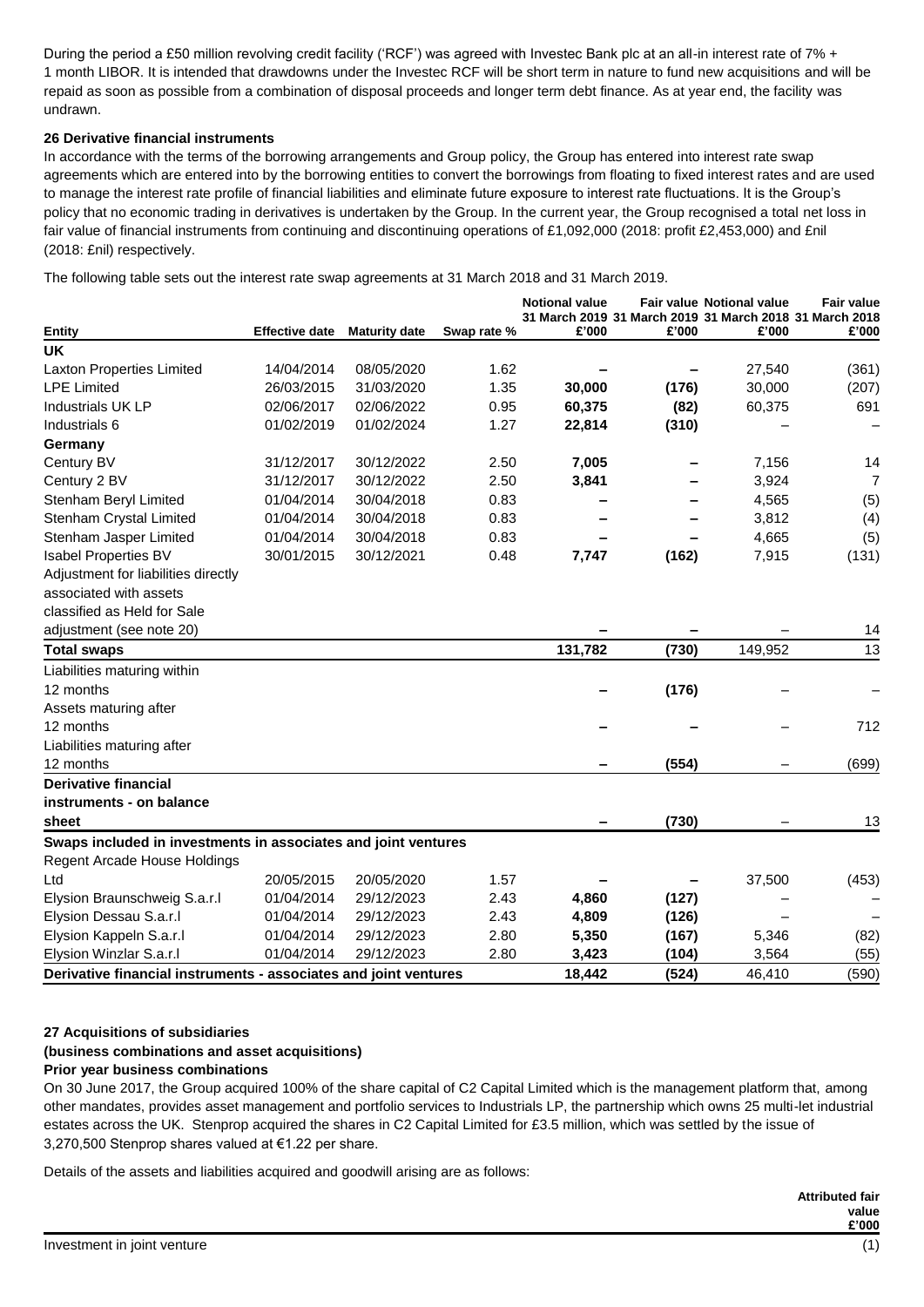During the period a £50 million revolving credit facility ('RCF') was agreed with Investec Bank plc at an all-in interest rate of 7% + 1 month LIBOR. It is intended that drawdowns under the Investec RCF will be short term in nature to fund new acquisitions and will be repaid as soon as possible from a combination of disposal proceeds and longer term debt finance. As at year end, the facility was undrawn.

### **26 Derivative financial instruments**

In accordance with the terms of the borrowing arrangements and Group policy, the Group has entered into interest rate swap agreements which are entered into by the borrowing entities to convert the borrowings from floating to fixed interest rates and are used to manage the interest rate profile of financial liabilities and eliminate future exposure to interest rate fluctuations. It is the Group's policy that no economic trading in derivatives is undertaken by the Group. In the current year, the Group recognised a total net loss in fair value of financial instruments from continuing and discontinuing operations of £1,092,000 (2018: profit £2,453,000) and £nil (2018: £nil) respectively.

The following table sets out the interest rate swap agreements at 31 March 2018 and 31 March 2019.

|                                                                  |                       |                      |             | <b>Notional value</b> |       | <b>Fair value Notional value</b>                                 | <b>Fair value</b> |
|------------------------------------------------------------------|-----------------------|----------------------|-------------|-----------------------|-------|------------------------------------------------------------------|-------------------|
| <b>Entity</b>                                                    | <b>Effective date</b> | <b>Maturity date</b> | Swap rate % | £'000                 | £'000 | 31 March 2019 31 March 2019 31 March 2018 31 March 2018<br>£'000 | £'000             |
| <b>UK</b>                                                        |                       |                      |             |                       |       |                                                                  |                   |
| Laxton Properties Limited                                        | 14/04/2014            | 08/05/2020           | 1.62        |                       |       | 27,540                                                           | (361)             |
| <b>LPE Limited</b>                                               | 26/03/2015            | 31/03/2020           | 1.35        | 30,000                | (176) | 30,000                                                           | (207)             |
| Industrials UK LP                                                | 02/06/2017            | 02/06/2022           | 0.95        | 60,375                | (82)  | 60,375                                                           | 691               |
| Industrials 6                                                    | 01/02/2019            | 01/02/2024           | 1.27        | 22,814                | (310) |                                                                  |                   |
| Germany                                                          |                       |                      |             |                       |       |                                                                  |                   |
| Century BV                                                       | 31/12/2017            | 30/12/2022           | 2.50        | 7,005                 |       | 7,156                                                            | 14                |
| Century 2 BV                                                     | 31/12/2017            | 30/12/2022           | 2.50        | 3,841                 |       | 3,924                                                            | $\overline{7}$    |
| Stenham Beryl Limited                                            | 01/04/2014            | 30/04/2018           | 0.83        |                       |       | 4,565                                                            | (5)               |
| Stenham Crystal Limited                                          | 01/04/2014            | 30/04/2018           | 0.83        |                       |       | 3,812                                                            | (4)               |
| Stenham Jasper Limited                                           | 01/04/2014            | 30/04/2018           | 0.83        |                       |       | 4,665                                                            | (5)               |
| <b>Isabel Properties BV</b>                                      | 30/01/2015            | 30/12/2021           | 0.48        | 7,747                 | (162) | 7,915                                                            | (131)             |
| Adjustment for liabilities directly                              |                       |                      |             |                       |       |                                                                  |                   |
| associated with assets                                           |                       |                      |             |                       |       |                                                                  |                   |
| classified as Held for Sale                                      |                       |                      |             |                       |       |                                                                  |                   |
| adjustment (see note 20)                                         |                       |                      |             |                       |       |                                                                  | 14                |
| <b>Total swaps</b>                                               |                       |                      |             | 131,782               | (730) | 149,952                                                          | 13                |
| Liabilities maturing within                                      |                       |                      |             |                       |       |                                                                  |                   |
| 12 months                                                        |                       |                      |             |                       | (176) |                                                                  |                   |
| Assets maturing after                                            |                       |                      |             |                       |       |                                                                  |                   |
| 12 months                                                        |                       |                      |             |                       |       |                                                                  | 712               |
| Liabilities maturing after                                       |                       |                      |             |                       |       |                                                                  |                   |
| 12 months                                                        |                       |                      |             |                       | (554) |                                                                  | (699)             |
| <b>Derivative financial</b>                                      |                       |                      |             |                       |       |                                                                  |                   |
| instruments - on balance                                         |                       |                      |             |                       |       |                                                                  |                   |
| sheet                                                            |                       |                      |             |                       | (730) |                                                                  | 13                |
| Swaps included in investments in associates and joint ventures   |                       |                      |             |                       |       |                                                                  |                   |
| Regent Arcade House Holdings                                     |                       |                      |             |                       |       |                                                                  |                   |
| Ltd                                                              | 20/05/2015            | 20/05/2020           | 1.57        |                       |       | 37,500                                                           | (453)             |
| Elysion Braunschweig S.a.r.l                                     | 01/04/2014            | 29/12/2023           | 2.43        | 4,860                 | (127) |                                                                  |                   |
| Elysion Dessau S.a.r.l                                           | 01/04/2014            | 29/12/2023           | 2.43        | 4,809                 | (126) |                                                                  |                   |
| Elysion Kappeln S.a.r.l                                          | 01/04/2014            | 29/12/2023           | 2.80        | 5,350                 | (167) | 5,346                                                            | (82)              |
| Elysion Winzlar S.a.r.I                                          | 01/04/2014            | 29/12/2023           | 2.80        | 3,423                 | (104) | 3,564                                                            | (55)              |
| Derivative financial instruments - associates and joint ventures |                       |                      |             | 18,442                | (524) | 46,410                                                           | (590)             |

#### **27 Acquisitions of subsidiaries**

#### **(business combinations and asset acquisitions)**

#### **Prior year business combinations**

On 30 June 2017, the Group acquired 100% of the share capital of C2 Capital Limited which is the management platform that, among other mandates, provides asset management and portfolio services to Industrials LP, the partnership which owns 25 multi-let industrial estates across the UK. Stenprop acquired the shares in C2 Capital Limited for £3.5 million, which was settled by the issue of 3,270,500 Stenprop shares valued at €1.22 per share.

Details of the assets and liabilities acquired and goodwill arising are as follows: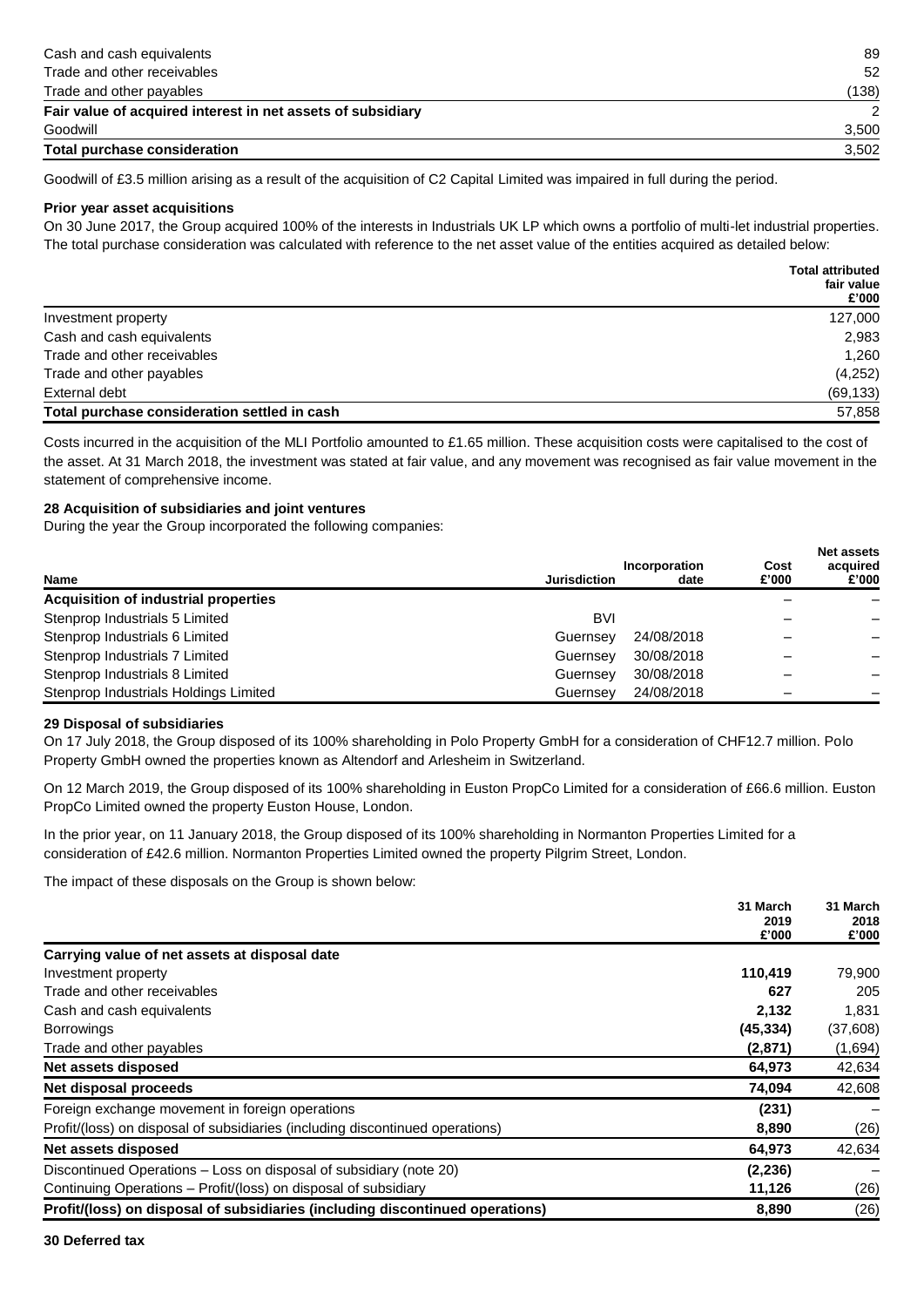| Cash and cash equivalents                                   | 89                   |
|-------------------------------------------------------------|----------------------|
| Trade and other receivables                                 | 52                   |
| Trade and other payables                                    | (138)                |
| Fair value of acquired interest in net assets of subsidiary | $\mathcal{P} \equiv$ |
| Goodwill                                                    | 3,500                |
| Total purchase consideration                                | 3,502                |

Goodwill of £3.5 million arising as a result of the acquisition of C2 Capital Limited was impaired in full during the period.

#### **Prior year asset acquisitions**

On 30 June 2017, the Group acquired 100% of the interests in Industrials UK LP which owns a portfolio of multi-let industrial properties. The total purchase consideration was calculated with reference to the net asset value of the entities acquired as detailed below:

|                                              | <b>Total attributed</b><br>fair value<br>£'000 |
|----------------------------------------------|------------------------------------------------|
| Investment property                          | 127,000                                        |
| Cash and cash equivalents                    | 2,983                                          |
| Trade and other receivables                  | 1,260                                          |
| Trade and other payables                     | (4,252)                                        |
| External debt                                | (69, 133)                                      |
| Total purchase consideration settled in cash | 57,858                                         |

Costs incurred in the acquisition of the MLI Portfolio amounted to £1.65 million. These acquisition costs were capitalised to the cost of the asset. At 31 March 2018, the investment was stated at fair value, and any movement was recognised as fair value movement in the statement of comprehensive income.

## **28 Acquisition of subsidiaries and joint ventures**

During the year the Group incorporated the following companies:

|                                                   | Incorporation<br>Cost |       | <b>Net assets</b><br>acquired |  |
|---------------------------------------------------|-----------------------|-------|-------------------------------|--|
| Name<br><b>Jurisdiction</b>                       | date                  | £'000 | £'000                         |  |
| Acquisition of industrial properties              |                       |       |                               |  |
| Stenprop Industrials 5 Limited<br>BVI             |                       |       |                               |  |
| Stenprop Industrials 6 Limited<br>Guernsey        | 24/08/2018            |       |                               |  |
| Stenprop Industrials 7 Limited<br>Guernsey        | 30/08/2018            |       |                               |  |
| Stenprop Industrials 8 Limited<br>Guernsey        | 30/08/2018            |       |                               |  |
| Stenprop Industrials Holdings Limited<br>Guernsey | 24/08/2018            |       |                               |  |

**Net assets** 

#### **29 Disposal of subsidiaries**

On 17 July 2018, the Group disposed of its 100% shareholding in Polo Property GmbH for a consideration of CHF12.7 million. Polo Property GmbH owned the properties known as Altendorf and Arlesheim in Switzerland.

On 12 March 2019, the Group disposed of its 100% shareholding in Euston PropCo Limited for a consideration of £66.6 million. Euston PropCo Limited owned the property Euston House, London.

In the prior year, on 11 January 2018, the Group disposed of its 100% shareholding in Normanton Properties Limited for a consideration of £42.6 million. Normanton Properties Limited owned the property Pilgrim Street, London.

The impact of these disposals on the Group is shown below:

| 31 March<br>2019                                                                       | 31 March<br>2018 |
|----------------------------------------------------------------------------------------|------------------|
| £'000                                                                                  | £'000            |
| Carrying value of net assets at disposal date                                          |                  |
| 110,419<br>Investment property                                                         | 79,900           |
| Trade and other receivables<br>627                                                     | 205              |
| Cash and cash equivalents<br>2,132                                                     | 1,831            |
| (45, 334)<br><b>Borrowings</b>                                                         | (37,608)         |
| Trade and other payables<br>(2,871)                                                    | (1,694)          |
| 64,973<br>Net assets disposed                                                          | 42,634           |
| 74,094<br>Net disposal proceeds                                                        | 42,608           |
| Foreign exchange movement in foreign operations<br>(231)                               |                  |
| Profit/(loss) on disposal of subsidiaries (including discontinued operations)<br>8,890 | (26)             |
| Net assets disposed<br>64,973                                                          | 42,634           |
| Discontinued Operations - Loss on disposal of subsidiary (note 20)<br>(2, 236)         |                  |
| Continuing Operations - Profit/(loss) on disposal of subsidiary<br>11,126              | (26)             |
| Profit/(loss) on disposal of subsidiaries (including discontinued operations)<br>8,890 | (26)             |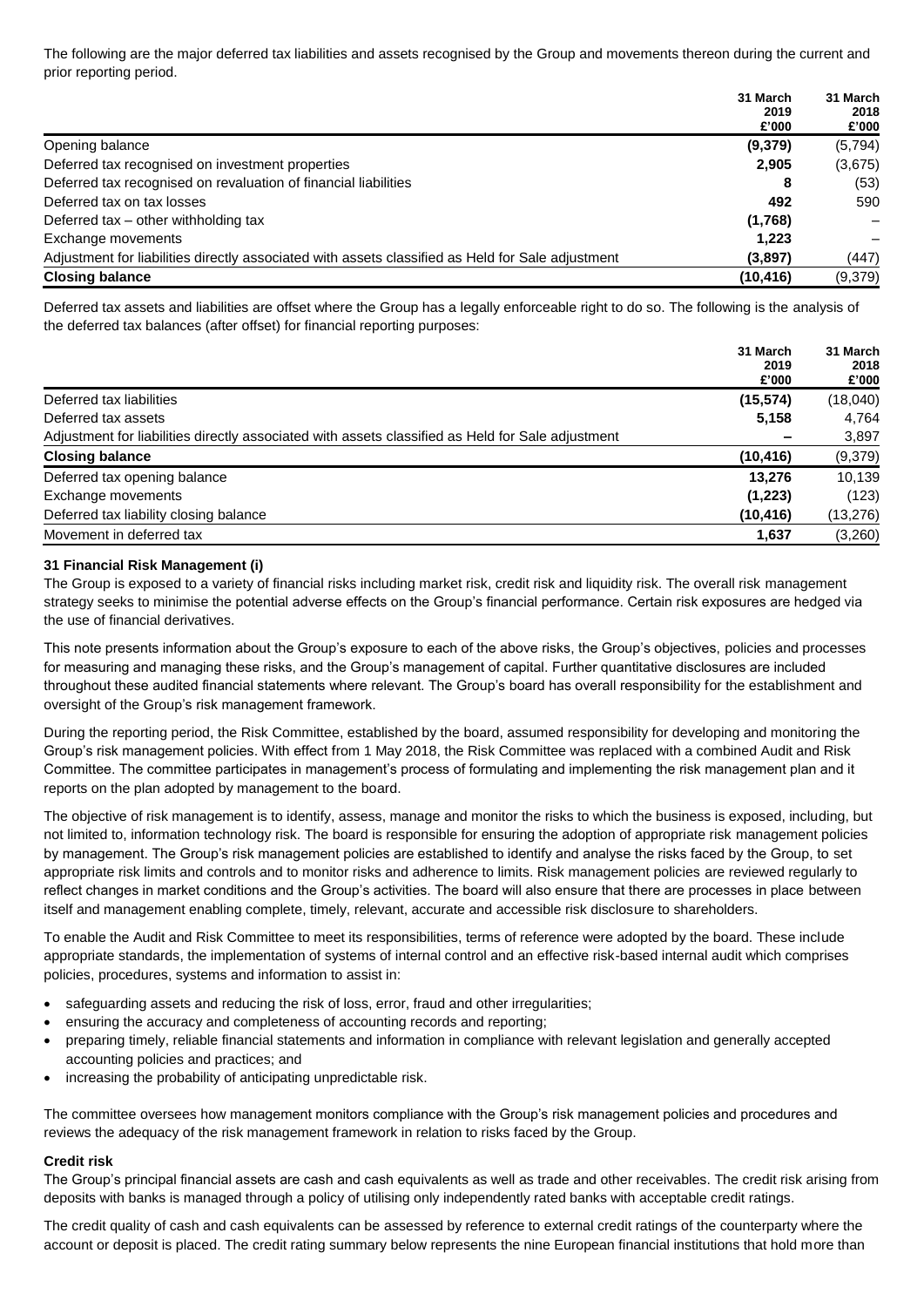The following are the major deferred tax liabilities and assets recognised by the Group and movements thereon during the current and prior reporting period.

| 31 March<br>2019<br>£'000                                                                                    | 31 March<br>2018<br>£'000 |
|--------------------------------------------------------------------------------------------------------------|---------------------------|
| (9,379)<br>Opening balance                                                                                   | (5,794)                   |
| Deferred tax recognised on investment properties<br>2,905                                                    | (3,675)                   |
| Deferred tax recognised on revaluation of financial liabilities<br>8                                         | (53)                      |
| Deferred tax on tax losses<br>492                                                                            | 590                       |
| Deferred tax - other withholding tax<br>(1,768)                                                              |                           |
| 1,223<br>Exchange movements                                                                                  |                           |
| Adjustment for liabilities directly associated with assets classified as Held for Sale adjustment<br>(3,897) | (447)                     |
| <b>Closing balance</b><br>(10, 416)                                                                          | (9,379)                   |

Deferred tax assets and liabilities are offset where the Group has a legally enforceable right to do so. The following is the analysis of the deferred tax balances (after offset) for financial reporting purposes:

|                                                                                                   | 31 March<br>2019 | 31 March<br>2018 |
|---------------------------------------------------------------------------------------------------|------------------|------------------|
|                                                                                                   | £'000            | £'000            |
| Deferred tax liabilities                                                                          | (15, 574)        | (18,040)         |
| Deferred tax assets                                                                               | 5,158            | 4,764            |
| Adjustment for liabilities directly associated with assets classified as Held for Sale adjustment | -                | 3,897            |
| <b>Closing balance</b>                                                                            | (10, 416)        | (9,379)          |
| Deferred tax opening balance                                                                      | 13.276           | 10,139           |
| Exchange movements                                                                                | (1,223)          | (123)            |
| Deferred tax liability closing balance                                                            | (10, 416)        | (13, 276)        |
| Movement in deferred tax                                                                          | 1,637            | (3,260)          |

### **31 Financial Risk Management (i)**

The Group is exposed to a variety of financial risks including market risk, credit risk and liquidity risk. The overall risk management strategy seeks to minimise the potential adverse effects on the Group's financial performance. Certain risk exposures are hedged via the use of financial derivatives.

This note presents information about the Group's exposure to each of the above risks, the Group's objectives, policies and processes for measuring and managing these risks, and the Group's management of capital. Further quantitative disclosures are included throughout these audited financial statements where relevant. The Group's board has overall responsibility for the establishment and oversight of the Group's risk management framework.

During the reporting period, the Risk Committee, established by the board, assumed responsibility for developing and monitoring the Group's risk management policies. With effect from 1 May 2018, the Risk Committee was replaced with a combined Audit and Risk Committee. The committee participates in management's process of formulating and implementing the risk management plan and it reports on the plan adopted by management to the board.

The objective of risk management is to identify, assess, manage and monitor the risks to which the business is exposed, including, but not limited to, information technology risk. The board is responsible for ensuring the adoption of appropriate risk management policies by management. The Group's risk management policies are established to identify and analyse the risks faced by the Group, to set appropriate risk limits and controls and to monitor risks and adherence to limits. Risk management policies are reviewed regularly to reflect changes in market conditions and the Group's activities. The board will also ensure that there are processes in place between itself and management enabling complete, timely, relevant, accurate and accessible risk disclosure to shareholders.

To enable the Audit and Risk Committee to meet its responsibilities, terms of reference were adopted by the board. These include appropriate standards, the implementation of systems of internal control and an effective risk-based internal audit which comprises policies, procedures, systems and information to assist in:

- safeguarding assets and reducing the risk of loss, error, fraud and other irregularities;
- ensuring the accuracy and completeness of accounting records and reporting;
- preparing timely, reliable financial statements and information in compliance with relevant legislation and generally accepted accounting policies and practices; and
- increasing the probability of anticipating unpredictable risk.

The committee oversees how management monitors compliance with the Group's risk management policies and procedures and reviews the adequacy of the risk management framework in relation to risks faced by the Group.

### **Credit risk**

The Group's principal financial assets are cash and cash equivalents as well as trade and other receivables. The credit risk arising from deposits with banks is managed through a policy of utilising only independently rated banks with acceptable credit ratings.

The credit quality of cash and cash equivalents can be assessed by reference to external credit ratings of the counterparty where the account or deposit is placed. The credit rating summary below represents the nine European financial institutions that hold more than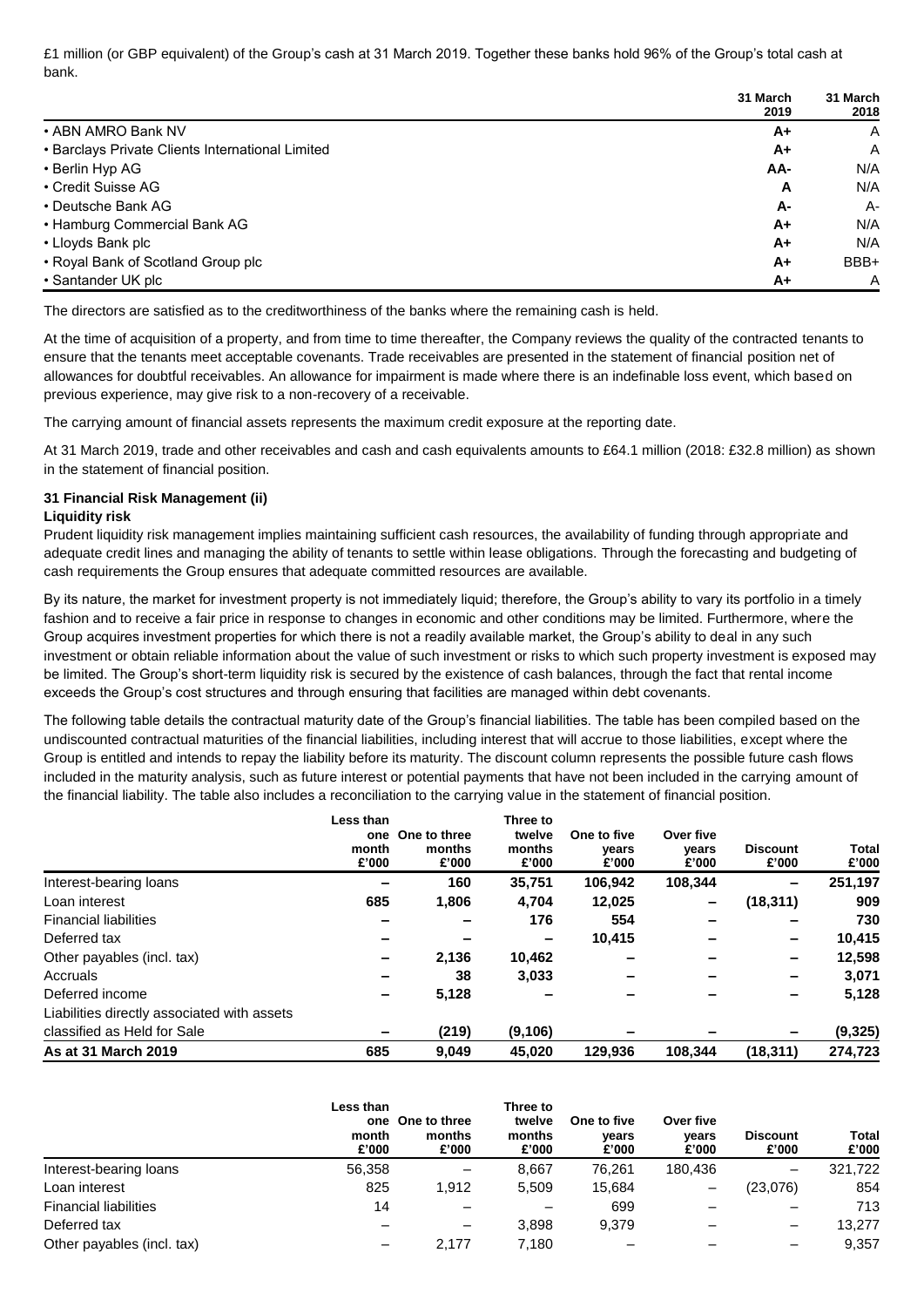£1 million (or GBP equivalent) of the Group's cash at 31 March 2019. Together these banks hold 96% of the Group's total cash at bank.

|                                                  | 31 March | 31 March<br>2018 |
|--------------------------------------------------|----------|------------------|
|                                                  | 2019     |                  |
| • ABN AMRO Bank NV                               | A+       | A                |
| • Barclays Private Clients International Limited | A+       | A                |
| • Berlin Hyp AG                                  | AA-      | N/A              |
| • Credit Suisse AG                               | A        | N/A              |
| • Deutsche Bank AG                               | А-       | A-               |
| • Hamburg Commercial Bank AG                     | $A+$     | N/A              |
| • Lloyds Bank plc                                | $A+$     | N/A              |
| • Royal Bank of Scotland Group plc               | $A+$     | BBB+             |
| • Santander UK plc                               | $A+$     | A                |

The directors are satisfied as to the creditworthiness of the banks where the remaining cash is held.

At the time of acquisition of a property, and from time to time thereafter, the Company reviews the quality of the contracted tenants to ensure that the tenants meet acceptable covenants. Trade receivables are presented in the statement of financial position net of allowances for doubtful receivables. An allowance for impairment is made where there is an indefinable loss event, which based on previous experience, may give risk to a non-recovery of a receivable.

The carrying amount of financial assets represents the maximum credit exposure at the reporting date.

At 31 March 2019, trade and other receivables and cash and cash equivalents amounts to £64.1 million (2018: £32.8 million) as shown in the statement of financial position.

# **31 Financial Risk Management (ii)**

### **Liquidity risk**

Prudent liquidity risk management implies maintaining sufficient cash resources, the availability of funding through appropriate and adequate credit lines and managing the ability of tenants to settle within lease obligations. Through the forecasting and budgeting of cash requirements the Group ensures that adequate committed resources are available.

By its nature, the market for investment property is not immediately liquid; therefore, the Group's ability to vary its portfolio in a timely fashion and to receive a fair price in response to changes in economic and other conditions may be limited. Furthermore, where the Group acquires investment properties for which there is not a readily available market, the Group's ability to deal in any such investment or obtain reliable information about the value of such investment or risks to which such property investment is exposed may be limited. The Group's short-term liquidity risk is secured by the existence of cash balances, through the fact that rental income exceeds the Group's cost structures and through ensuring that facilities are managed within debt covenants.

The following table details the contractual maturity date of the Group's financial liabilities. The table has been compiled based on the undiscounted contractual maturities of the financial liabilities, including interest that will accrue to those liabilities, except where the Group is entitled and intends to repay the liability before its maturity. The discount column represents the possible future cash flows included in the maturity analysis, such as future interest or potential payments that have not been included in the carrying amount of the financial liability. The table also includes a reconciliation to the carrying value in the statement of financial position.

|                                             | Less than<br>one<br>month<br>£'000 | One to three<br>months<br>£'000 | Three to<br>twelve<br>months<br>£'000 | One to five<br>vears<br>£'000 | Over five<br>vears<br>£'000 | <b>Discount</b><br>£'000 | <b>Total</b><br>£'000 |
|---------------------------------------------|------------------------------------|---------------------------------|---------------------------------------|-------------------------------|-----------------------------|--------------------------|-----------------------|
| Interest-bearing loans                      | $\overline{\phantom{a}}$           | 160                             | 35,751                                | 106.942                       | 108,344                     | $\overline{\phantom{0}}$ | 251,197               |
| Loan interest                               | 685                                | 1,806                           | 4,704                                 | 12,025                        | $\qquad \qquad$             | (18, 311)                | 909                   |
| <b>Financial liabilities</b>                | -                                  |                                 | 176                                   | 554                           |                             |                          | 730                   |
| Deferred tax                                | $\overline{\phantom{a}}$           |                                 | $\overline{\phantom{0}}$              | 10,415                        |                             | -                        | 10,415                |
| Other payables (incl. tax)                  | $\overline{\phantom{a}}$           | 2.136                           | 10.462                                |                               |                             | -                        | 12.598                |
| Accruals                                    | $\overline{\phantom{a}}$           | 38                              | 3,033                                 |                               |                             | $\overline{\phantom{0}}$ | 3,071                 |
| Deferred income                             | $\overline{\phantom{a}}$           | 5,128                           |                                       |                               |                             |                          | 5,128                 |
| Liabilities directly associated with assets |                                    |                                 |                                       |                               |                             |                          |                       |
| classified as Held for Sale                 |                                    | (219)                           | (9, 106)                              |                               |                             |                          | (9, 325)              |
| As at 31 March 2019                         | 685                                | 9,049                           | 45,020                                | 129.936                       | 108.344                     | (18, 311)                | 274,723               |

|                              | Less than<br>month<br>£'000 | one One to three<br>months<br>£'000 | Three to<br>twelve<br>months<br>£'000 | One to five<br>years<br>£'000 | Over five<br>years<br>£'000 | <b>Discount</b><br>£'000 | Total<br>£'000 |
|------------------------------|-----------------------------|-------------------------------------|---------------------------------------|-------------------------------|-----------------------------|--------------------------|----------------|
| Interest-bearing loans       | 56,358                      | $\qquad \qquad -$                   | 8,667                                 | 76.261                        | 180.436                     | -                        | 321,722        |
| Loan interest                | 825                         | 1.912                               | 5,509                                 | 15.684                        | $\qquad \qquad -$           | (23,076)                 | 854            |
| <b>Financial liabilities</b> | 14                          |                                     |                                       | 699                           |                             |                          | 713            |
| Deferred tax                 |                             |                                     | 3,898                                 | 9,379                         |                             |                          | 13,277         |
| Other payables (incl. tax)   | $\overline{\phantom{m}}$    | 2.177                               | 7,180                                 |                               |                             |                          | 9,357          |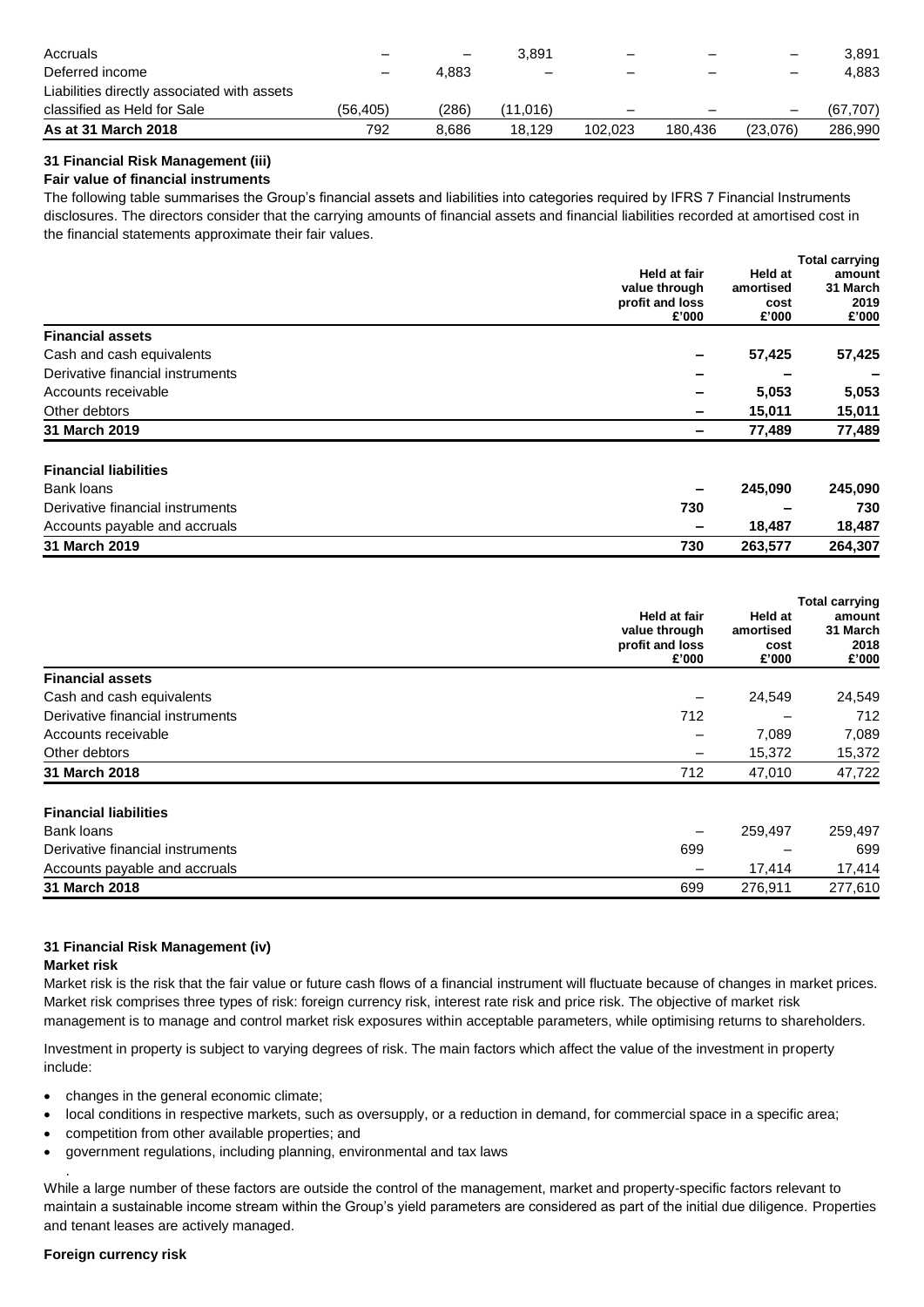| Accruals                                    | $\qquad \qquad$   | -     | 3.891    | $\qquad \qquad -$        | $\overline{\phantom{m}}$ | $\overline{\phantom{0}}$ | 3.891    |
|---------------------------------------------|-------------------|-------|----------|--------------------------|--------------------------|--------------------------|----------|
| Deferred income                             | $\qquad \qquad -$ | 4.883 |          | $\overline{\phantom{0}}$ |                          |                          | 4,883    |
| Liabilities directly associated with assets |                   |       |          |                          |                          |                          |          |
| classified as Held for Sale                 | (56.405)          | 286)  | (11.016) | -                        |                          |                          | (67.707) |
| As at 31 March 2018                         | 792               | 8.686 | 18.129   | 102.023                  | 180.436                  | (23.076)                 | 286,990  |

# **31 Financial Risk Management (iii)**

# **Fair value of financial instruments**

The following table summarises the Group's financial assets and liabilities into categories required by IFRS 7 Financial Instruments disclosures. The directors consider that the carrying amounts of financial assets and financial liabilities recorded at amortised cost in the financial statements approximate their fair values.

|                                  |                          |           | <b>Total carrying</b> |
|----------------------------------|--------------------------|-----------|-----------------------|
|                                  | <b>Held at fair</b>      | Held at   | amount                |
|                                  | value through            | amortised | 31 March              |
|                                  | profit and loss          | cost      | 2019                  |
|                                  | £'000                    | £'000     | £'000                 |
| <b>Financial assets</b>          |                          |           |                       |
| Cash and cash equivalents        |                          | 57,425    | 57,425                |
| Derivative financial instruments |                          |           |                       |
| Accounts receivable              | $\overline{\phantom{0}}$ | 5,053     | 5,053                 |
| Other debtors                    | $\overline{\phantom{0}}$ | 15,011    | 15,011                |
| 31 March 2019                    |                          | 77,489    | 77,489                |
| <b>Financial liabilities</b>     |                          |           |                       |
| Bank loans                       | $\overline{\phantom{a}}$ | 245,090   | 245,090               |
| Derivative financial instruments | 730                      |           | 730                   |
| Accounts payable and accruals    | $\overline{\phantom{a}}$ | 18,487    | 18,487                |
| 31 March 2019                    | 730                      | 263,577   | 264,307               |

|                                  | <b>Held at fair</b><br>value through<br>profit and loss<br>£'000 | Held at<br>amortised<br>cost<br>£'000 | <b>Total carrying</b><br>amount<br>31 March<br>2018<br>£'000 |
|----------------------------------|------------------------------------------------------------------|---------------------------------------|--------------------------------------------------------------|
| <b>Financial assets</b>          |                                                                  |                                       |                                                              |
| Cash and cash equivalents        | -                                                                | 24,549                                | 24,549                                                       |
| Derivative financial instruments | 712                                                              |                                       | 712                                                          |
| Accounts receivable              | $\overline{\phantom{0}}$                                         | 7,089                                 | 7,089                                                        |
| Other debtors                    | $\qquad \qquad -$                                                | 15,372                                | 15,372                                                       |
| 31 March 2018                    | 712                                                              | 47,010                                | 47,722                                                       |
| <b>Financial liabilities</b>     |                                                                  |                                       |                                                              |
| Bank loans                       | -                                                                | 259,497                               | 259,497                                                      |
| Derivative financial instruments | 699                                                              |                                       | 699                                                          |
| Accounts payable and accruals    | $\overline{\phantom{m}}$                                         | 17,414                                | 17,414                                                       |
| 31 March 2018                    | 699                                                              | 276,911                               | 277,610                                                      |

## **31 Financial Risk Management (iv)**

#### **Market risk**

.

Market risk is the risk that the fair value or future cash flows of a financial instrument will fluctuate because of changes in market prices. Market risk comprises three types of risk: foreign currency risk, interest rate risk and price risk. The objective of market risk management is to manage and control market risk exposures within acceptable parameters, while optimising returns to shareholders.

Investment in property is subject to varying degrees of risk. The main factors which affect the value of the investment in property include:

- changes in the general economic climate;
- local conditions in respective markets, such as oversupply, or a reduction in demand, for commercial space in a specific area;
- competition from other available properties; and
- government regulations, including planning, environmental and tax laws

While a large number of these factors are outside the control of the management, market and property-specific factors relevant to maintain a sustainable income stream within the Group's yield parameters are considered as part of the initial due diligence. Properties and tenant leases are actively managed.

#### **Foreign currency risk**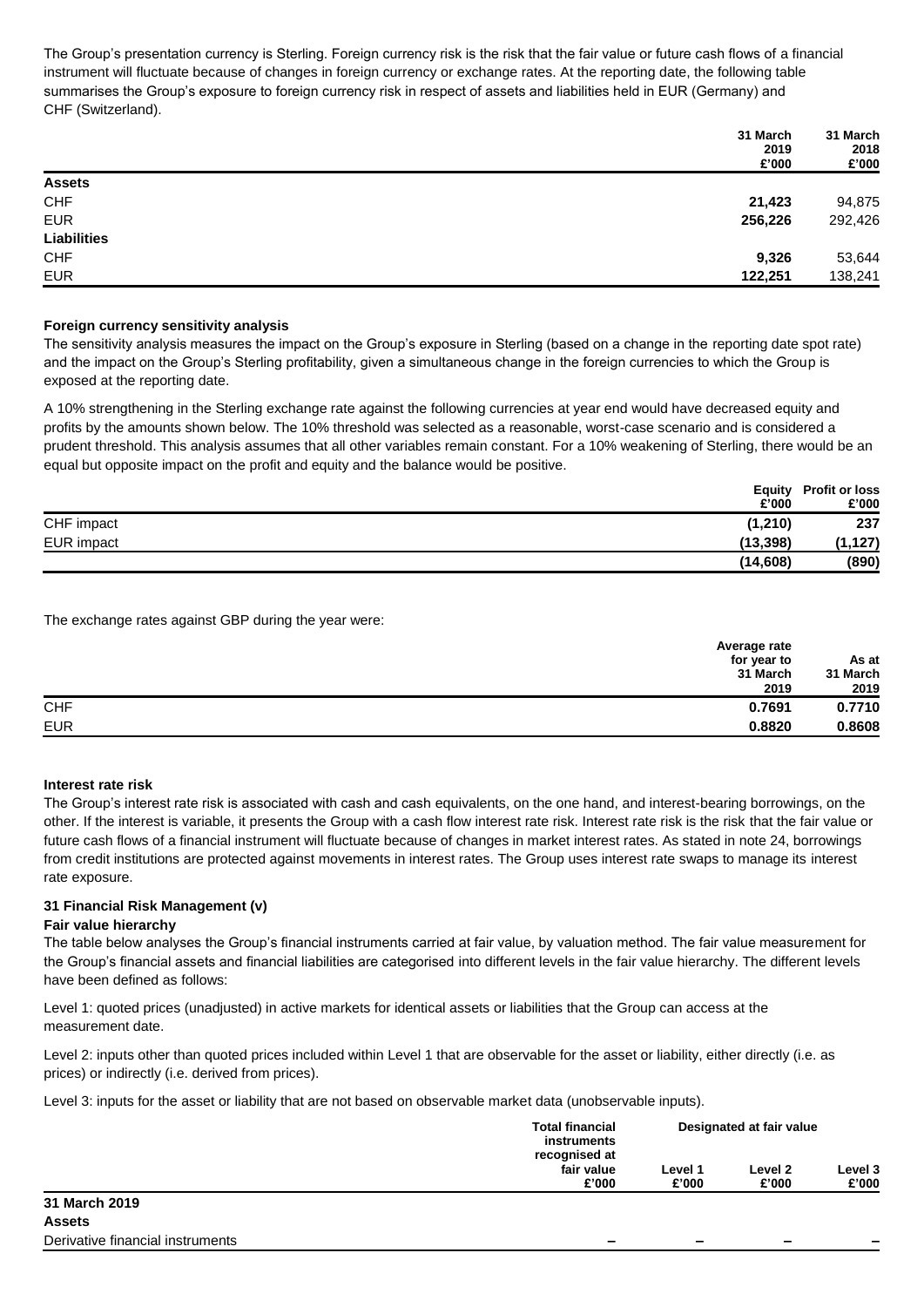The Group's presentation currency is Sterling. Foreign currency risk is the risk that the fair value or future cash flows of a financial instrument will fluctuate because of changes in foreign currency or exchange rates. At the reporting date, the following table summarises the Group's exposure to foreign currency risk in respect of assets and liabilities held in EUR (Germany) and CHF (Switzerland).

| 31 March<br>2019      | 31 March<br>2018 |
|-----------------------|------------------|
| £'000                 | £'000            |
| <b>Assets</b>         |                  |
| <b>CHF</b><br>21,423  | 94,875           |
| <b>EUR</b><br>256,226 | 292,426          |
| <b>Liabilities</b>    |                  |
| <b>CHF</b><br>9,326   | 53,644           |
| <b>EUR</b><br>122,251 | 138,241          |

### **Foreign currency sensitivity analysis**

The sensitivity analysis measures the impact on the Group's exposure in Sterling (based on a change in the reporting date spot rate) and the impact on the Group's Sterling profitability, given a simultaneous change in the foreign currencies to which the Group is exposed at the reporting date.

A 10% strengthening in the Sterling exchange rate against the following currencies at year end would have decreased equity and profits by the amounts shown below. The 10% threshold was selected as a reasonable, worst-case scenario and is considered a prudent threshold. This analysis assumes that all other variables remain constant. For a 10% weakening of Sterling, there would be an equal but opposite impact on the profit and equity and the balance would be positive.

|            | Equity<br>£'000 | <b>Profit or loss</b><br>£'000 |
|------------|-----------------|--------------------------------|
| CHF impact | (1, 210)        | 237                            |
| EUR impact | (13, 398)       | (1, 127)                       |
|            | (14, 608)       | (890)                          |

The exchange rates against GBP during the year were:

|            | Average rate |          |
|------------|--------------|----------|
|            | for year to  | As at    |
|            | 31 March     | 31 March |
|            | 2019         | 2019     |
| <b>CHF</b> | 0.7691       | 0.7710   |
| <b>EUR</b> | 0.8820       | 0.8608   |

### **Interest rate risk**

The Group's interest rate risk is associated with cash and cash equivalents, on the one hand, and interest-bearing borrowings, on the other. If the interest is variable, it presents the Group with a cash flow interest rate risk. Interest rate risk is the risk that the fair value or future cash flows of a financial instrument will fluctuate because of changes in market interest rates. As stated in note 24, borrowings from credit institutions are protected against movements in interest rates. The Group uses interest rate swaps to manage its interest rate exposure.

## **31 Financial Risk Management (v)**

#### **Fair value hierarchy**

The table below analyses the Group's financial instruments carried at fair value, by valuation method. The fair value measurement for the Group's financial assets and financial liabilities are categorised into different levels in the fair value hierarchy. The different levels have been defined as follows:

Level 1: quoted prices (unadjusted) in active markets for identical assets or liabilities that the Group can access at the measurement date.

Level 2: inputs other than quoted prices included within Level 1 that are observable for the asset or liability, either directly (i.e. as prices) or indirectly (i.e. derived from prices).

Level 3: inputs for the asset or liability that are not based on observable market data (unobservable inputs).

|               | <b>Total financial</b><br>instruments<br>recognised at | Designated at fair value |         |         |
|---------------|--------------------------------------------------------|--------------------------|---------|---------|
|               | fair value                                             | Level 1                  | Level 2 | Level 3 |
|               | £'000                                                  | £'000                    | £'000   | £'000   |
| 31 March 2019 |                                                        |                          |         |         |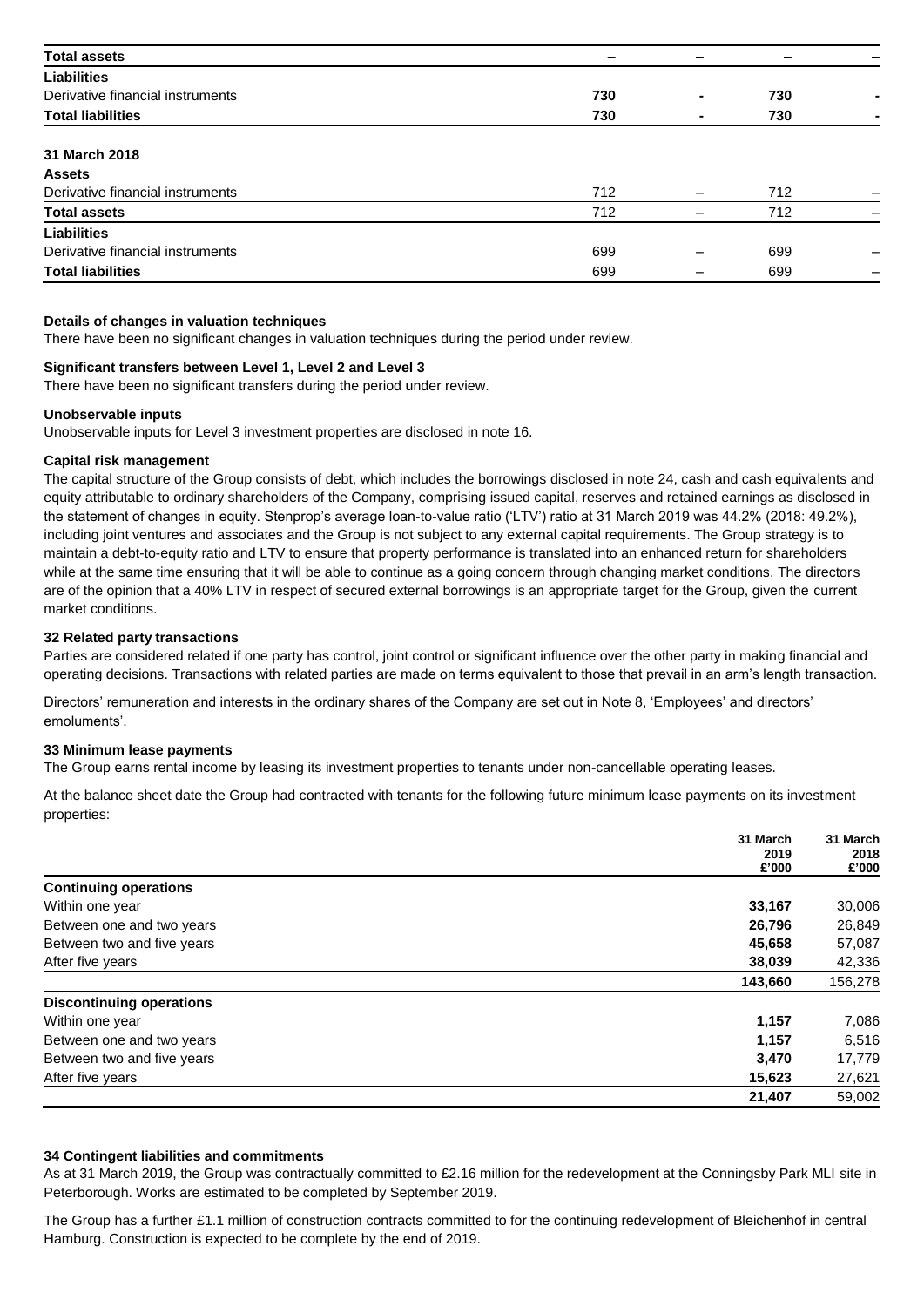| <b>Total assets</b>              | $\overline{\phantom{a}}$ | $\overline{\phantom{a}}$ | $\overline{\phantom{0}}$ |   |
|----------------------------------|--------------------------|--------------------------|--------------------------|---|
| Liabilities                      |                          |                          |                          |   |
| Derivative financial instruments | 730                      | $\sim$                   | 730                      | ۰ |
| <b>Total liabilities</b>         | 730                      |                          | 730                      |   |
| 31 March 2018                    |                          |                          |                          |   |
| <b>Assets</b>                    |                          |                          |                          |   |

| Derivative financial instruments | 712 |   | 712 |  |
|----------------------------------|-----|---|-----|--|
| <b>Total assets</b>              | 712 | - | 712 |  |
| <b>Liabilities</b>               |     |   |     |  |
| Derivative financial instruments | 699 |   | 699 |  |
| <b>Total liabilities</b>         | 699 |   | 699 |  |

#### **Details of changes in valuation techniques**

There have been no significant changes in valuation techniques during the period under review.

#### **Significant transfers between Level 1, Level 2 and Level 3**

There have been no significant transfers during the period under review.

#### **Unobservable inputs**

Unobservable inputs for Level 3 investment properties are disclosed in note 16.

#### **Capital risk management**

The capital structure of the Group consists of debt, which includes the borrowings disclosed in note 24, cash and cash equivalents and equity attributable to ordinary shareholders of the Company, comprising issued capital, reserves and retained earnings as disclosed in the statement of changes in equity. Stenprop's average loan-to-value ratio ('LTV') ratio at 31 March 2019 was 44.2% (2018: 49.2%), including joint ventures and associates and the Group is not subject to any external capital requirements. The Group strategy is to maintain a debt-to-equity ratio and LTV to ensure that property performance is translated into an enhanced return for shareholders while at the same time ensuring that it will be able to continue as a going concern through changing market conditions. The directors are of the opinion that a 40% LTV in respect of secured external borrowings is an appropriate target for the Group, given the current market conditions.

### **32 Related party transactions**

Parties are considered related if one party has control, joint control or significant influence over the other party in making financial and operating decisions. Transactions with related parties are made on terms equivalent to those that prevail in an arm's length transaction.

Directors' remuneration and interests in the ordinary shares of the Company are set out in Note 8, 'Employees' and directors' emoluments'.

#### **33 Minimum lease payments**

The Group earns rental income by leasing its investment properties to tenants under non-cancellable operating leases.

At the balance sheet date the Group had contracted with tenants for the following future minimum lease payments on its investment properties:

|                                 | 31 March<br>2019 | 31 March<br>2018 |
|---------------------------------|------------------|------------------|
|                                 | £'000            | £'000            |
| <b>Continuing operations</b>    |                  |                  |
| Within one year                 | 33,167           | 30,006           |
| Between one and two years       | 26,796           | 26,849           |
| Between two and five years      | 45,658           | 57,087           |
| After five years                | 38,039           | 42,336           |
|                                 | 143,660          | 156,278          |
| <b>Discontinuing operations</b> |                  |                  |
| Within one year                 | 1,157            | 7,086            |
| Between one and two years       | 1,157            | 6,516            |
| Between two and five years      | 3,470            | 17,779           |
| After five years                | 15,623           | 27,621           |
|                                 | 21,407           | 59,002           |

#### **34 Contingent liabilities and commitments**

As at 31 March 2019, the Group was contractually committed to £2.16 million for the redevelopment at the Conningsby Park MLI site in Peterborough. Works are estimated to be completed by September 2019.

The Group has a further £1.1 million of construction contracts committed to for the continuing redevelopment of Bleichenhof in central Hamburg. Construction is expected to be complete by the end of 2019.